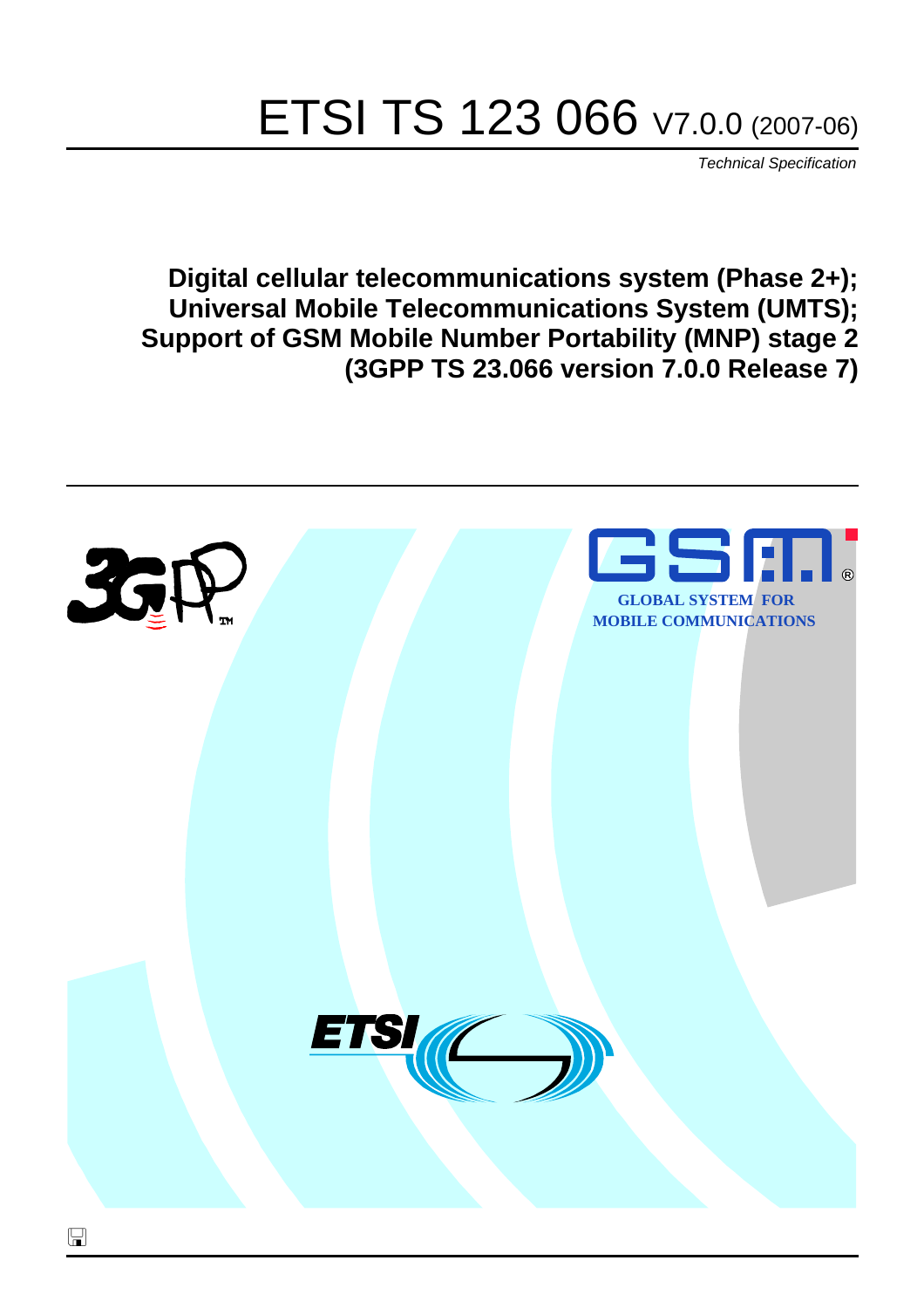# ETSI TS 123 066 V7.0.0 (2007-06)

*Technical Specification*

**Digital cellular telecommunications system (Phase 2+); Universal Mobile Telecommunications System (UMTS); Support of GSM Mobile Number Portability (MNP) stage 2 (3GPP TS 23.066 version 7.0.0 Release 7)**

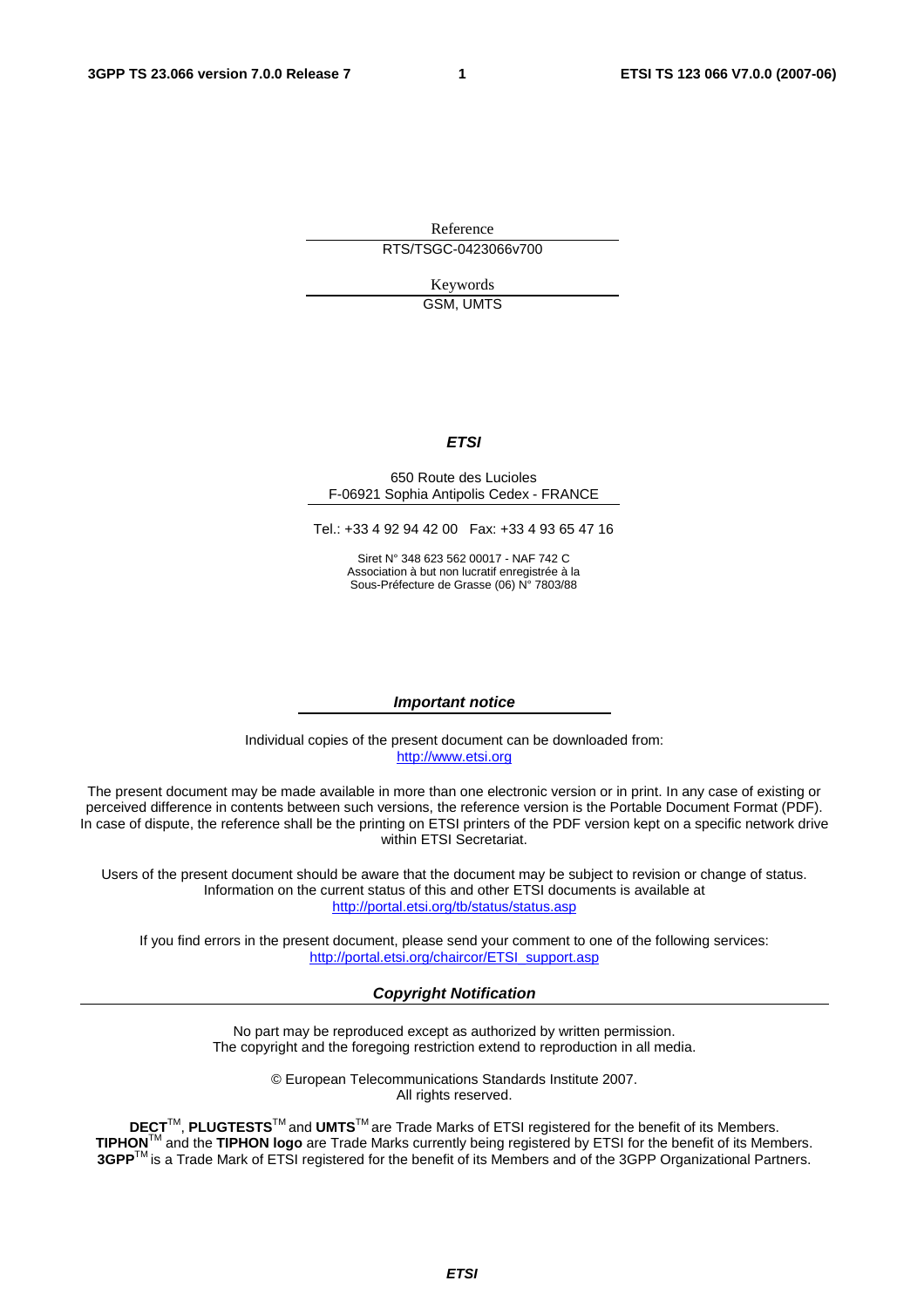Reference RTS/TSGC-0423066v700

> Keywords GSM, UMTS

#### *ETSI*

#### 650 Route des Lucioles F-06921 Sophia Antipolis Cedex - FRANCE

Tel.: +33 4 92 94 42 00 Fax: +33 4 93 65 47 16

Siret N° 348 623 562 00017 - NAF 742 C Association à but non lucratif enregistrée à la Sous-Préfecture de Grasse (06) N° 7803/88

#### *Important notice*

Individual copies of the present document can be downloaded from: [http://www.etsi.org](http://www.etsi.org/)

The present document may be made available in more than one electronic version or in print. In any case of existing or perceived difference in contents between such versions, the reference version is the Portable Document Format (PDF). In case of dispute, the reference shall be the printing on ETSI printers of the PDF version kept on a specific network drive within ETSI Secretariat.

Users of the present document should be aware that the document may be subject to revision or change of status. Information on the current status of this and other ETSI documents is available at <http://portal.etsi.org/tb/status/status.asp>

If you find errors in the present document, please send your comment to one of the following services: [http://portal.etsi.org/chaircor/ETSI\\_support.asp](http://portal.etsi.org/chaircor/ETSI_support.asp)

#### *Copyright Notification*

No part may be reproduced except as authorized by written permission. The copyright and the foregoing restriction extend to reproduction in all media.

> © European Telecommunications Standards Institute 2007. All rights reserved.

**DECT**TM, **PLUGTESTS**TM and **UMTS**TM are Trade Marks of ETSI registered for the benefit of its Members. **TIPHON**TM and the **TIPHON logo** are Trade Marks currently being registered by ETSI for the benefit of its Members. **3GPP**TM is a Trade Mark of ETSI registered for the benefit of its Members and of the 3GPP Organizational Partners.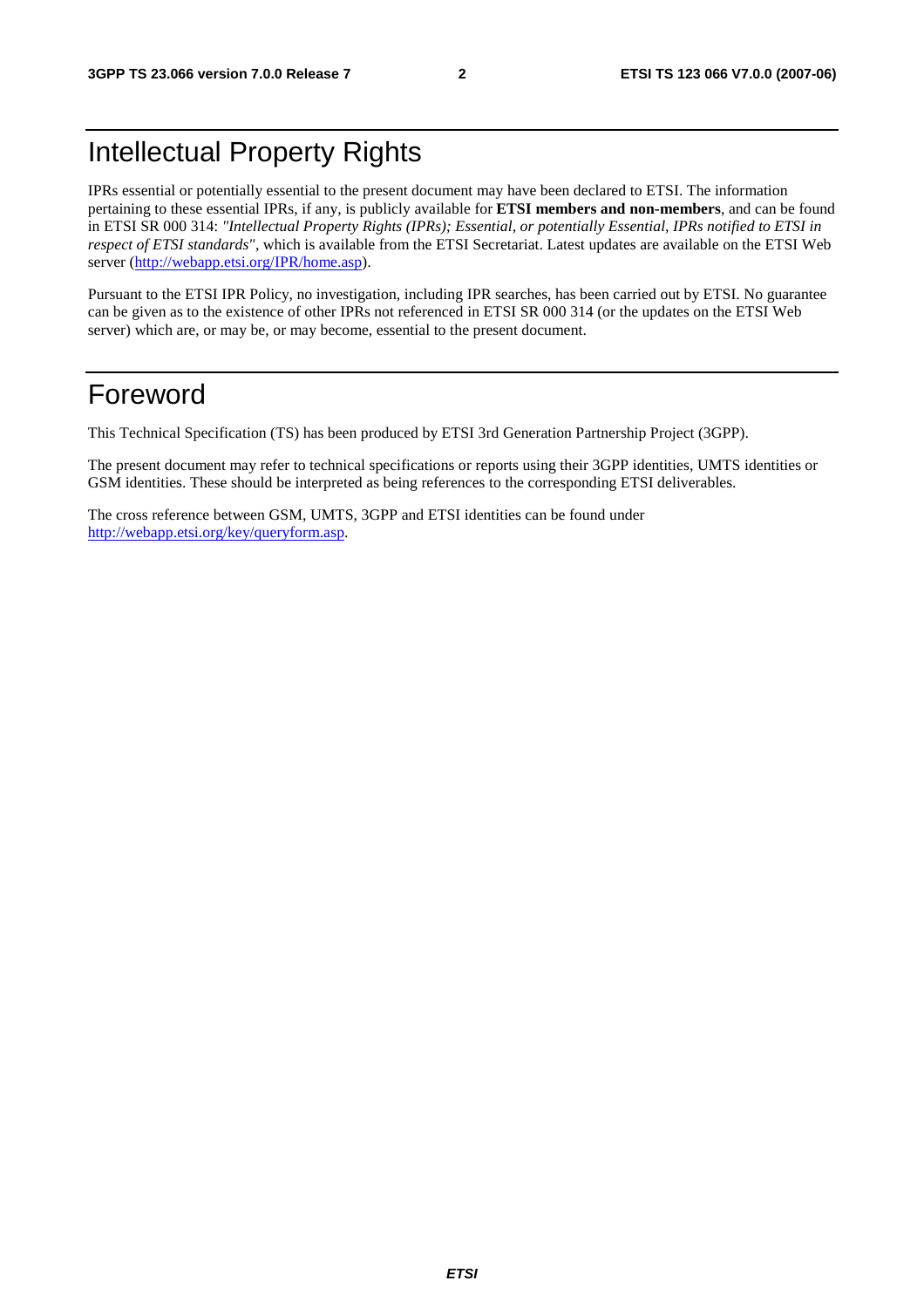## Intellectual Property Rights

IPRs essential or potentially essential to the present document may have been declared to ETSI. The information pertaining to these essential IPRs, if any, is publicly available for **ETSI members and non-members**, and can be found in ETSI SR 000 314: *"Intellectual Property Rights (IPRs); Essential, or potentially Essential, IPRs notified to ETSI in respect of ETSI standards"*, which is available from the ETSI Secretariat. Latest updates are available on the ETSI Web server ([http://webapp.etsi.org/IPR/home.asp\)](http://webapp.etsi.org/IPR/home.asp).

Pursuant to the ETSI IPR Policy, no investigation, including IPR searches, has been carried out by ETSI. No guarantee can be given as to the existence of other IPRs not referenced in ETSI SR 000 314 (or the updates on the ETSI Web server) which are, or may be, or may become, essential to the present document.

## Foreword

This Technical Specification (TS) has been produced by ETSI 3rd Generation Partnership Project (3GPP).

The present document may refer to technical specifications or reports using their 3GPP identities, UMTS identities or GSM identities. These should be interpreted as being references to the corresponding ETSI deliverables.

The cross reference between GSM, UMTS, 3GPP and ETSI identities can be found under [http://webapp.etsi.org/key/queryform.asp.](http://webapp.etsi.org/key/queryform.asp)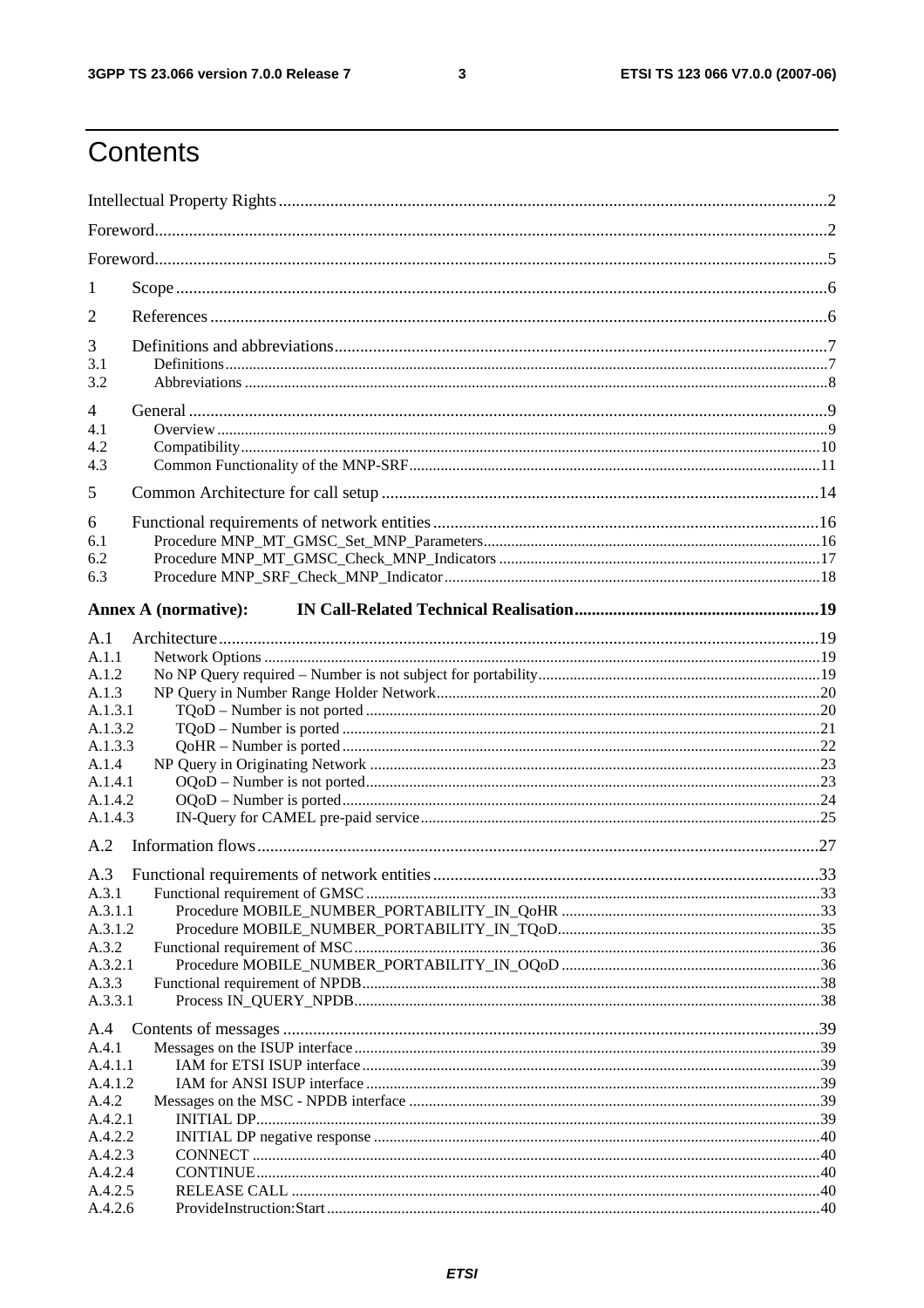#### $\mathbf{3}$

## Contents

| 1                  |                             |  |  |
|--------------------|-----------------------------|--|--|
| 2                  |                             |  |  |
| 3                  |                             |  |  |
| 3.1                |                             |  |  |
| 3.2                |                             |  |  |
| 4<br>4.1           |                             |  |  |
| 4.2                |                             |  |  |
| 4.3                |                             |  |  |
| 5                  |                             |  |  |
| 6                  |                             |  |  |
| 6.1                |                             |  |  |
| 6.2                |                             |  |  |
| 6.3                |                             |  |  |
|                    | <b>Annex A (normative):</b> |  |  |
| A.1                |                             |  |  |
| A.1.1              |                             |  |  |
| A.1.2              |                             |  |  |
| A.1.3              |                             |  |  |
| A.1.3.1            |                             |  |  |
| A.1.3.2            |                             |  |  |
| A.1.3.3            |                             |  |  |
| A.1.4<br>A.1.4.1   |                             |  |  |
| A.1.4.2            |                             |  |  |
| A.1.4.3            |                             |  |  |
| A.2                |                             |  |  |
| A.3                |                             |  |  |
| A.3.1              |                             |  |  |
| A.3.1.1            |                             |  |  |
| A.3.1.2            |                             |  |  |
| A.3.2              |                             |  |  |
| A.3.2.1            |                             |  |  |
| A.3.3              |                             |  |  |
| A.3.3.1            |                             |  |  |
| A.4                |                             |  |  |
| A.4.1              |                             |  |  |
| A.4.1.1<br>A.4.1.2 |                             |  |  |
| A.4.2              |                             |  |  |
| A.4.2.1            |                             |  |  |
| A.4.2.2            |                             |  |  |
| A.4.2.3            |                             |  |  |
| A.4.2.4            |                             |  |  |
| A.4.2.5            |                             |  |  |
| A.4.2.6            |                             |  |  |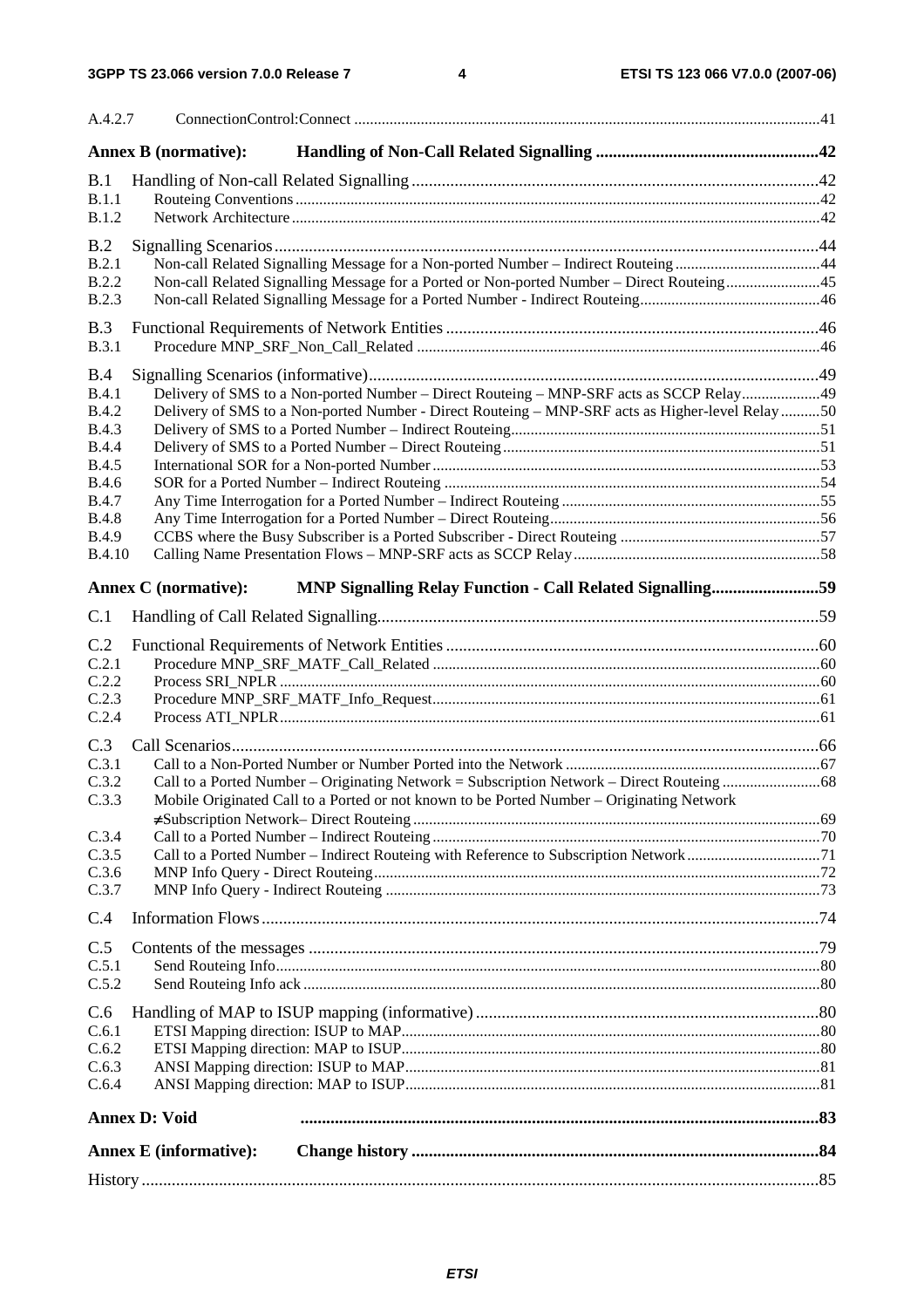| A.4.2.7                      |                                                                                                                                                                                |  |
|------------------------------|--------------------------------------------------------------------------------------------------------------------------------------------------------------------------------|--|
|                              | <b>Annex B</b> (normative):                                                                                                                                                    |  |
| B.1                          |                                                                                                                                                                                |  |
| B.1.1<br>B.1.2               |                                                                                                                                                                                |  |
|                              |                                                                                                                                                                                |  |
| B.2<br>B.2.1                 |                                                                                                                                                                                |  |
| <b>B.2.2</b>                 | Non-call Related Signalling Message for a Non-ported Number - Indirect Routeing44<br>Non-call Related Signalling Message for a Ported or Non-ported Number – Direct Routeing45 |  |
| <b>B.2.3</b>                 |                                                                                                                                                                                |  |
| B.3                          |                                                                                                                                                                                |  |
| B.3.1                        |                                                                                                                                                                                |  |
| B.4                          |                                                                                                                                                                                |  |
| B.4.1                        | Delivery of SMS to a Non-ported Number – Direct Routeing – MNP-SRF acts as SCCP Relay49                                                                                        |  |
| <b>B.4.2</b>                 | Delivery of SMS to a Non-ported Number - Direct Routeing - MNP-SRF acts as Higher-level Relay 50                                                                               |  |
| <b>B.4.3</b>                 |                                                                                                                                                                                |  |
| <b>B.4.4</b>                 |                                                                                                                                                                                |  |
| <b>B.4.5</b><br><b>B.4.6</b> |                                                                                                                                                                                |  |
| <b>B.4.7</b>                 |                                                                                                                                                                                |  |
| <b>B.4.8</b>                 |                                                                                                                                                                                |  |
| <b>B.4.9</b>                 |                                                                                                                                                                                |  |
| <b>B.4.10</b>                |                                                                                                                                                                                |  |
|                              | MNP Signalling Relay Function - Call Related Signalling59<br><b>Annex C</b> (normative):                                                                                       |  |
| C.1                          |                                                                                                                                                                                |  |
| C.2                          |                                                                                                                                                                                |  |
| C.2.1                        |                                                                                                                                                                                |  |
| C.2.2                        |                                                                                                                                                                                |  |
| C.2.3<br>C.2.4               |                                                                                                                                                                                |  |
|                              |                                                                                                                                                                                |  |
| C.3<br>C.3.1                 |                                                                                                                                                                                |  |
| C.3.2                        | Call to a Ported Number - Originating Network = Subscription Network - Direct Routeing68                                                                                       |  |
| C.3.3                        | Mobile Originated Call to a Ported or not known to be Ported Number - Originating Network                                                                                      |  |
|                              |                                                                                                                                                                                |  |
| C.3.4                        |                                                                                                                                                                                |  |
| C.3.5<br>C.3.6               |                                                                                                                                                                                |  |
| C.3.7                        |                                                                                                                                                                                |  |
| C.4                          |                                                                                                                                                                                |  |
|                              |                                                                                                                                                                                |  |
| C.5<br>C.5.1                 |                                                                                                                                                                                |  |
| C.5.2                        |                                                                                                                                                                                |  |
|                              |                                                                                                                                                                                |  |
| C.6<br>C.6.1                 |                                                                                                                                                                                |  |
| C.6.2                        |                                                                                                                                                                                |  |
| C.6.3                        |                                                                                                                                                                                |  |
| C.6.4                        |                                                                                                                                                                                |  |
|                              | <b>Annex D: Void</b>                                                                                                                                                           |  |
|                              | <b>Annex E</b> (informative):                                                                                                                                                  |  |
|                              |                                                                                                                                                                                |  |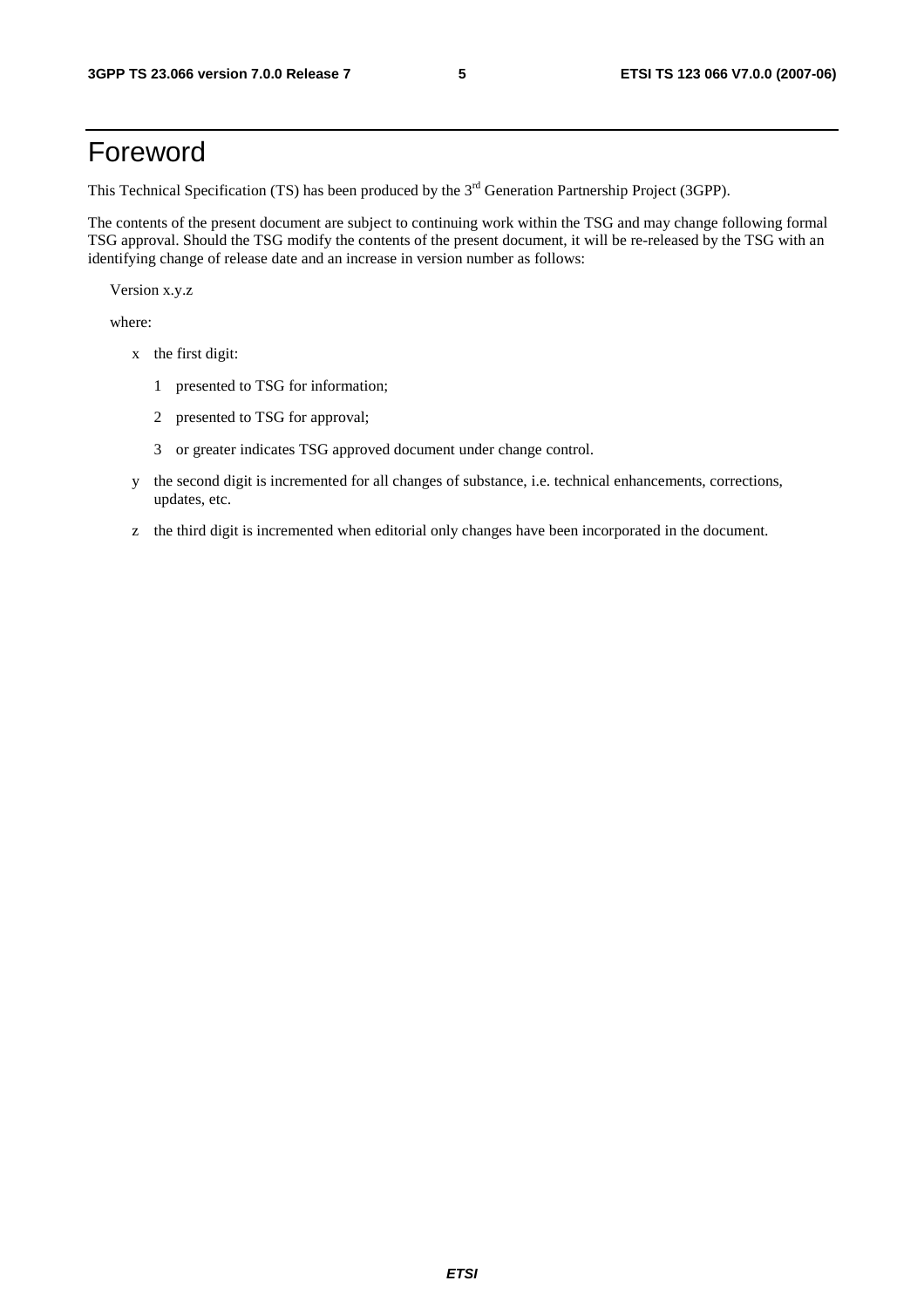## Foreword

This Technical Specification (TS) has been produced by the 3<sup>rd</sup> Generation Partnership Project (3GPP).

The contents of the present document are subject to continuing work within the TSG and may change following formal TSG approval. Should the TSG modify the contents of the present document, it will be re-released by the TSG with an identifying change of release date and an increase in version number as follows:

Version x.y.z

where:

- x the first digit:
	- 1 presented to TSG for information;
	- 2 presented to TSG for approval;
	- 3 or greater indicates TSG approved document under change control.
- y the second digit is incremented for all changes of substance, i.e. technical enhancements, corrections, updates, etc.
- z the third digit is incremented when editorial only changes have been incorporated in the document.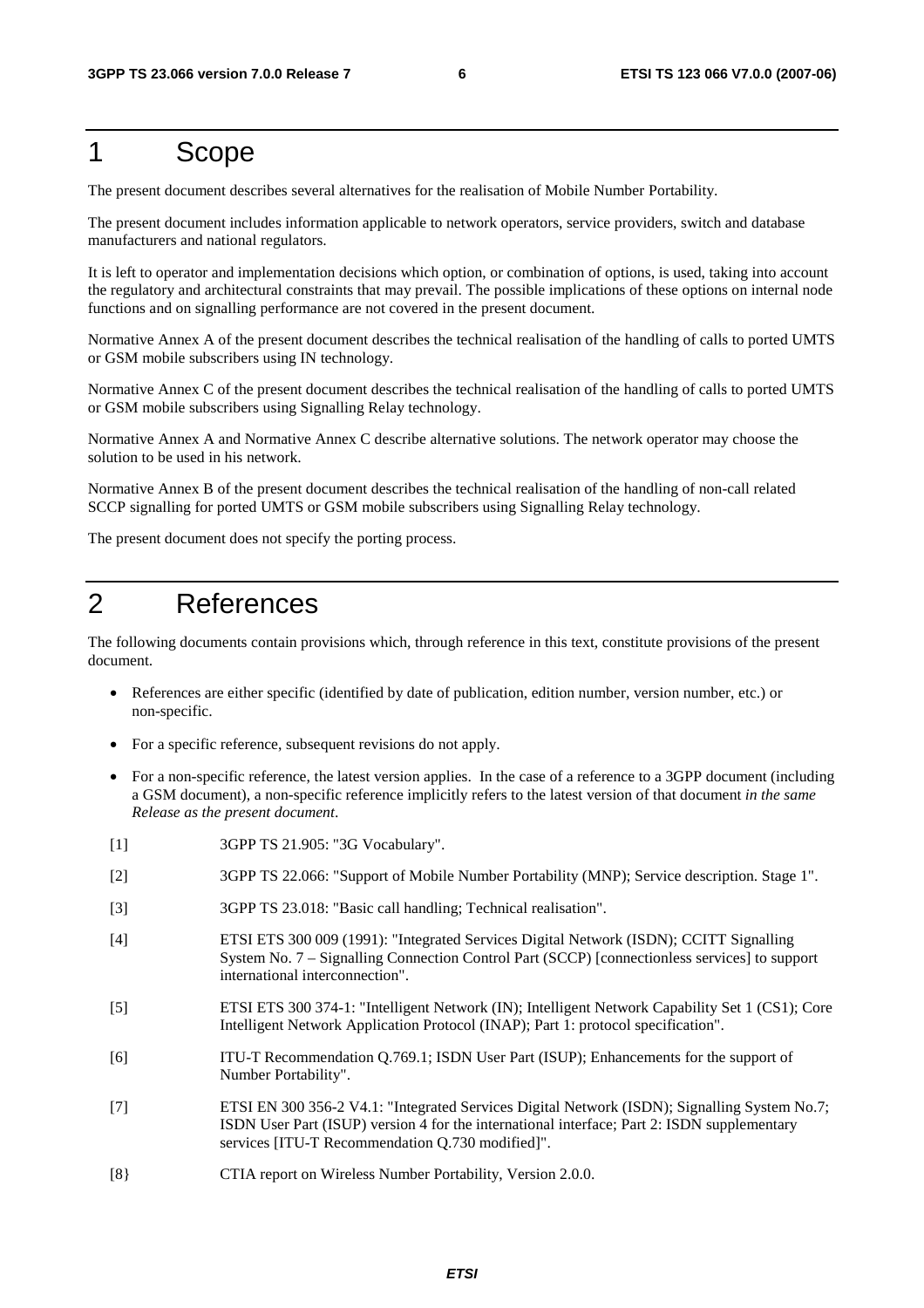## 1 Scope

The present document describes several alternatives for the realisation of Mobile Number Portability.

The present document includes information applicable to network operators, service providers, switch and database manufacturers and national regulators.

It is left to operator and implementation decisions which option, or combination of options, is used, taking into account the regulatory and architectural constraints that may prevail. The possible implications of these options on internal node functions and on signalling performance are not covered in the present document.

Normative Annex A of the present document describes the technical realisation of the handling of calls to ported UMTS or GSM mobile subscribers using IN technology.

Normative Annex C of the present document describes the technical realisation of the handling of calls to ported UMTS or GSM mobile subscribers using Signalling Relay technology.

Normative Annex A and Normative Annex C describe alternative solutions. The network operator may choose the solution to be used in his network.

Normative Annex B of the present document describes the technical realisation of the handling of non-call related SCCP signalling for ported UMTS or GSM mobile subscribers using Signalling Relay technology.

The present document does not specify the porting process.

## 2 References

The following documents contain provisions which, through reference in this text, constitute provisions of the present document.

- References are either specific (identified by date of publication, edition number, version number, etc.) or non-specific.
- For a specific reference, subsequent revisions do not apply.
- For a non-specific reference, the latest version applies. In the case of a reference to a 3GPP document (including a GSM document), a non-specific reference implicitly refers to the latest version of that document *in the same Release as the present document*.
- [1] 3GPP TS 21.905: "3G Vocabulary".
- [2] 3GPP TS 22.066: "Support of Mobile Number Portability (MNP); Service description. Stage 1".
- [3] 3GPP TS 23.018: "Basic call handling; Technical realisation".
- [4] ETSI ETS 300 009 (1991): "Integrated Services Digital Network (ISDN); CCITT Signalling System No. 7 – Signalling Connection Control Part (SCCP) [connectionless services] to support international interconnection".
- [5] ETSI ETS 300 374-1: "Intelligent Network (IN); Intelligent Network Capability Set 1 (CS1); Core Intelligent Network Application Protocol (INAP); Part 1: protocol specification".
- [6] ITU-T Recommendation Q.769.1; ISDN User Part (ISUP); Enhancements for the support of Number Portability".
- [7] ETSI EN 300 356-2 V4.1: "Integrated Services Digital Network (ISDN); Signalling System No.7; ISDN User Part (ISUP) version 4 for the international interface; Part 2: ISDN supplementary services [ITU-T Recommendation Q.730 modified]".
- [8} CTIA report on Wireless Number Portability, Version 2.0.0.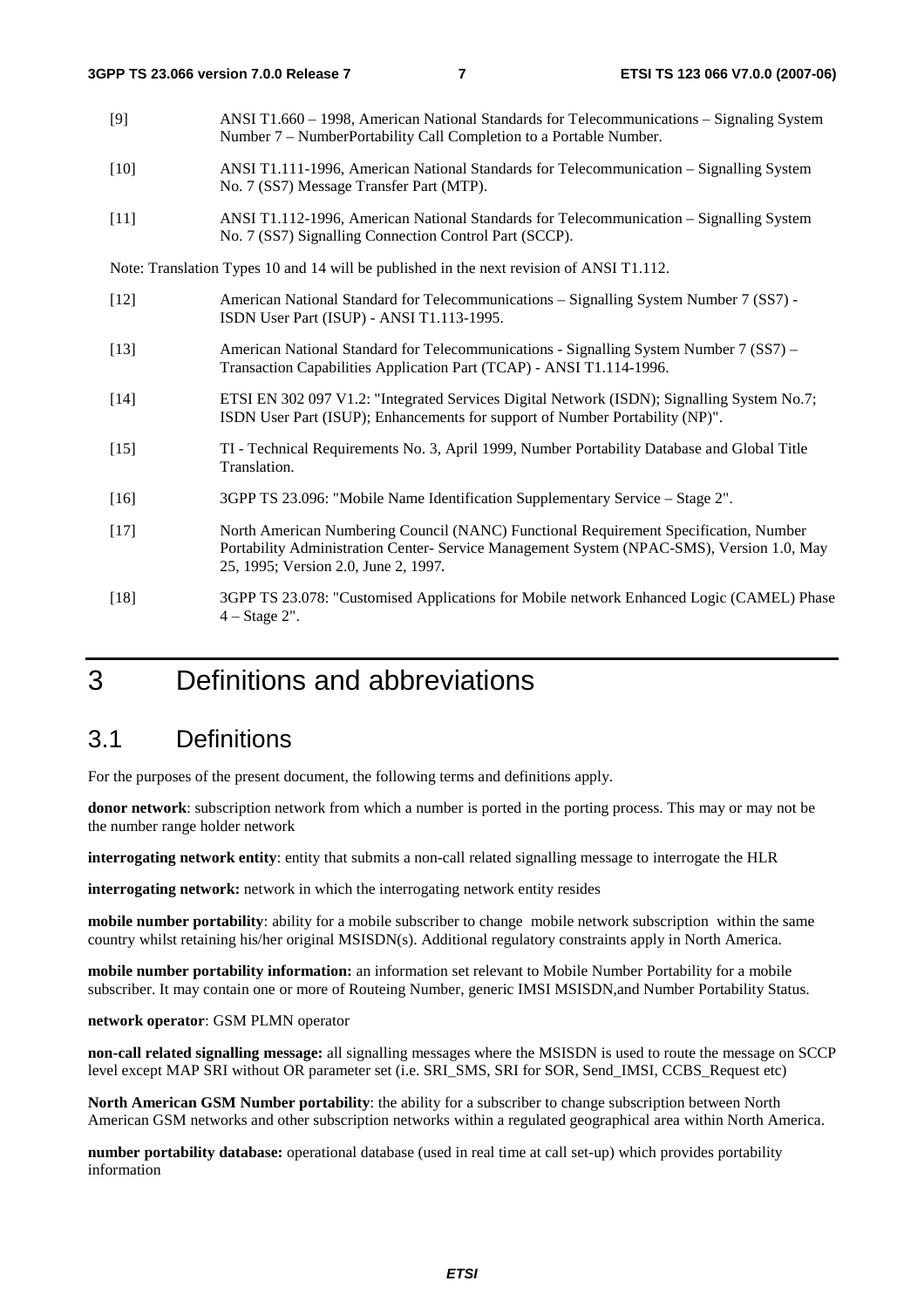- [9] ANSI T1.660 1998, American National Standards for Telecommunications Signaling System Number 7 – NumberPortability Call Completion to a Portable Number.
- [10] ANSI T1.111-1996, American National Standards for Telecommunication Signalling System No. 7 (SS7) Message Transfer Part (MTP).
- [11] ANSI T1.112-1996, American National Standards for Telecommunication Signalling System No. 7 (SS7) Signalling Connection Control Part (SCCP).

Note: Translation Types 10 and 14 will be published in the next revision of ANSI T1.112.

- [12] American National Standard for Telecommunications Signalling System Number 7 (SS7) ISDN User Part (ISUP) - ANSI T1.113-1995.
- [13] American National Standard for Telecommunications Signalling System Number 7 (SS7) Transaction Capabilities Application Part (TCAP) - ANSI T1.114-1996.
- [14] ETSI EN 302 097 V1.2: "Integrated Services Digital Network (ISDN); Signalling System No.7; ISDN User Part (ISUP); Enhancements for support of Number Portability (NP)".
- [15] TI Technical Requirements No. 3, April 1999, Number Portability Database and Global Title Translation.
- [16] 3GPP TS 23.096: "Mobile Name Identification Supplementary Service Stage 2".
- [17] North American Numbering Council (NANC) Functional Requirement Specification, Number Portability Administration Center- Service Management System (NPAC-SMS), Version 1.0, May 25, 1995; Version 2.0, June 2, 1997*.*
- [18] 3GPP TS 23.078: "Customised Applications for Mobile network Enhanced Logic (CAMEL) Phase 4 – Stage 2".

## 3 Definitions and abbreviations

#### 3.1 Definitions

For the purposes of the present document, the following terms and definitions apply.

**donor network**: subscription network from which a number is ported in the porting process. This may or may not be the number range holder network

**interrogating network entity**: entity that submits a non-call related signalling message to interrogate the HLR

**interrogating network:** network in which the interrogating network entity resides

**mobile number portability**: ability for a mobile subscriber to change mobile network subscription within the same country whilst retaining his/her original MSISDN(s). Additional regulatory constraints apply in North America.

**mobile number portability information:** an information set relevant to Mobile Number Portability for a mobile subscriber. It may contain one or more of Routeing Number, generic IMSI MSISDN,and Number Portability Status.

#### **network operator**: GSM PLMN operator

**non-call related signalling message:** all signalling messages where the MSISDN is used to route the message on SCCP level except MAP SRI without OR parameter set (i.e. SRI\_SMS, SRI for SOR, Send\_IMSI, CCBS\_Request etc)

**North American GSM Number portability**: the ability for a subscriber to change subscription between North American GSM networks and other subscription networks within a regulated geographical area within North America.

**number portability database:** operational database (used in real time at call set-up) which provides portability information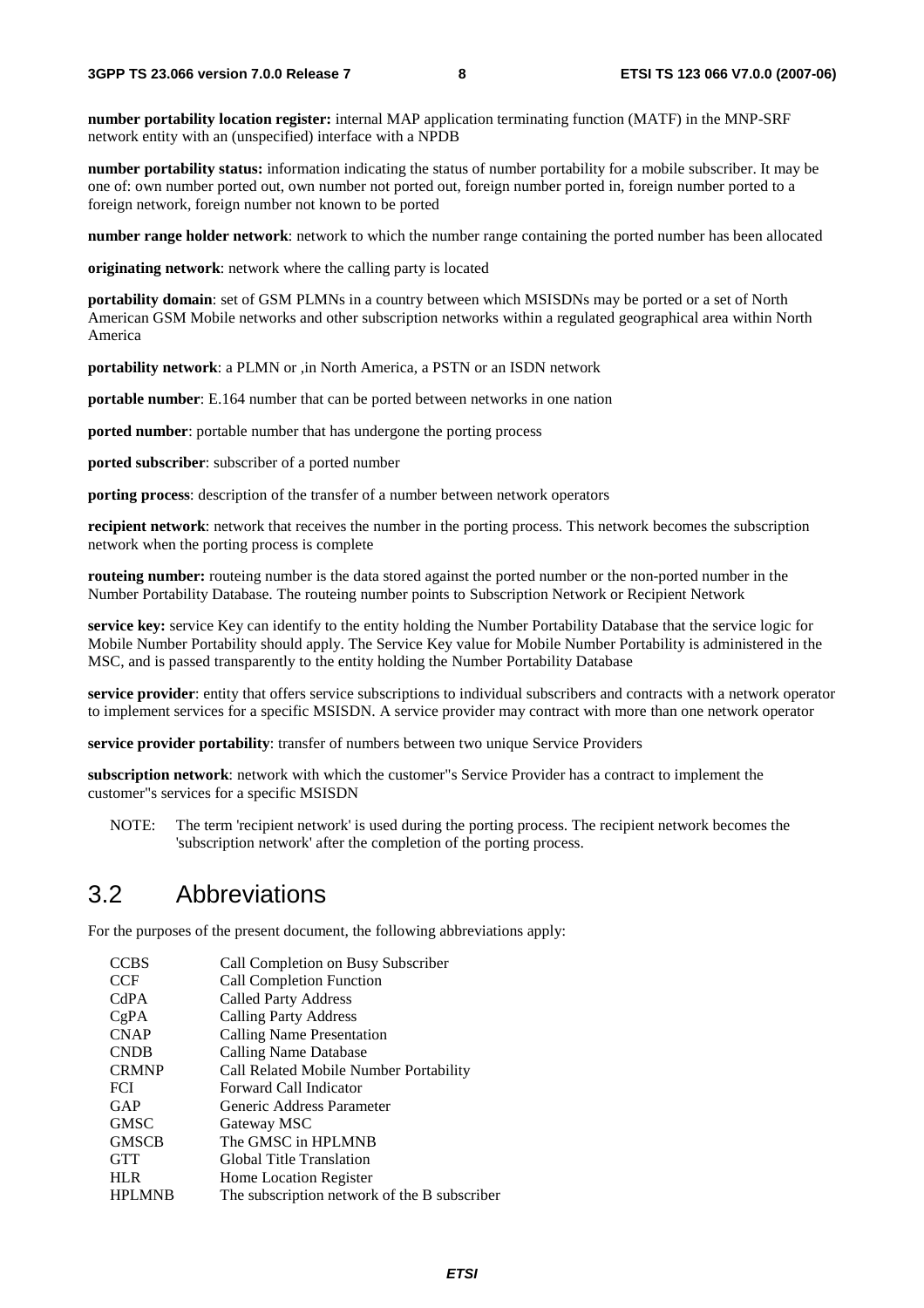**number portability location register:** internal MAP application terminating function (MATF) in the MNP-SRF network entity with an (unspecified) interface with a NPDB

**number portability status:** information indicating the status of number portability for a mobile subscriber. It may be one of: own number ported out, own number not ported out, foreign number ported in, foreign number ported to a foreign network, foreign number not known to be ported

**number range holder network**: network to which the number range containing the ported number has been allocated

**originating network**: network where the calling party is located

**portability domain**: set of GSM PLMNs in a country between which MSISDNs may be ported or a set of North American GSM Mobile networks and other subscription networks within a regulated geographical area within North America

**portability network**: a PLMN or ,in North America, a PSTN or an ISDN network

**portable number**: E.164 number that can be ported between networks in one nation

**ported number**: portable number that has undergone the porting process

**ported subscriber**: subscriber of a ported number

**porting process**: description of the transfer of a number between network operators

**recipient network**: network that receives the number in the porting process. This network becomes the subscription network when the porting process is complete

**routeing number:** routeing number is the data stored against the ported number or the non-ported number in the Number Portability Database. The routeing number points to Subscription Network or Recipient Network

**service key:** service Key can identify to the entity holding the Number Portability Database that the service logic for Mobile Number Portability should apply. The Service Key value for Mobile Number Portability is administered in the MSC, and is passed transparently to the entity holding the Number Portability Database

**service provider**: entity that offers service subscriptions to individual subscribers and contracts with a network operator to implement services for a specific MSISDN. A service provider may contract with more than one network operator

**service provider portability**: transfer of numbers between two unique Service Providers

**subscription network**: network with which the customer"s Service Provider has a contract to implement the customer"s services for a specific MSISDN

NOTE: The term 'recipient network' is used during the porting process. The recipient network becomes the 'subscription network' after the completion of the porting process.

#### 3.2 Abbreviations

For the purposes of the present document, the following abbreviations apply:

| <b>CCBS</b>   | Call Completion on Busy Subscriber           |
|---------------|----------------------------------------------|
| <b>CCF</b>    | <b>Call Completion Function</b>              |
| CdPA          | <b>Called Party Address</b>                  |
| CgPA          | <b>Calling Party Address</b>                 |
| <b>CNAP</b>   | Calling Name Presentation                    |
| <b>CNDB</b>   | Calling Name Database                        |
| <b>CRMNP</b>  | Call Related Mobile Number Portability       |
| <b>FCI</b>    | Forward Call Indicator                       |
| GAP           | Generic Address Parameter                    |
| <b>GMSC</b>   | Gateway MSC                                  |
| <b>GMSCB</b>  | The GMSC in HPLMNB                           |
| <b>GTT</b>    | Global Title Translation                     |
| <b>HLR</b>    | <b>Home Location Register</b>                |
| <b>HPLMNB</b> | The subscription network of the B subscriber |
|               |                                              |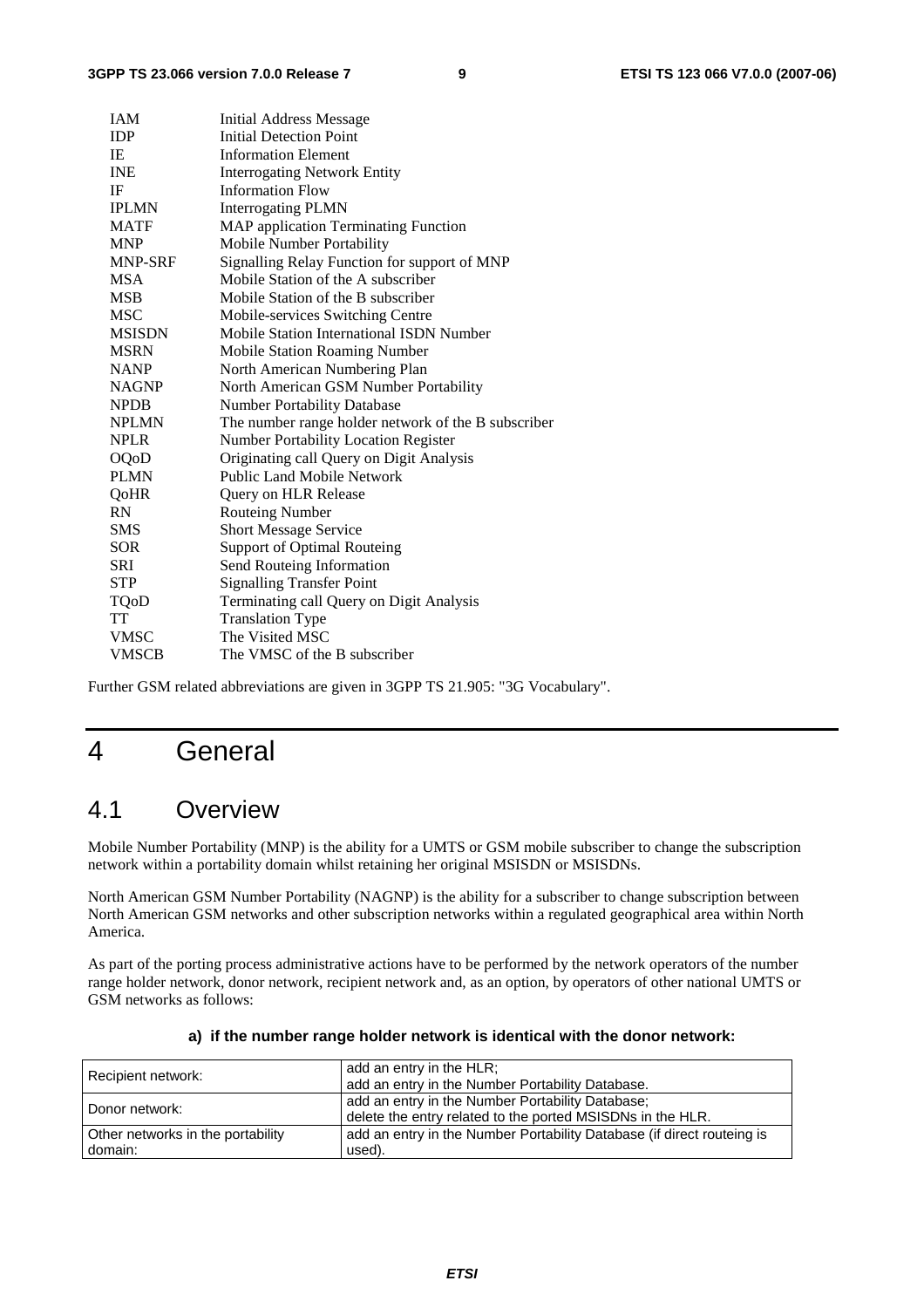| <b>IAM</b>     | <b>Initial Address Message</b>                      |
|----------------|-----------------------------------------------------|
| <b>IDP</b>     | <b>Initial Detection Point</b>                      |
| IE             | <b>Information Element</b>                          |
| <b>INE</b>     | <b>Interrogating Network Entity</b>                 |
| IF             | <b>Information Flow</b>                             |
| <b>IPLMN</b>   | <b>Interrogating PLMN</b>                           |
| <b>MATF</b>    | <b>MAP</b> application Terminating Function         |
| <b>MNP</b>     | Mobile Number Portability                           |
| <b>MNP-SRF</b> | Signalling Relay Function for support of MNP        |
| <b>MSA</b>     | Mobile Station of the A subscriber                  |
| <b>MSB</b>     | Mobile Station of the B subscriber                  |
| <b>MSC</b>     | Mobile-services Switching Centre                    |
| <b>MSISDN</b>  | Mobile Station International ISDN Number            |
| <b>MSRN</b>    | <b>Mobile Station Roaming Number</b>                |
| <b>NANP</b>    | North American Numbering Plan                       |
| <b>NAGNP</b>   | North American GSM Number Portability               |
| <b>NPDB</b>    | <b>Number Portability Database</b>                  |
| <b>NPLMN</b>   | The number range holder network of the B subscriber |
| <b>NPLR</b>    | <b>Number Portability Location Register</b>         |
| <b>OQoD</b>    | Originating call Query on Digit Analysis            |
| <b>PLMN</b>    | Public Land Mobile Network                          |
| QoHR           | Query on HLR Release                                |
| <b>RN</b>      | <b>Routeing Number</b>                              |
| <b>SMS</b>     | <b>Short Message Service</b>                        |
| <b>SOR</b>     | Support of Optimal Routeing                         |
| <b>SRI</b>     | Send Routeing Information                           |
| <b>STP</b>     | <b>Signalling Transfer Point</b>                    |
| TQoD           | Terminating call Query on Digit Analysis            |
| TT             | <b>Translation Type</b>                             |
| <b>VMSC</b>    | The Visited MSC                                     |
| <b>VMSCB</b>   | The VMSC of the B subscriber                        |

Further GSM related abbreviations are given in 3GPP TS 21.905: "3G Vocabulary".

## 4 General

#### 4.1 Overview

Mobile Number Portability (MNP) is the ability for a UMTS or GSM mobile subscriber to change the subscription network within a portability domain whilst retaining her original MSISDN or MSISDNs.

North American GSM Number Portability (NAGNP) is the ability for a subscriber to change subscription between North American GSM networks and other subscription networks within a regulated geographical area within North America.

As part of the porting process administrative actions have to be performed by the network operators of the number range holder network, donor network, recipient network and, as an option, by operators of other national UMTS or GSM networks as follows:

| Recipient network:                | add an entry in the HLR;<br>add an entry in the Number Portability Database.                                   |
|-----------------------------------|----------------------------------------------------------------------------------------------------------------|
| Donor network:                    | add an entry in the Number Portability Database;<br>delete the entry related to the ported MSISDNs in the HLR. |
| Other networks in the portability | add an entry in the Number Portability Database (if direct routeing is                                         |
| domain:                           | used).                                                                                                         |

#### **a) if the number range holder network is identical with the donor network:**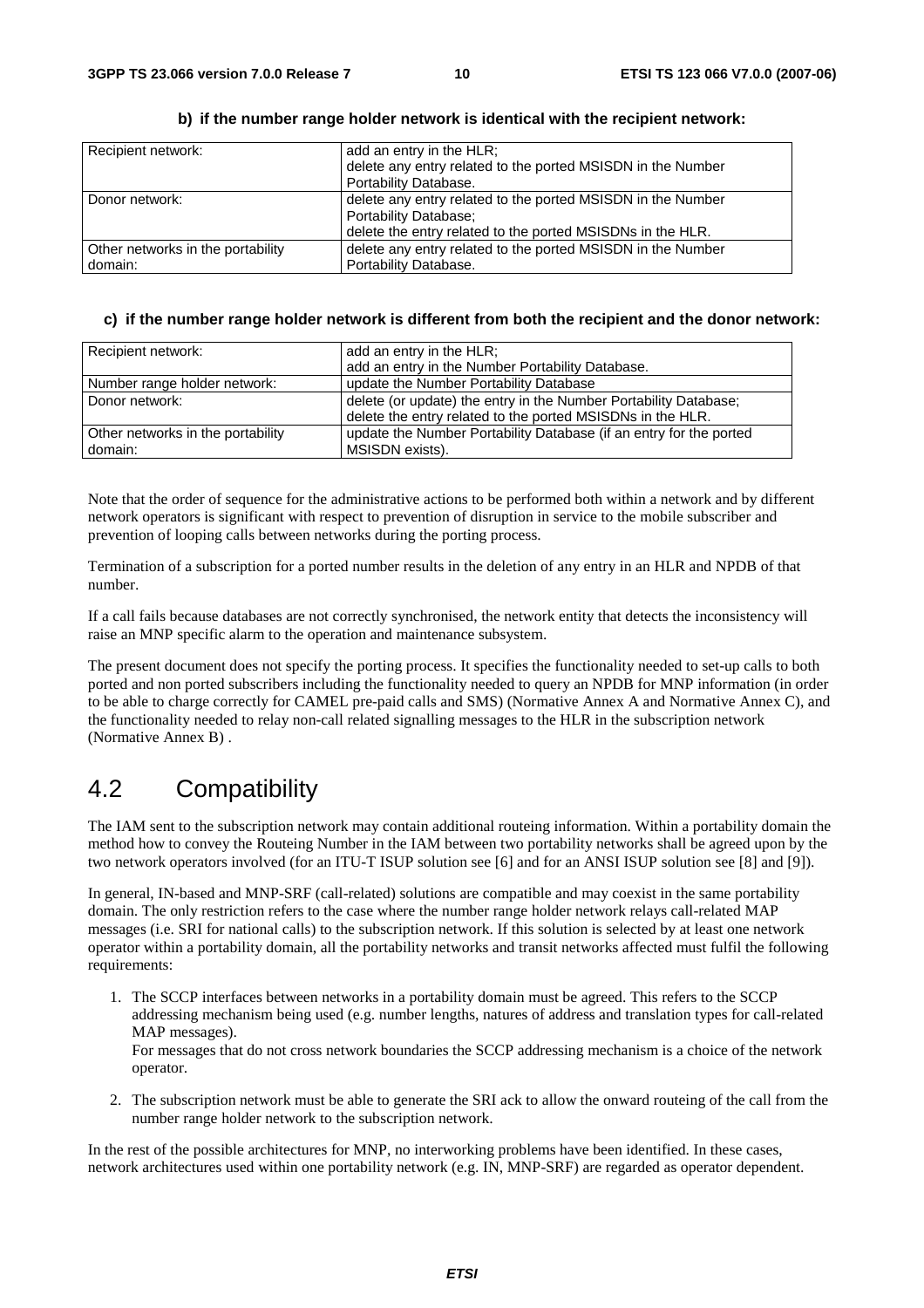| Recipient network:                | add an entry in the HLR;                                    |
|-----------------------------------|-------------------------------------------------------------|
|                                   | delete any entry related to the ported MSISDN in the Number |
|                                   | Portability Database.                                       |
| l Donor network:                  | delete any entry related to the ported MSISDN in the Number |
|                                   | Portability Database;                                       |
|                                   | delete the entry related to the ported MSISDNs in the HLR.  |
| Other networks in the portability | delete any entry related to the ported MSISDN in the Number |
| domain:                           | Portability Database.                                       |

#### **b) if the number range holder network is identical with the recipient network:**

#### **c) if the number range holder network is different from both the recipient and the donor network:**

| Recipient network:                | add an entry in the HLR;                                           |
|-----------------------------------|--------------------------------------------------------------------|
|                                   | add an entry in the Number Portability Database.                   |
| Number range holder network:      | update the Number Portability Database                             |
| Donor network:                    | delete (or update) the entry in the Number Portability Database;   |
|                                   | delete the entry related to the ported MSISDNs in the HLR.         |
| Other networks in the portability | update the Number Portability Database (if an entry for the ported |
| domain:                           | MSISDN exists).                                                    |

Note that the order of sequence for the administrative actions to be performed both within a network and by different network operators is significant with respect to prevention of disruption in service to the mobile subscriber and prevention of looping calls between networks during the porting process.

Termination of a subscription for a ported number results in the deletion of any entry in an HLR and NPDB of that number.

If a call fails because databases are not correctly synchronised, the network entity that detects the inconsistency will raise an MNP specific alarm to the operation and maintenance subsystem.

The present document does not specify the porting process. It specifies the functionality needed to set-up calls to both ported and non ported subscribers including the functionality needed to query an NPDB for MNP information (in order to be able to charge correctly for CAMEL pre-paid calls and SMS) (Normative Annex A and Normative Annex C), and the functionality needed to relay non-call related signalling messages to the HLR in the subscription network (Normative Annex B) .

#### 4.2 Compatibility

The IAM sent to the subscription network may contain additional routeing information. Within a portability domain the method how to convey the Routeing Number in the IAM between two portability networks shall be agreed upon by the two network operators involved (for an ITU-T ISUP solution see [6] and for an ANSI ISUP solution see [8] and [9]).

In general, IN-based and MNP-SRF (call-related) solutions are compatible and may coexist in the same portability domain. The only restriction refers to the case where the number range holder network relays call-related MAP messages (i.e. SRI for national calls) to the subscription network. If this solution is selected by at least one network operator within a portability domain, all the portability networks and transit networks affected must fulfil the following requirements:

1. The SCCP interfaces between networks in a portability domain must be agreed. This refers to the SCCP addressing mechanism being used (e.g. number lengths, natures of address and translation types for call-related MAP messages).

For messages that do not cross network boundaries the SCCP addressing mechanism is a choice of the network operator.

2. The subscription network must be able to generate the SRI ack to allow the onward routeing of the call from the number range holder network to the subscription network.

In the rest of the possible architectures for MNP, no interworking problems have been identified. In these cases, network architectures used within one portability network (e.g. IN, MNP-SRF) are regarded as operator dependent.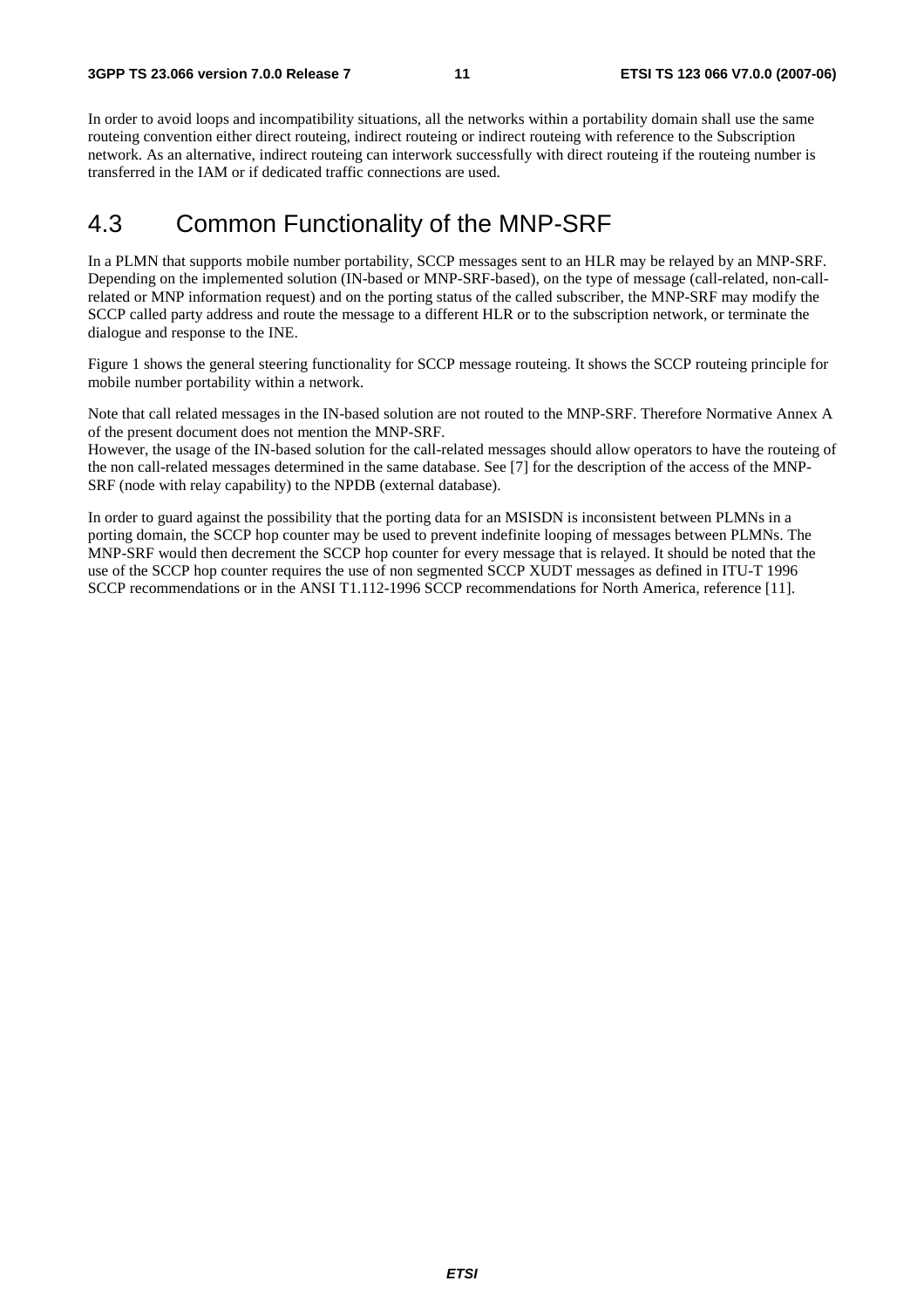In order to avoid loops and incompatibility situations, all the networks within a portability domain shall use the same routeing convention either direct routeing, indirect routeing or indirect routeing with reference to the Subscription network. As an alternative, indirect routeing can interwork successfully with direct routeing if the routeing number is transferred in the IAM or if dedicated traffic connections are used.

#### 4.3 Common Functionality of the MNP-SRF

In a PLMN that supports mobile number portability, SCCP messages sent to an HLR may be relayed by an MNP-SRF. Depending on the implemented solution (IN-based or MNP-SRF-based), on the type of message (call-related, non-callrelated or MNP information request) and on the porting status of the called subscriber, the MNP-SRF may modify the SCCP called party address and route the message to a different HLR or to the subscription network, or terminate the dialogue and response to the INE.

Figure 1 shows the general steering functionality for SCCP message routeing. It shows the SCCP routeing principle for mobile number portability within a network.

Note that call related messages in the IN-based solution are not routed to the MNP-SRF. Therefore Normative Annex A of the present document does not mention the MNP-SRF.

However, the usage of the IN-based solution for the call-related messages should allow operators to have the routeing of the non call-related messages determined in the same database. See [7] for the description of the access of the MNP-SRF (node with relay capability) to the NPDB (external database).

In order to guard against the possibility that the porting data for an MSISDN is inconsistent between PLMNs in a porting domain, the SCCP hop counter may be used to prevent indefinite looping of messages between PLMNs. The MNP-SRF would then decrement the SCCP hop counter for every message that is relayed. It should be noted that the use of the SCCP hop counter requires the use of non segmented SCCP XUDT messages as defined in ITU-T 1996 SCCP recommendations or in the ANSI T1.112-1996 SCCP recommendations for North America, reference [11].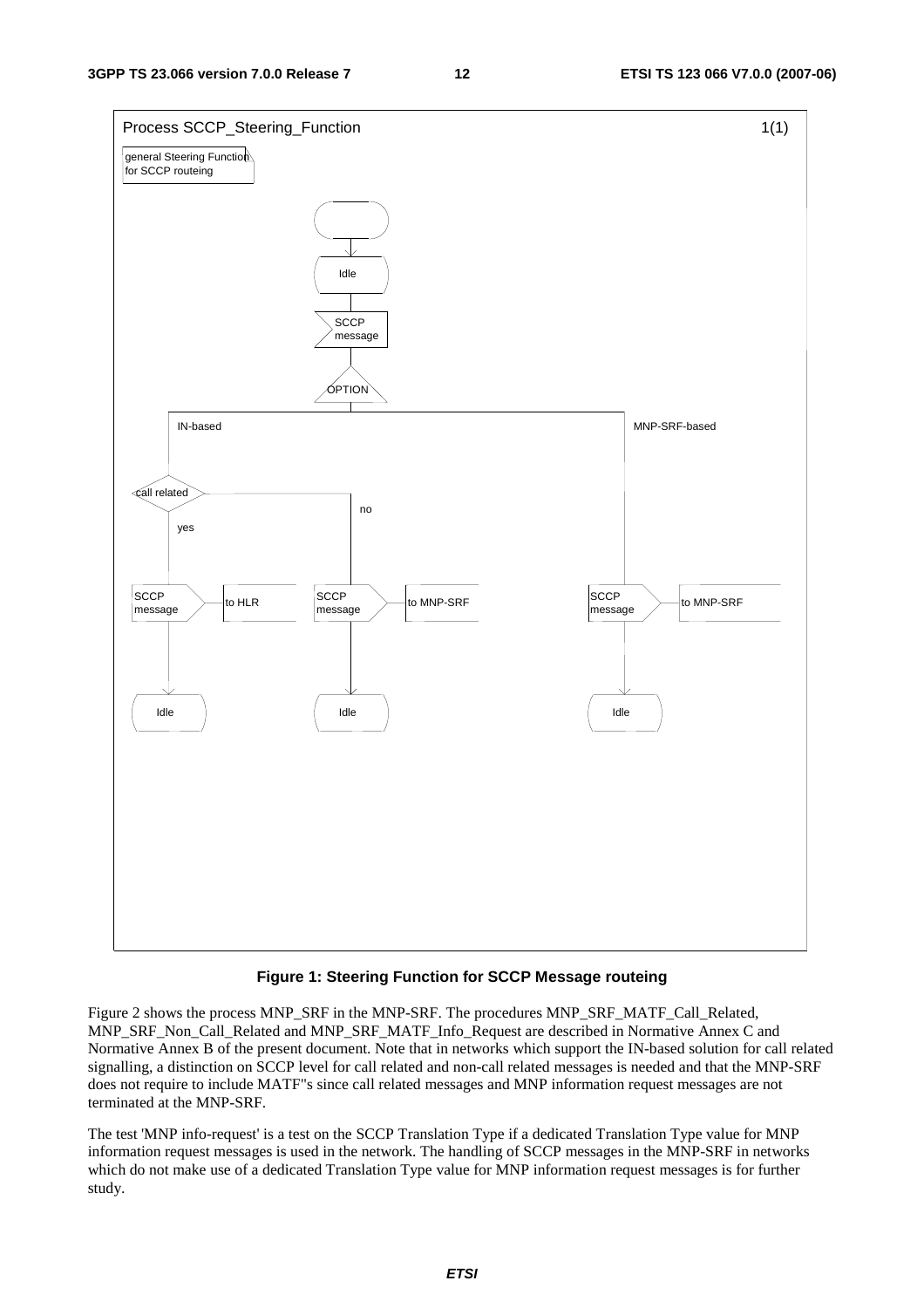

#### **Figure 1: Steering Function for SCCP Message routeing**

Figure 2 shows the process MNP\_SRF in the MNP-SRF. The procedures MNP\_SRF\_MATF\_Call\_Related, MNP\_SRF\_Non\_Call\_Related and MNP\_SRF\_MATF\_Info\_Request are described in Normative Annex C and Normative Annex B of the present document. Note that in networks which support the IN-based solution for call related signalling, a distinction on SCCP level for call related and non-call related messages is needed and that the MNP-SRF does not require to include MATF"s since call related messages and MNP information request messages are not terminated at the MNP-SRF.

The test 'MNP info-request' is a test on the SCCP Translation Type if a dedicated Translation Type value for MNP information request messages is used in the network. The handling of SCCP messages in the MNP-SRF in networks which do not make use of a dedicated Translation Type value for MNP information request messages is for further study.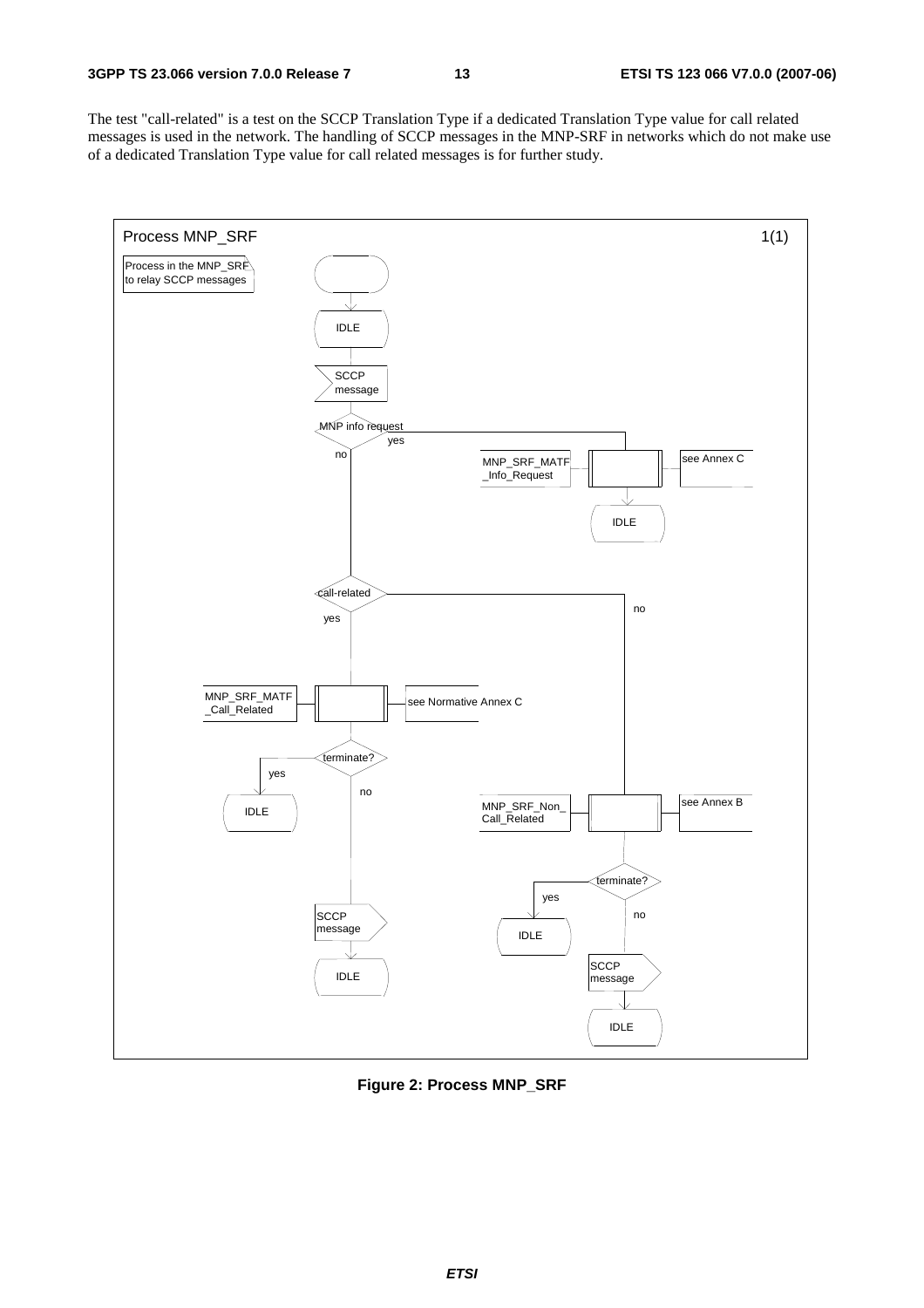The test "call-related" is a test on the SCCP Translation Type if a dedicated Translation Type value for call related messages is used in the network. The handling of SCCP messages in the MNP-SRF in networks which do not make use of a dedicated Translation Type value for call related messages is for further study.



**Figure 2: Process MNP\_SRF**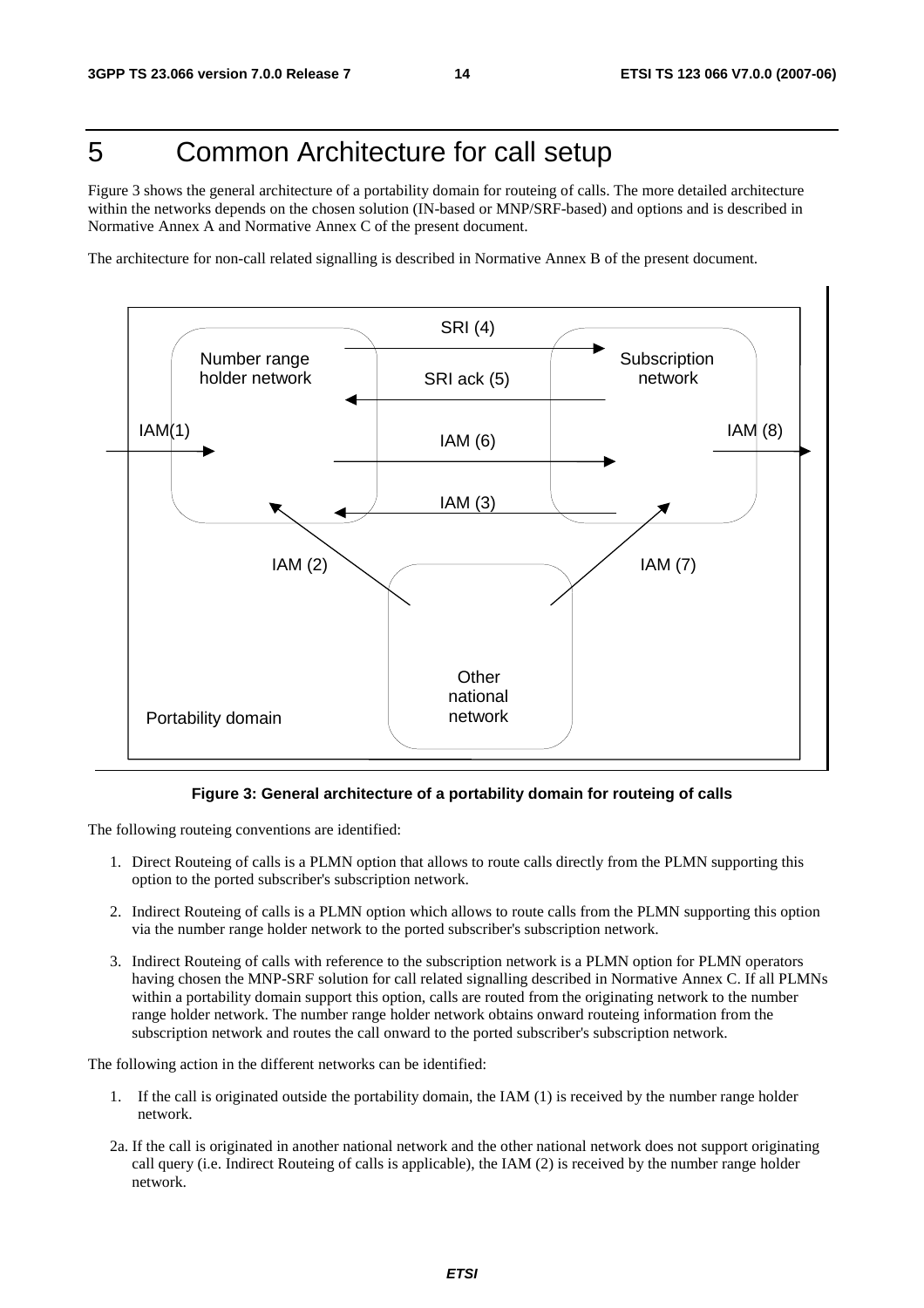## 5 Common Architecture for call setup

Figure 3 shows the general architecture of a portability domain for routeing of calls. The more detailed architecture within the networks depends on the chosen solution (IN-based or MNP/SRF-based) and options and is described in Normative Annex A and Normative Annex C of the present document.

The architecture for non-call related signalling is described in Normative Annex B of the present document.



#### **Figure 3: General architecture of a portability domain for routeing of calls**

The following routeing conventions are identified:

- 1. Direct Routeing of calls is a PLMN option that allows to route calls directly from the PLMN supporting this option to the ported subscriber's subscription network.
- 2. Indirect Routeing of calls is a PLMN option which allows to route calls from the PLMN supporting this option via the number range holder network to the ported subscriber's subscription network.
- 3. Indirect Routeing of calls with reference to the subscription network is a PLMN option for PLMN operators having chosen the MNP-SRF solution for call related signalling described in Normative Annex C. If all PLMNs within a portability domain support this option, calls are routed from the originating network to the number range holder network. The number range holder network obtains onward routeing information from the subscription network and routes the call onward to the ported subscriber's subscription network.

The following action in the different networks can be identified:

- 1. If the call is originated outside the portability domain, the IAM (1) is received by the number range holder network.
- 2a. If the call is originated in another national network and the other national network does not support originating call query (i.e. Indirect Routeing of calls is applicable), the IAM (2) is received by the number range holder network.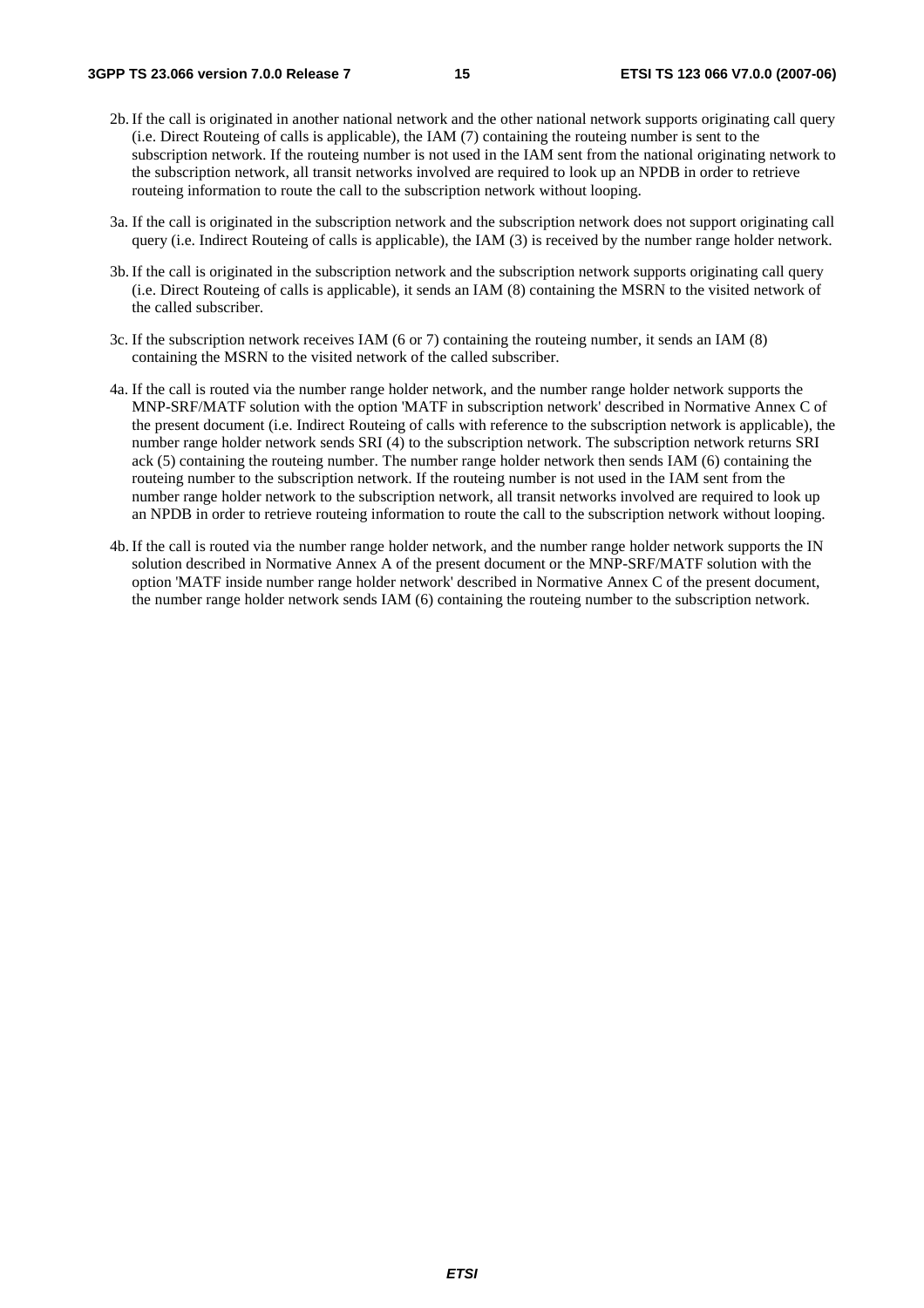- 2b. If the call is originated in another national network and the other national network supports originating call query (i.e. Direct Routeing of calls is applicable), the IAM (7) containing the routeing number is sent to the subscription network. If the routeing number is not used in the IAM sent from the national originating network to the subscription network, all transit networks involved are required to look up an NPDB in order to retrieve routeing information to route the call to the subscription network without looping.
- 3a. If the call is originated in the subscription network and the subscription network does not support originating call query (i.e. Indirect Routeing of calls is applicable), the IAM (3) is received by the number range holder network.
- 3b. If the call is originated in the subscription network and the subscription network supports originating call query (i.e. Direct Routeing of calls is applicable), it sends an IAM (8) containing the MSRN to the visited network of the called subscriber.
- 3c. If the subscription network receives IAM (6 or 7) containing the routeing number, it sends an IAM (8) containing the MSRN to the visited network of the called subscriber.
- 4a. If the call is routed via the number range holder network, and the number range holder network supports the MNP-SRF/MATF solution with the option 'MATF in subscription network' described in Normative Annex C of the present document (i.e. Indirect Routeing of calls with reference to the subscription network is applicable), the number range holder network sends SRI (4) to the subscription network. The subscription network returns SRI ack (5) containing the routeing number. The number range holder network then sends IAM (6) containing the routeing number to the subscription network. If the routeing number is not used in the IAM sent from the number range holder network to the subscription network, all transit networks involved are required to look up an NPDB in order to retrieve routeing information to route the call to the subscription network without looping.
- 4b. If the call is routed via the number range holder network, and the number range holder network supports the IN solution described in Normative Annex A of the present document or the MNP-SRF/MATF solution with the option 'MATF inside number range holder network' described in Normative Annex C of the present document, the number range holder network sends IAM (6) containing the routeing number to the subscription network.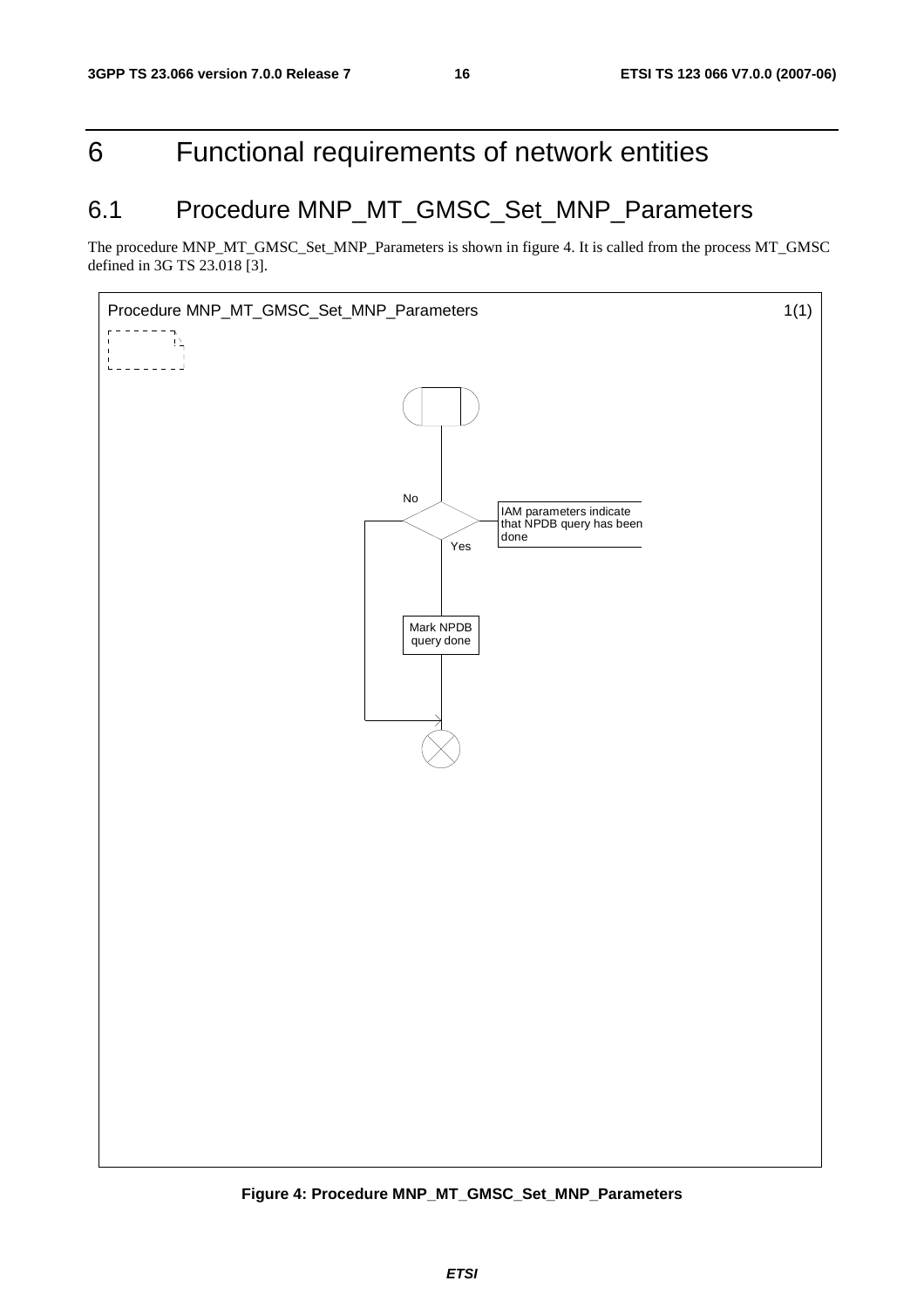## 6 Functional requirements of network entities

## 6.1 Procedure MNP\_MT\_GMSC\_Set\_MNP\_Parameters

The procedure MNP\_MT\_GMSC\_Set\_MNP\_Parameters is shown in figure 4. It is called from the process MT\_GMSC defined in 3G TS 23.018 [3].



**Figure 4: Procedure MNP\_MT\_GMSC\_Set\_MNP\_Parameters**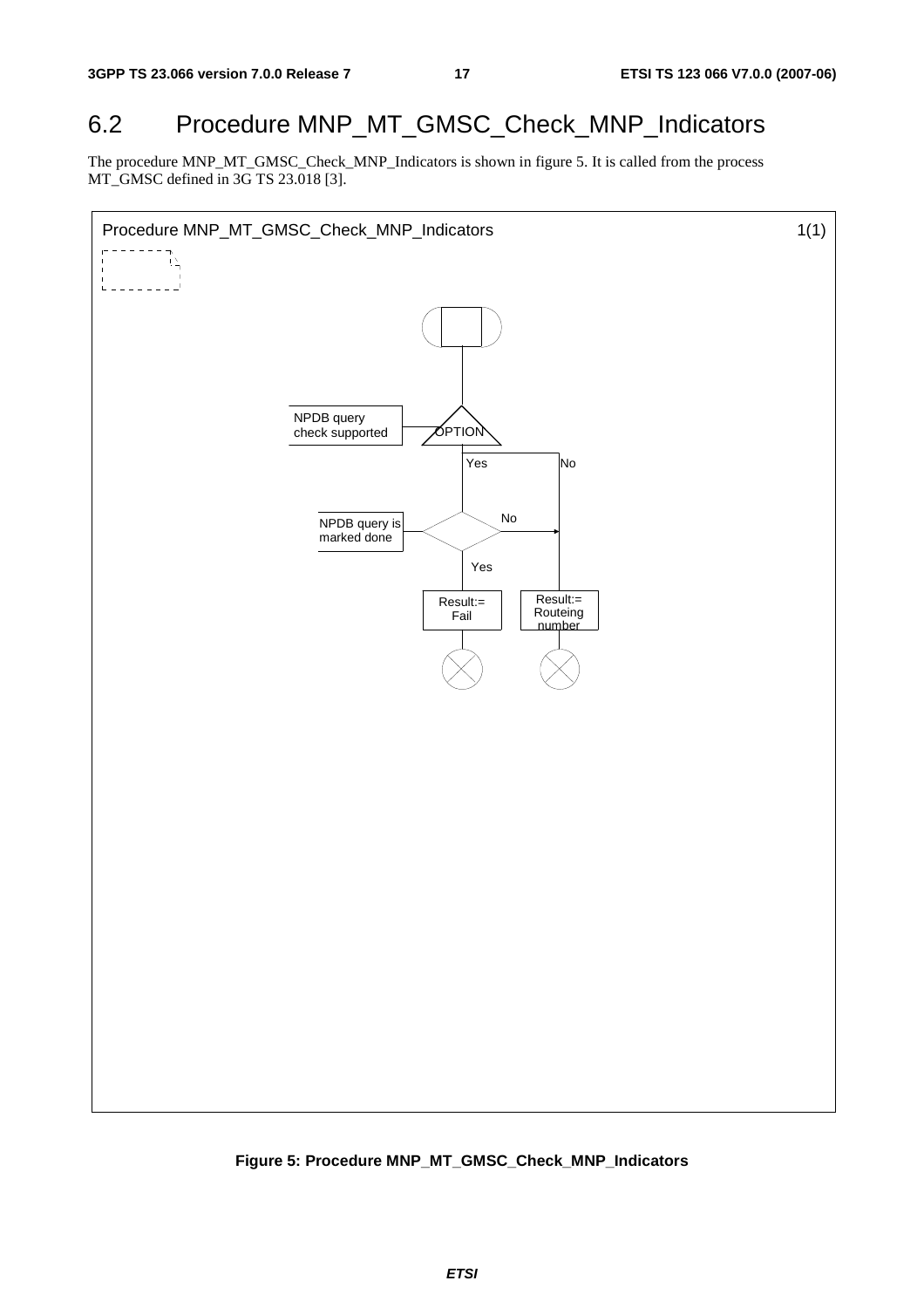### 6.2 Procedure MNP\_MT\_GMSC\_Check\_MNP\_Indicators

The procedure MNP\_MT\_GMSC\_Check\_MNP\_Indicators is shown in figure 5. It is called from the process MT\_GMSC defined in 3G TS 23.018 [3].



**Figure 5: Procedure MNP\_MT\_GMSC\_Check\_MNP\_Indicators**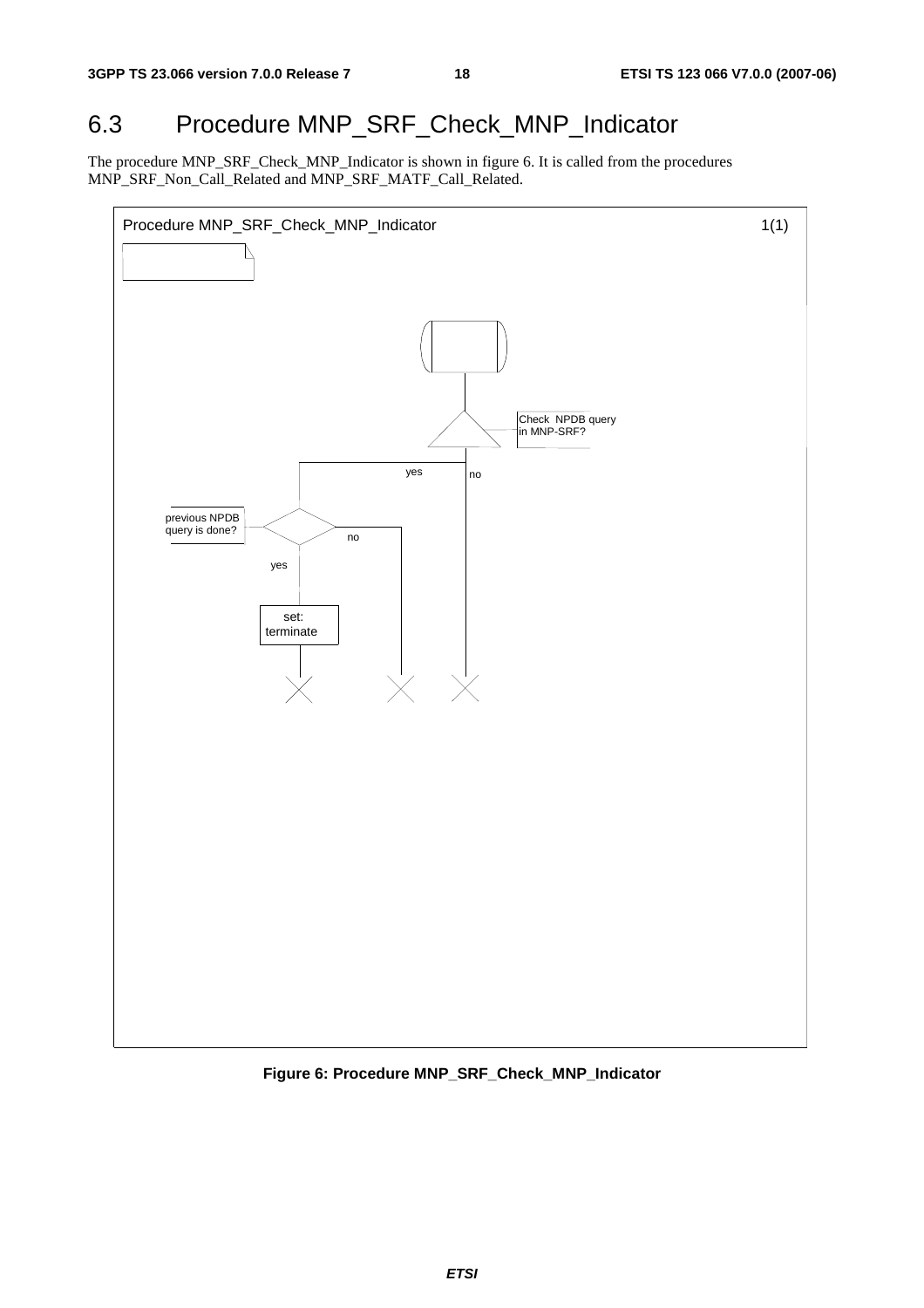## 6.3 Procedure MNP\_SRF\_Check\_MNP\_Indicator

The procedure MNP\_SRF\_Check\_MNP\_Indicator is shown in figure 6. It is called from the procedures MNP\_SRF\_Non\_Call\_Related and MNP\_SRF\_MATF\_Call\_Related.



**Figure 6: Procedure MNP\_SRF\_Check\_MNP\_Indicator**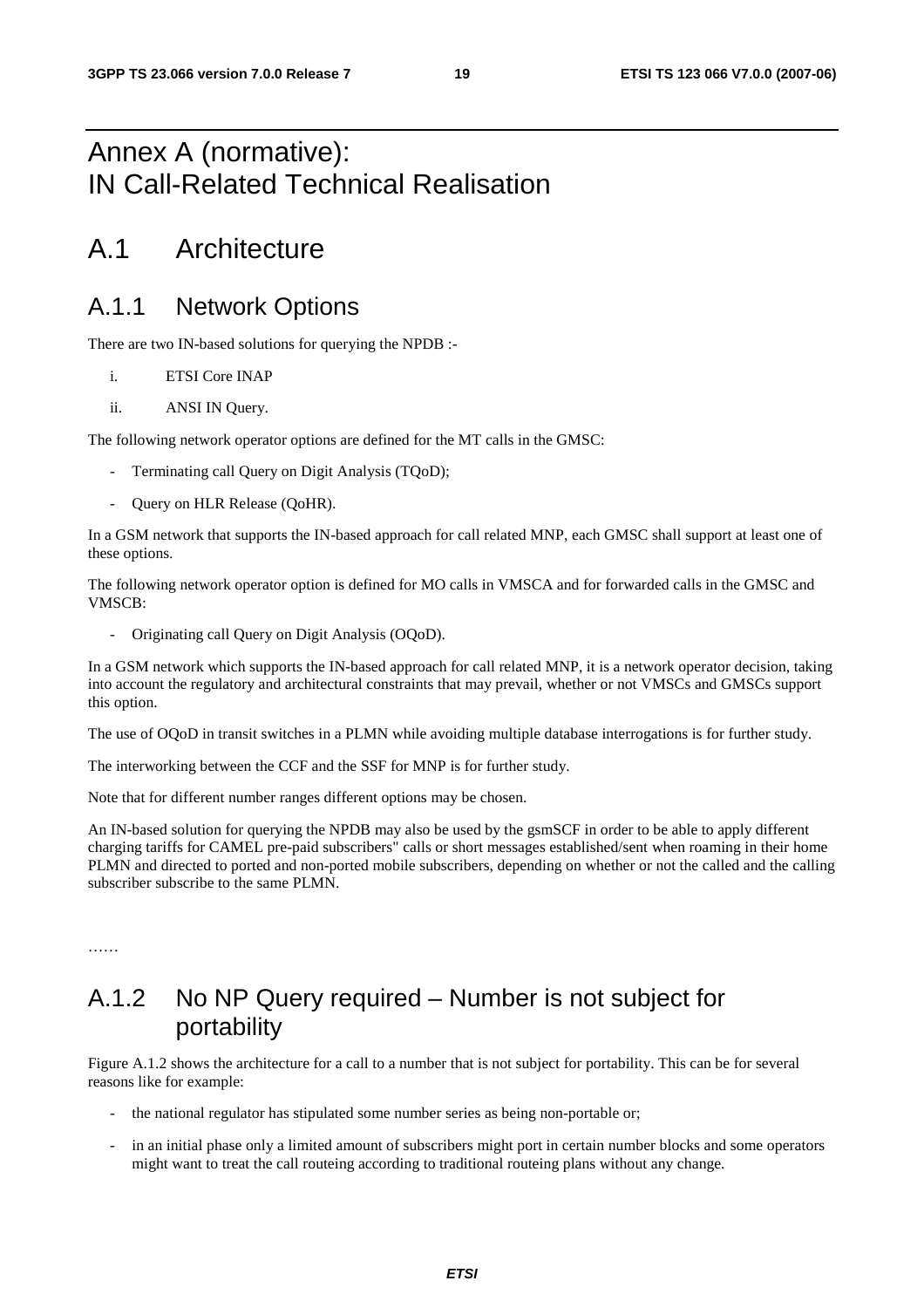## Annex A (normative): IN Call-Related Technical Realisation

## A.1 Architecture

#### A.1.1 Network Options

There are two IN-based solutions for querying the NPDB :-

- i. ETSI Core INAP
- ii. ANSI IN Query.

The following network operator options are defined for the MT calls in the GMSC:

- Terminating call Query on Digit Analysis (TQoD);
- Query on HLR Release (QoHR).

In a GSM network that supports the IN-based approach for call related MNP, each GMSC shall support at least one of these options.

The following network operator option is defined for MO calls in VMSCA and for forwarded calls in the GMSC and VMSCB:

- Originating call Query on Digit Analysis (OQoD).

In a GSM network which supports the IN-based approach for call related MNP, it is a network operator decision, taking into account the regulatory and architectural constraints that may prevail, whether or not VMSCs and GMSCs support this option.

The use of OQoD in transit switches in a PLMN while avoiding multiple database interrogations is for further study.

The interworking between the CCF and the SSF for MNP is for further study.

Note that for different number ranges different options may be chosen.

An IN-based solution for querying the NPDB may also be used by the gsmSCF in order to be able to apply different charging tariffs for CAMEL pre-paid subscribers" calls or short messages established/sent when roaming in their home PLMN and directed to ported and non-ported mobile subscribers, depending on whether or not the called and the calling subscriber subscribe to the same PLMN.

## A.1.2 No NP Query required – Number is not subject for portability

Figure A.1.2 shows the architecture for a call to a number that is not subject for portability. This can be for several reasons like for example:

- the national regulator has stipulated some number series as being non-portable or;
- in an initial phase only a limited amount of subscribers might port in certain number blocks and some operators might want to treat the call routeing according to traditional routeing plans without any change.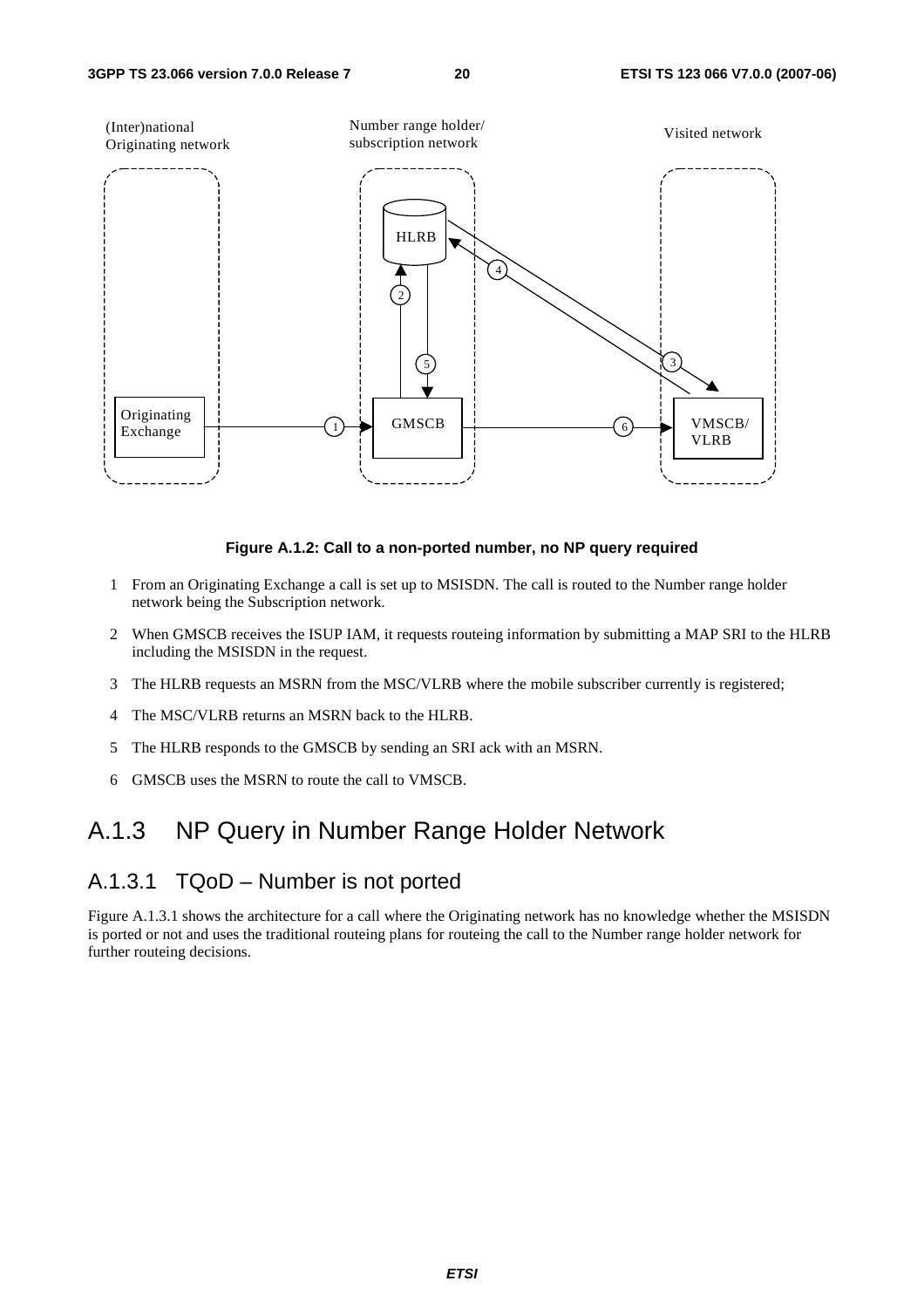

#### **Figure A.1.2: Call to a non-ported number, no NP query required**

- 1 From an Originating Exchange a call is set up to MSISDN. The call is routed to the Number range holder network being the Subscription network.
- 2 When GMSCB receives the ISUP IAM, it requests routeing information by submitting a MAP SRI to the HLRB including the MSISDN in the request.
- 3 The HLRB requests an MSRN from the MSC/VLRB where the mobile subscriber currently is registered;
- 4 The MSC/VLRB returns an MSRN back to the HLRB.
- 5 The HLRB responds to the GMSCB by sending an SRI ack with an MSRN.
- 6 GMSCB uses the MSRN to route the call to VMSCB.

#### A.1.3 NP Query in Number Range Holder Network

#### A.1.3.1 TQoD – Number is not ported

Figure A.1.3.1 shows the architecture for a call where the Originating network has no knowledge whether the MSISDN is ported or not and uses the traditional routeing plans for routeing the call to the Number range holder network for further routeing decisions.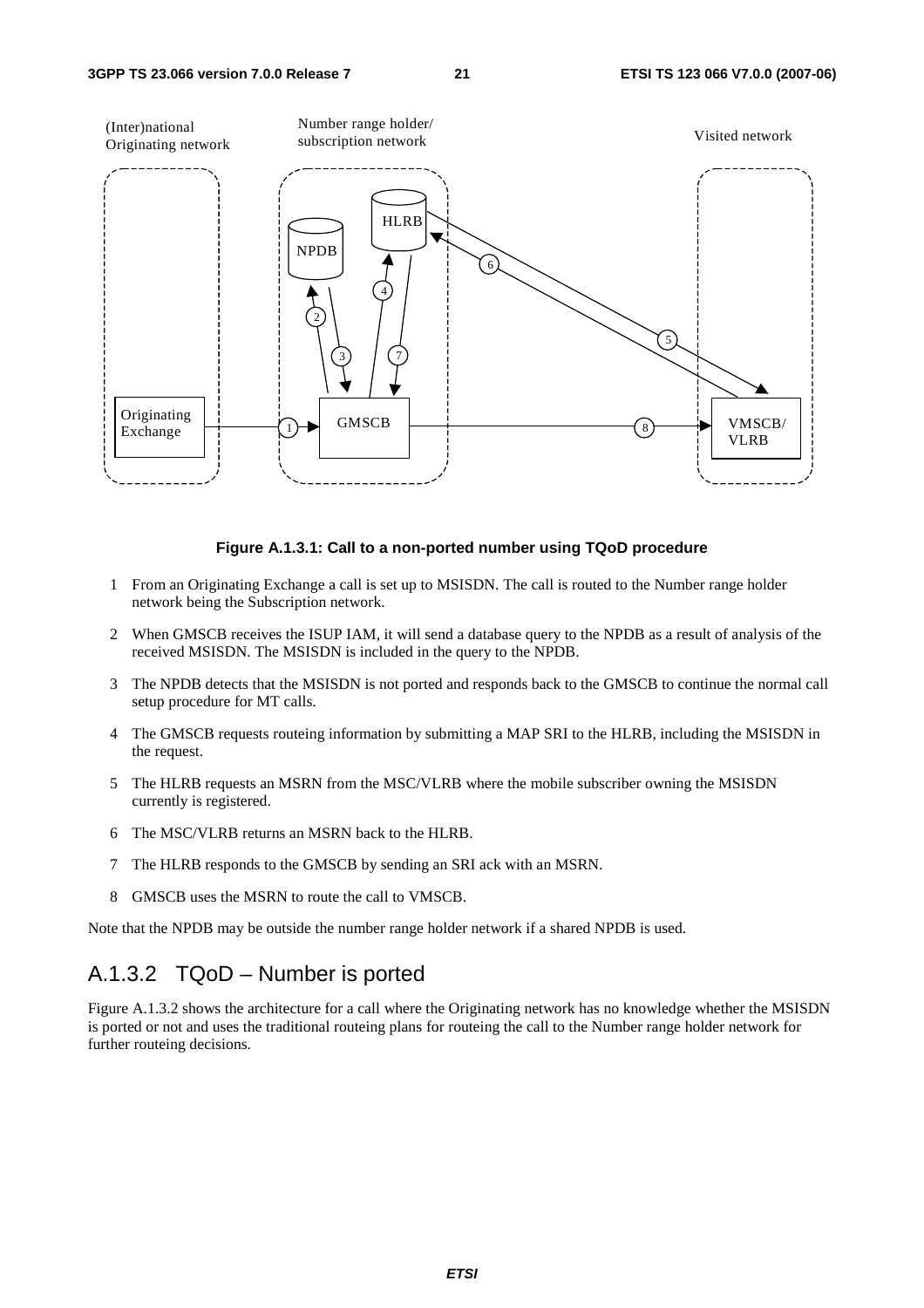

#### **Figure A.1.3.1: Call to a non-ported number using TQoD procedure**

- 1 From an Originating Exchange a call is set up to MSISDN. The call is routed to the Number range holder network being the Subscription network.
- 2 When GMSCB receives the ISUP IAM, it will send a database query to the NPDB as a result of analysis of the received MSISDN. The MSISDN is included in the query to the NPDB.
- 3 The NPDB detects that the MSISDN is not ported and responds back to the GMSCB to continue the normal call setup procedure for MT calls.
- 4 The GMSCB requests routeing information by submitting a MAP SRI to the HLRB, including the MSISDN in the request.
- 5 The HLRB requests an MSRN from the MSC/VLRB where the mobile subscriber owning the MSISDN currently is registered.
- 6 The MSC/VLRB returns an MSRN back to the HLRB.
- 7 The HLRB responds to the GMSCB by sending an SRI ack with an MSRN.
- 8 GMSCB uses the MSRN to route the call to VMSCB.

Note that the NPDB may be outside the number range holder network if a shared NPDB is used.

#### A.1.3.2 TQoD – Number is ported

Figure A.1.3.2 shows the architecture for a call where the Originating network has no knowledge whether the MSISDN is ported or not and uses the traditional routeing plans for routeing the call to the Number range holder network for further routeing decisions.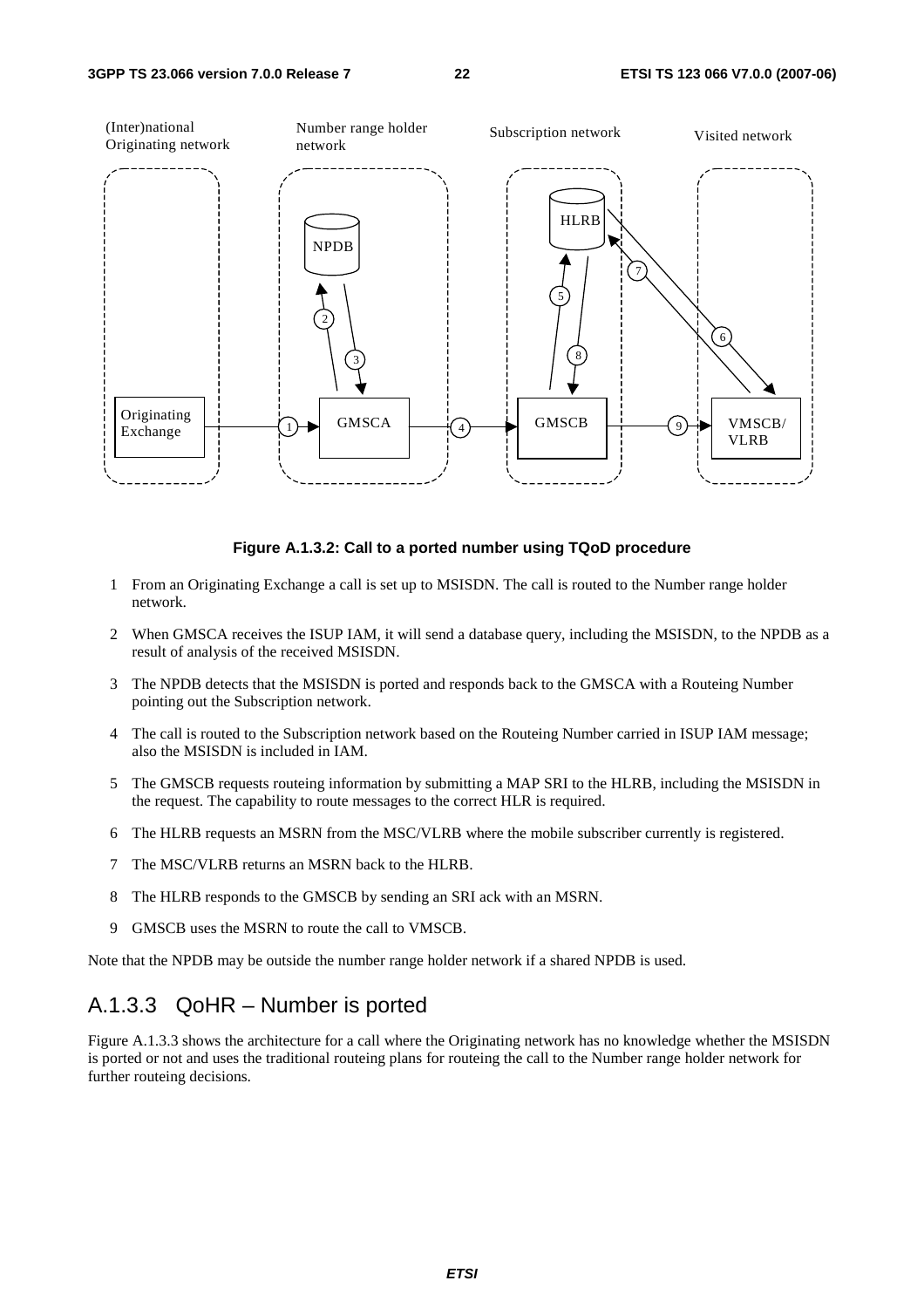

#### **Figure A.1.3.2: Call to a ported number using TQoD procedure**

- 1 From an Originating Exchange a call is set up to MSISDN. The call is routed to the Number range holder network.
- 2 When GMSCA receives the ISUP IAM, it will send a database query, including the MSISDN, to the NPDB as a result of analysis of the received MSISDN.
- 3 The NPDB detects that the MSISDN is ported and responds back to the GMSCA with a Routeing Number pointing out the Subscription network.
- 4 The call is routed to the Subscription network based on the Routeing Number carried in ISUP IAM message; also the MSISDN is included in IAM.
- 5 The GMSCB requests routeing information by submitting a MAP SRI to the HLRB, including the MSISDN in the request. The capability to route messages to the correct HLR is required.
- 6 The HLRB requests an MSRN from the MSC/VLRB where the mobile subscriber currently is registered.
- 7 The MSC/VLRB returns an MSRN back to the HLRB.
- 8 The HLRB responds to the GMSCB by sending an SRI ack with an MSRN.
- 9 GMSCB uses the MSRN to route the call to VMSCB.

Note that the NPDB may be outside the number range holder network if a shared NPDB is used.

#### A.1.3.3 QoHR – Number is ported

Figure A.1.3.3 shows the architecture for a call where the Originating network has no knowledge whether the MSISDN is ported or not and uses the traditional routeing plans for routeing the call to the Number range holder network for further routeing decisions.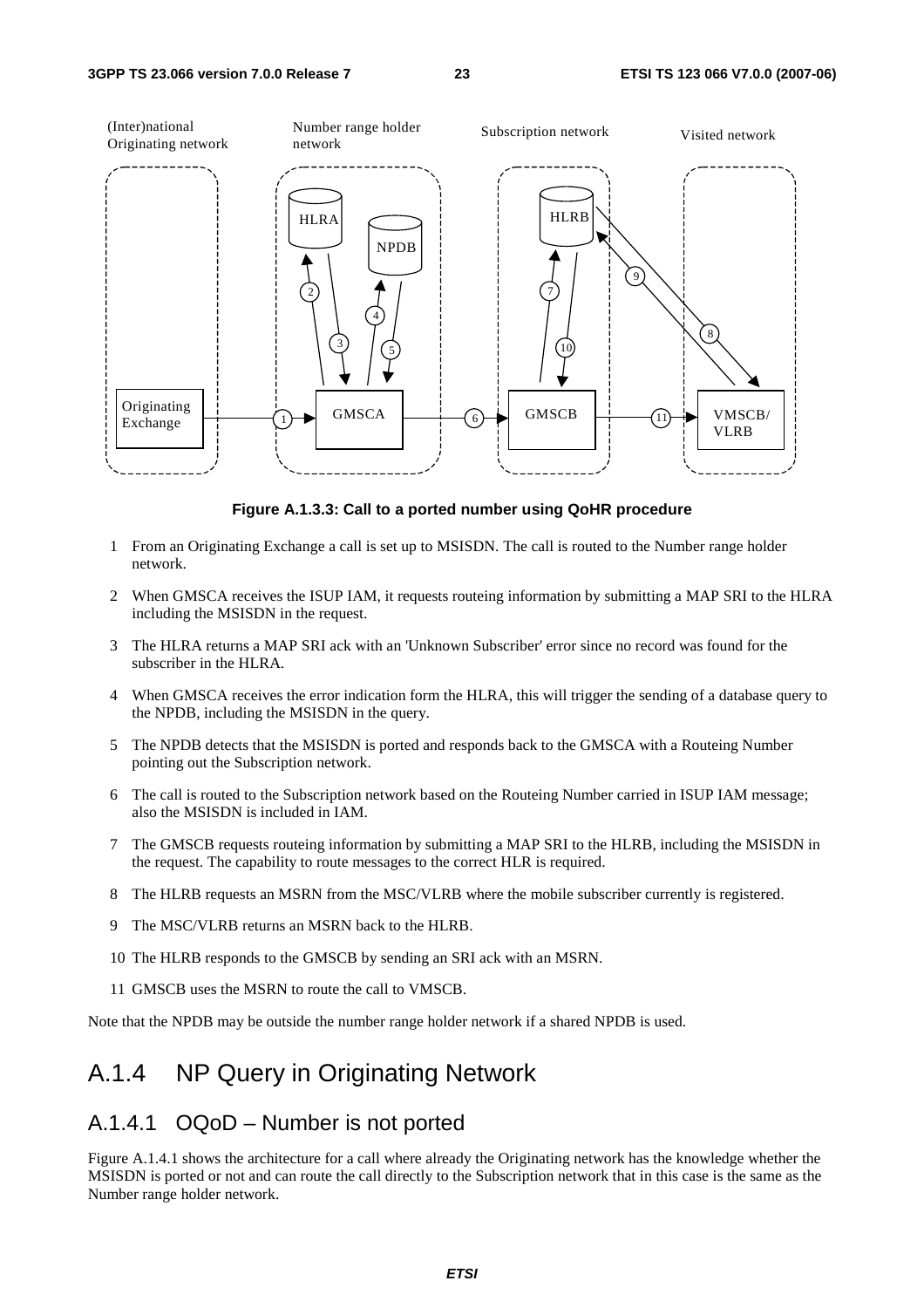

**Figure A.1.3.3: Call to a ported number using QoHR procedure** 

- 1 From an Originating Exchange a call is set up to MSISDN. The call is routed to the Number range holder network.
- 2 When GMSCA receives the ISUP IAM, it requests routeing information by submitting a MAP SRI to the HLRA including the MSISDN in the request.
- 3 The HLRA returns a MAP SRI ack with an 'Unknown Subscriber' error since no record was found for the subscriber in the HLRA.
- 4 When GMSCA receives the error indication form the HLRA, this will trigger the sending of a database query to the NPDB, including the MSISDN in the query.
- 5 The NPDB detects that the MSISDN is ported and responds back to the GMSCA with a Routeing Number pointing out the Subscription network.
- 6 The call is routed to the Subscription network based on the Routeing Number carried in ISUP IAM message; also the MSISDN is included in IAM.
- 7 The GMSCB requests routeing information by submitting a MAP SRI to the HLRB, including the MSISDN in the request. The capability to route messages to the correct HLR is required.
- 8 The HLRB requests an MSRN from the MSC/VLRB where the mobile subscriber currently is registered.
- 9 The MSC/VLRB returns an MSRN back to the HLRB.
- 10 The HLRB responds to the GMSCB by sending an SRI ack with an MSRN.
- 11 GMSCB uses the MSRN to route the call to VMSCB.

Note that the NPDB may be outside the number range holder network if a shared NPDB is used.

## A.1.4 NP Query in Originating Network

#### A.1.4.1 OQoD – Number is not ported

Figure A.1.4.1 shows the architecture for a call where already the Originating network has the knowledge whether the MSISDN is ported or not and can route the call directly to the Subscription network that in this case is the same as the Number range holder network.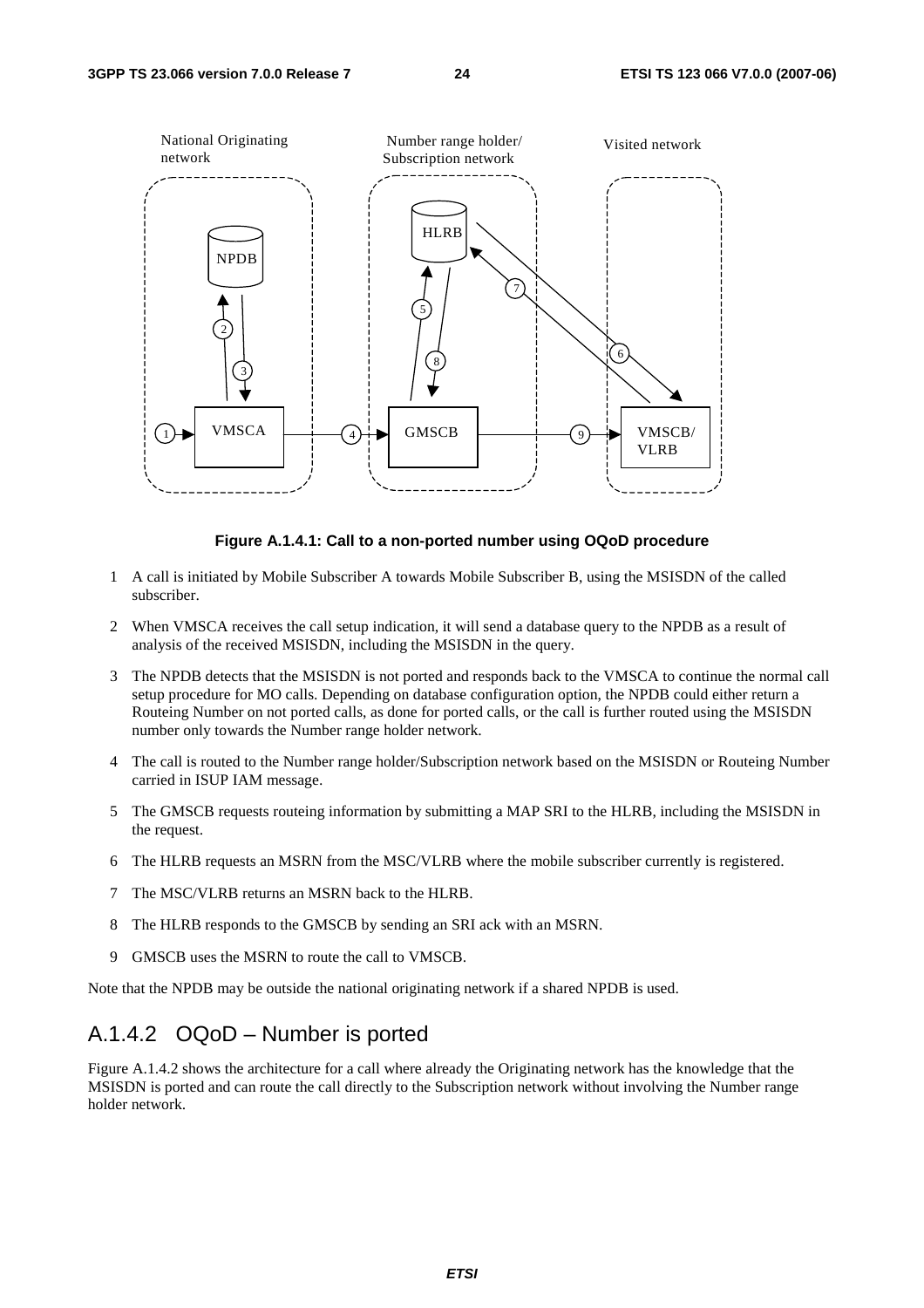

#### **Figure A.1.4.1: Call to a non-ported number using OQoD procedure**

- 1 A call is initiated by Mobile Subscriber A towards Mobile Subscriber B, using the MSISDN of the called subscriber.
- 2 When VMSCA receives the call setup indication, it will send a database query to the NPDB as a result of analysis of the received MSISDN, including the MSISDN in the query.
- 3 The NPDB detects that the MSISDN is not ported and responds back to the VMSCA to continue the normal call setup procedure for MO calls. Depending on database configuration option, the NPDB could either return a Routeing Number on not ported calls, as done for ported calls, or the call is further routed using the MSISDN number only towards the Number range holder network.
- 4 The call is routed to the Number range holder/Subscription network based on the MSISDN or Routeing Number carried in ISUP IAM message.
- 5 The GMSCB requests routeing information by submitting a MAP SRI to the HLRB, including the MSISDN in the request.
- 6 The HLRB requests an MSRN from the MSC/VLRB where the mobile subscriber currently is registered.
- 7 The MSC/VLRB returns an MSRN back to the HLRB.
- 8 The HLRB responds to the GMSCB by sending an SRI ack with an MSRN.
- 9 GMSCB uses the MSRN to route the call to VMSCB.

Note that the NPDB may be outside the national originating network if a shared NPDB is used.

#### A.1.4.2 OQoD – Number is ported

Figure A.1.4.2 shows the architecture for a call where already the Originating network has the knowledge that the MSISDN is ported and can route the call directly to the Subscription network without involving the Number range holder network.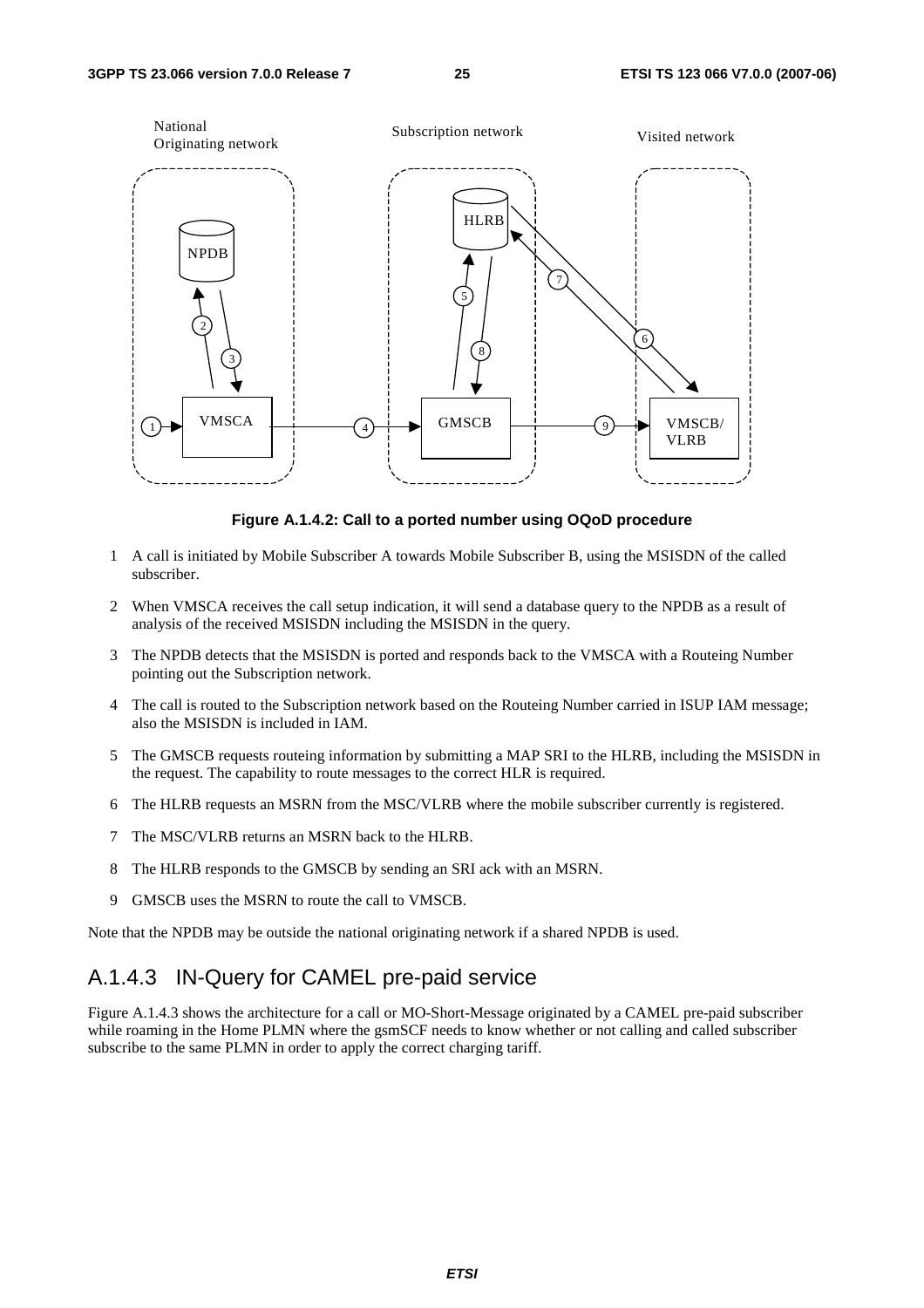

**Figure A.1.4.2: Call to a ported number using OQoD procedure** 

- 1 A call is initiated by Mobile Subscriber A towards Mobile Subscriber B, using the MSISDN of the called subscriber.
- 2 When VMSCA receives the call setup indication, it will send a database query to the NPDB as a result of analysis of the received MSISDN including the MSISDN in the query.
- 3 The NPDB detects that the MSISDN is ported and responds back to the VMSCA with a Routeing Number pointing out the Subscription network.
- 4 The call is routed to the Subscription network based on the Routeing Number carried in ISUP IAM message; also the MSISDN is included in IAM.
- 5 The GMSCB requests routeing information by submitting a MAP SRI to the HLRB, including the MSISDN in the request. The capability to route messages to the correct HLR is required.
- 6 The HLRB requests an MSRN from the MSC/VLRB where the mobile subscriber currently is registered.
- 7 The MSC/VLRB returns an MSRN back to the HLRB.
- 8 The HLRB responds to the GMSCB by sending an SRI ack with an MSRN.
- 9 GMSCB uses the MSRN to route the call to VMSCB.

Note that the NPDB may be outside the national originating network if a shared NPDB is used.

#### A.1.4.3 IN-Query for CAMEL pre-paid service

Figure A.1.4.3 shows the architecture for a call or MO-Short-Message originated by a CAMEL pre-paid subscriber while roaming in the Home PLMN where the gsmSCF needs to know whether or not calling and called subscriber subscribe to the same PLMN in order to apply the correct charging tariff.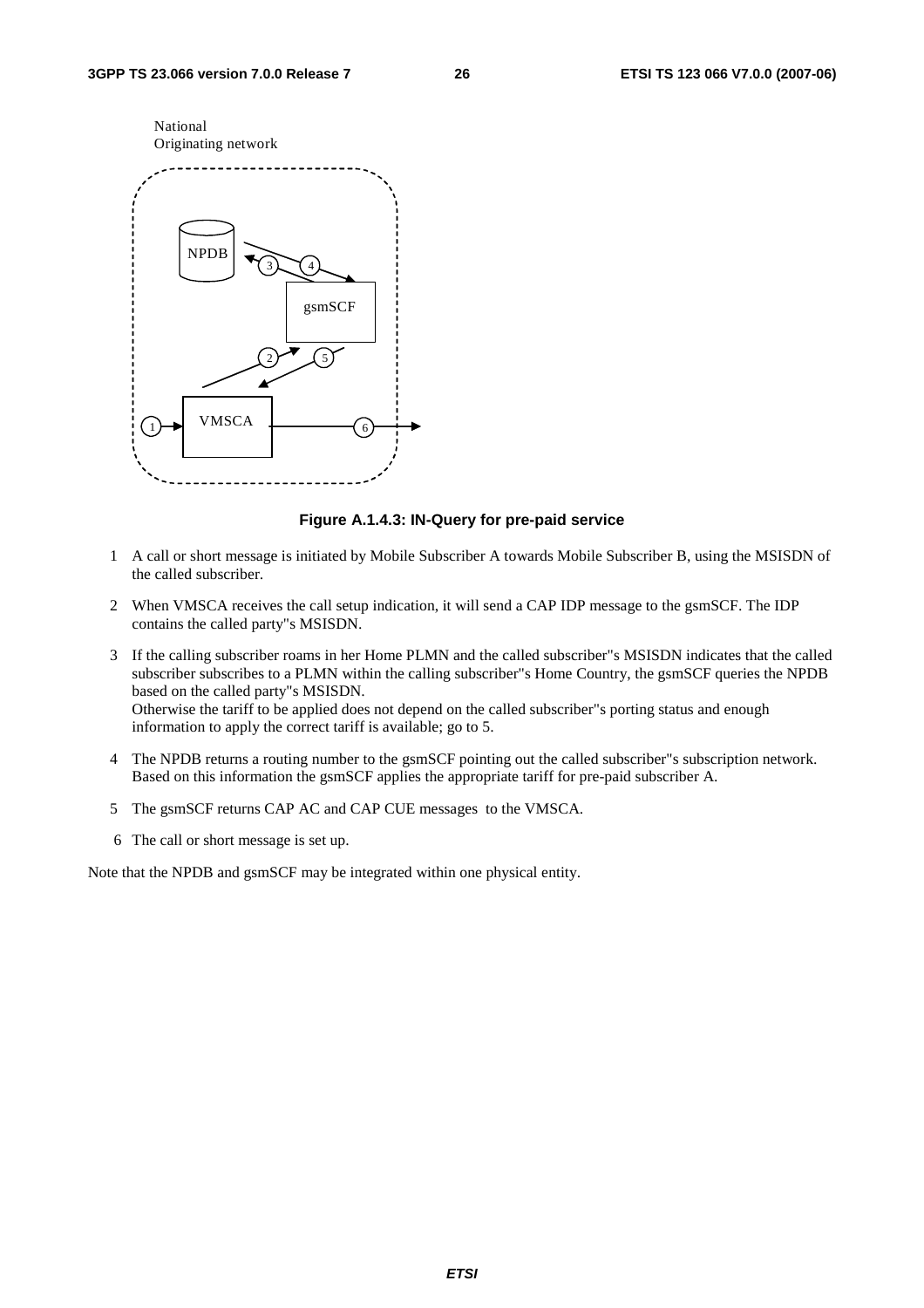

#### **Figure A.1.4.3: IN-Query for pre-paid service**

- 1 A call or short message is initiated by Mobile Subscriber A towards Mobile Subscriber B, using the MSISDN of the called subscriber.
- 2 When VMSCA receives the call setup indication, it will send a CAP IDP message to the gsmSCF. The IDP contains the called party"s MSISDN.
- 3 If the calling subscriber roams in her Home PLMN and the called subscriber"s MSISDN indicates that the called subscriber subscribes to a PLMN within the calling subscriber"s Home Country, the gsmSCF queries the NPDB based on the called party"s MSISDN. Otherwise the tariff to be applied does not depend on the called subscriber"s porting status and enough information to apply the correct tariff is available; go to 5.
- 4 The NPDB returns a routing number to the gsmSCF pointing out the called subscriber"s subscription network. Based on this information the gsmSCF applies the appropriate tariff for pre-paid subscriber A.
- 5 The gsmSCF returns CAP AC and CAP CUE messages to the VMSCA.
- 6 The call or short message is set up.

Note that the NPDB and gsmSCF may be integrated within one physical entity.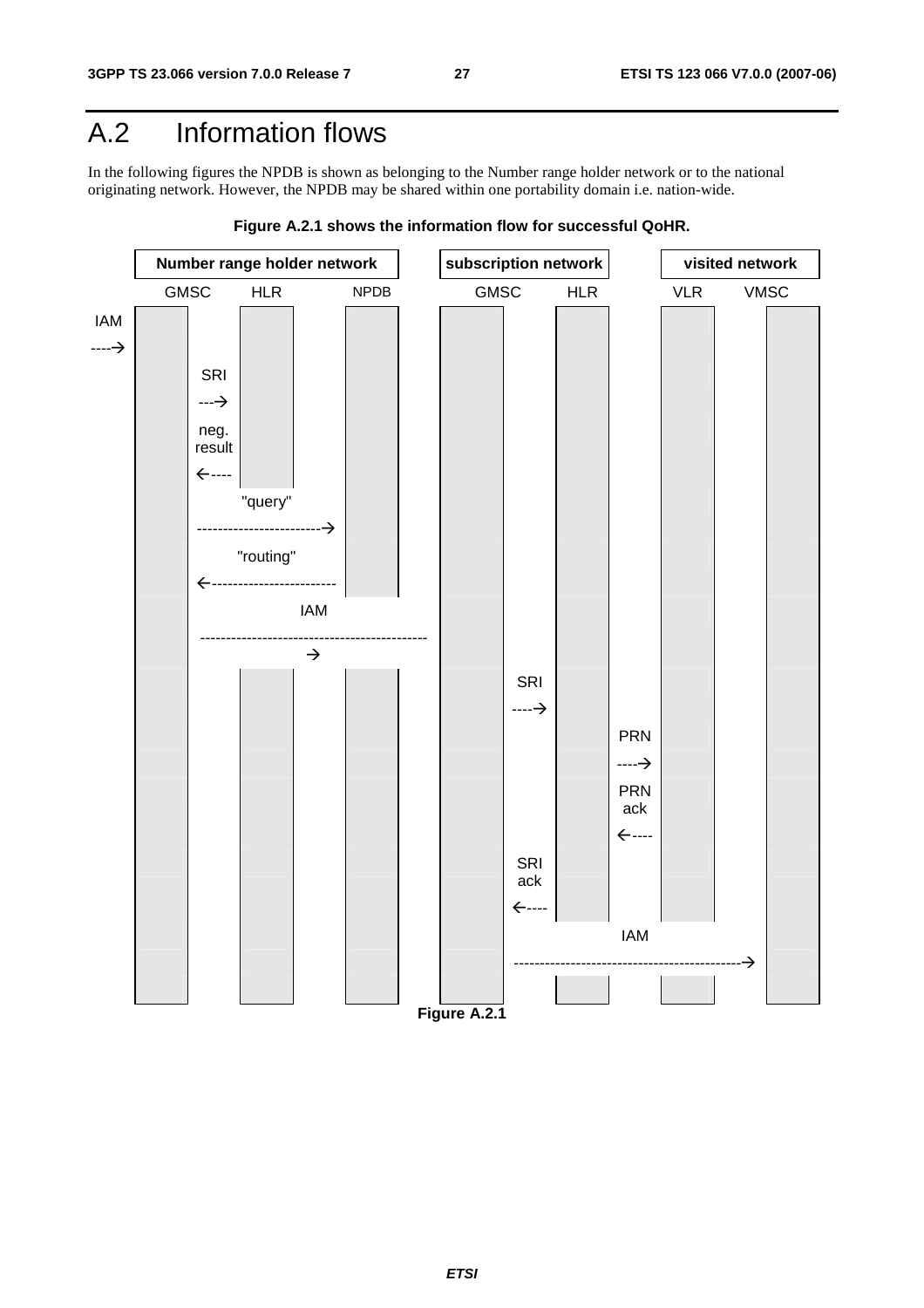## A.2 Information flows

In the following figures the NPDB is shown as belonging to the Number range holder network or to the national originating network. However, the NPDB may be shared within one portability domain i.e. nation-wide.



**Figure A.2.1 shows the information flow for successful QoHR.**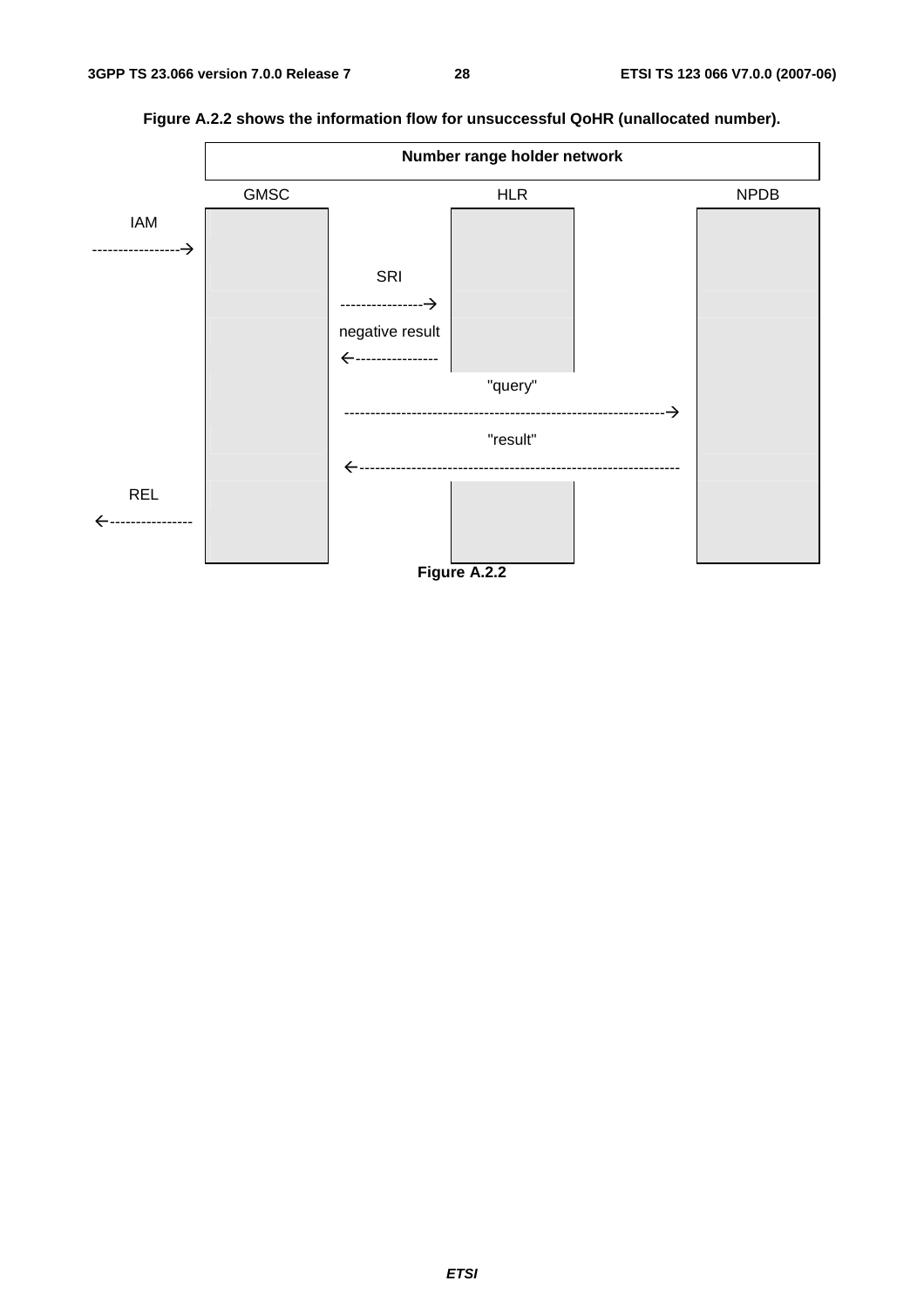

**Figure A.2.2 shows the information flow for unsuccessful QoHR (unallocated number).**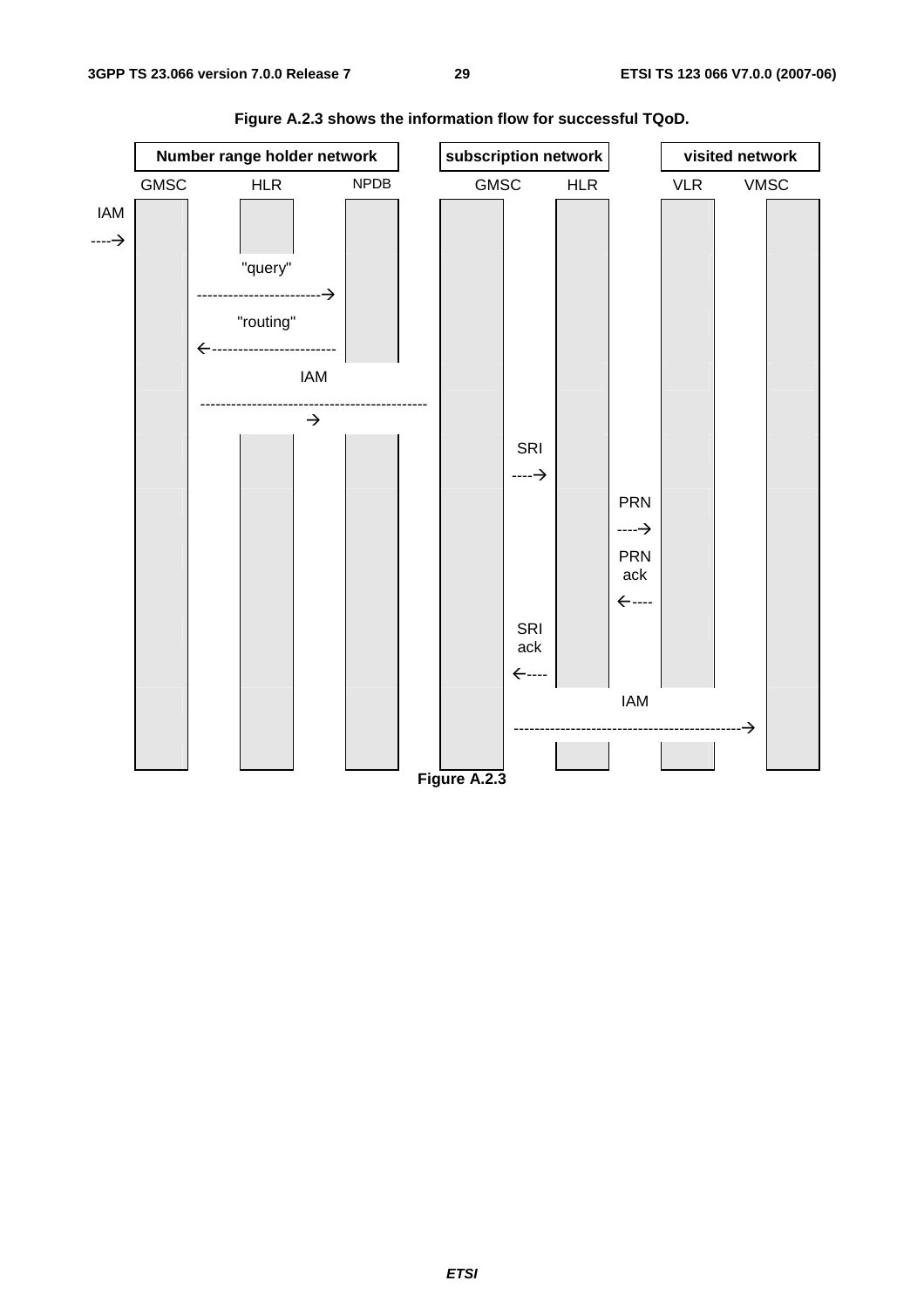

**Figure A.2.3 shows the information flow for successful TQoD.**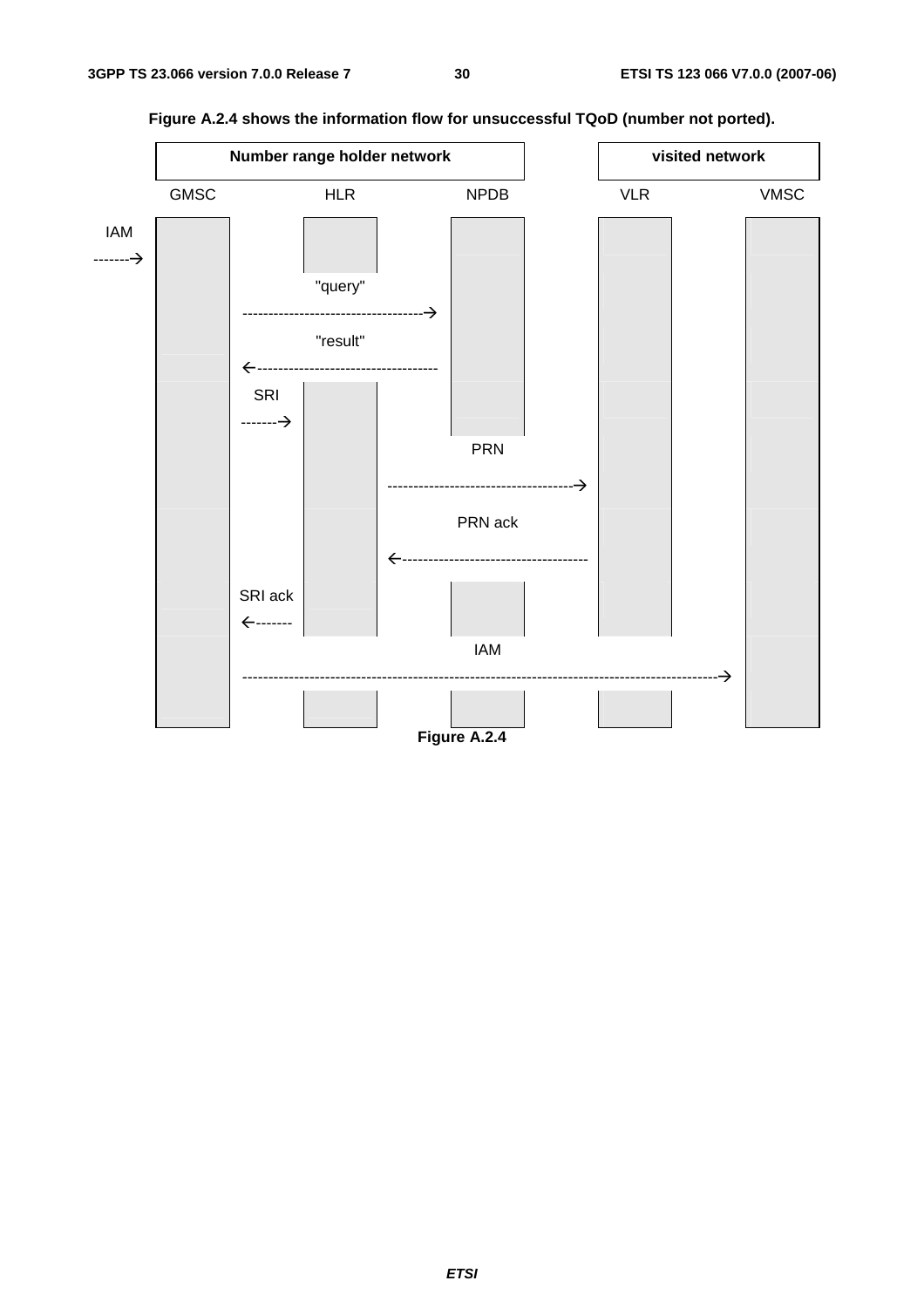

**Figure A.2.4 shows the information flow for unsuccessful TQoD (number not ported).**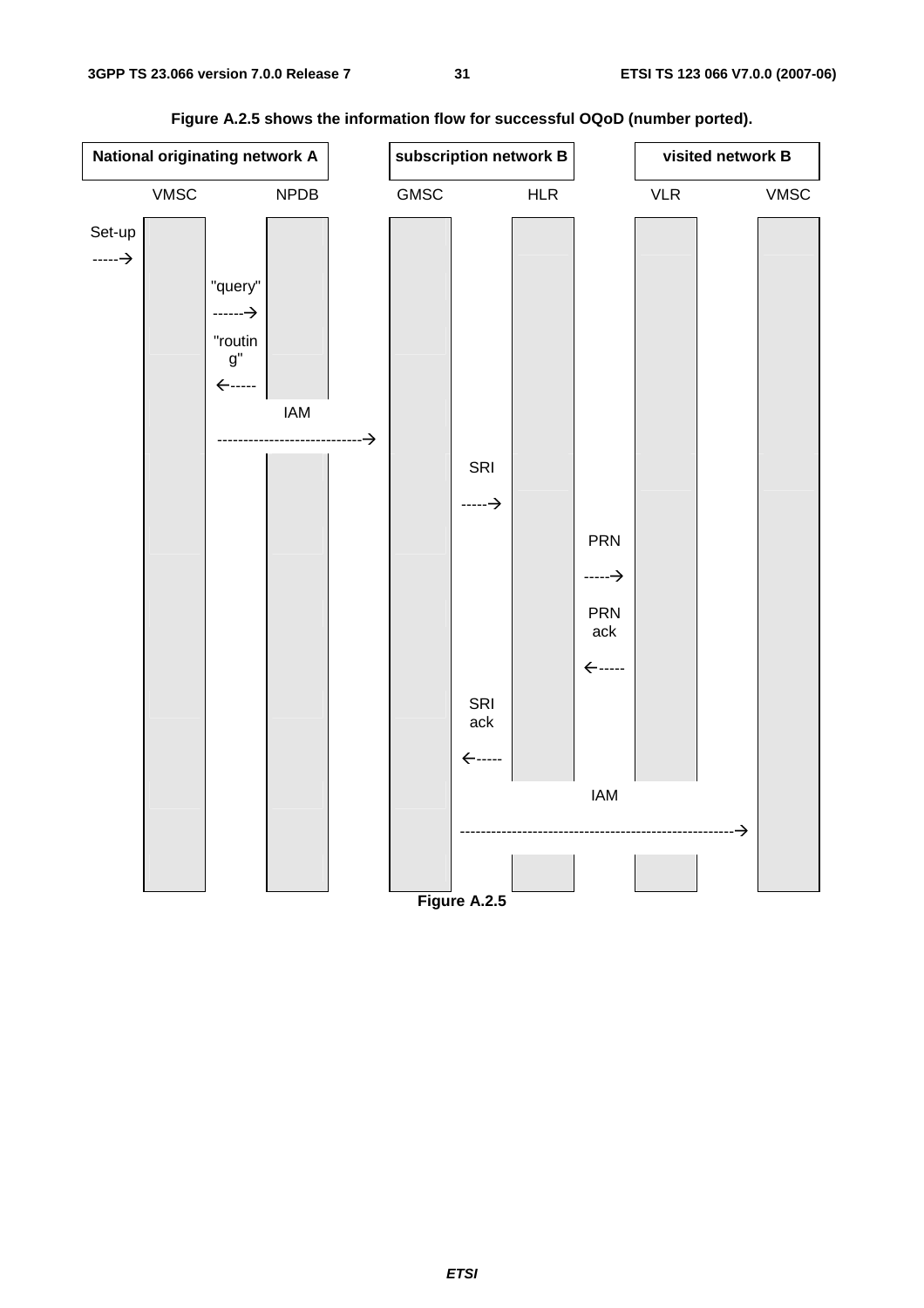

**Figure A.2.5 shows the information flow for successful OQoD (number ported).**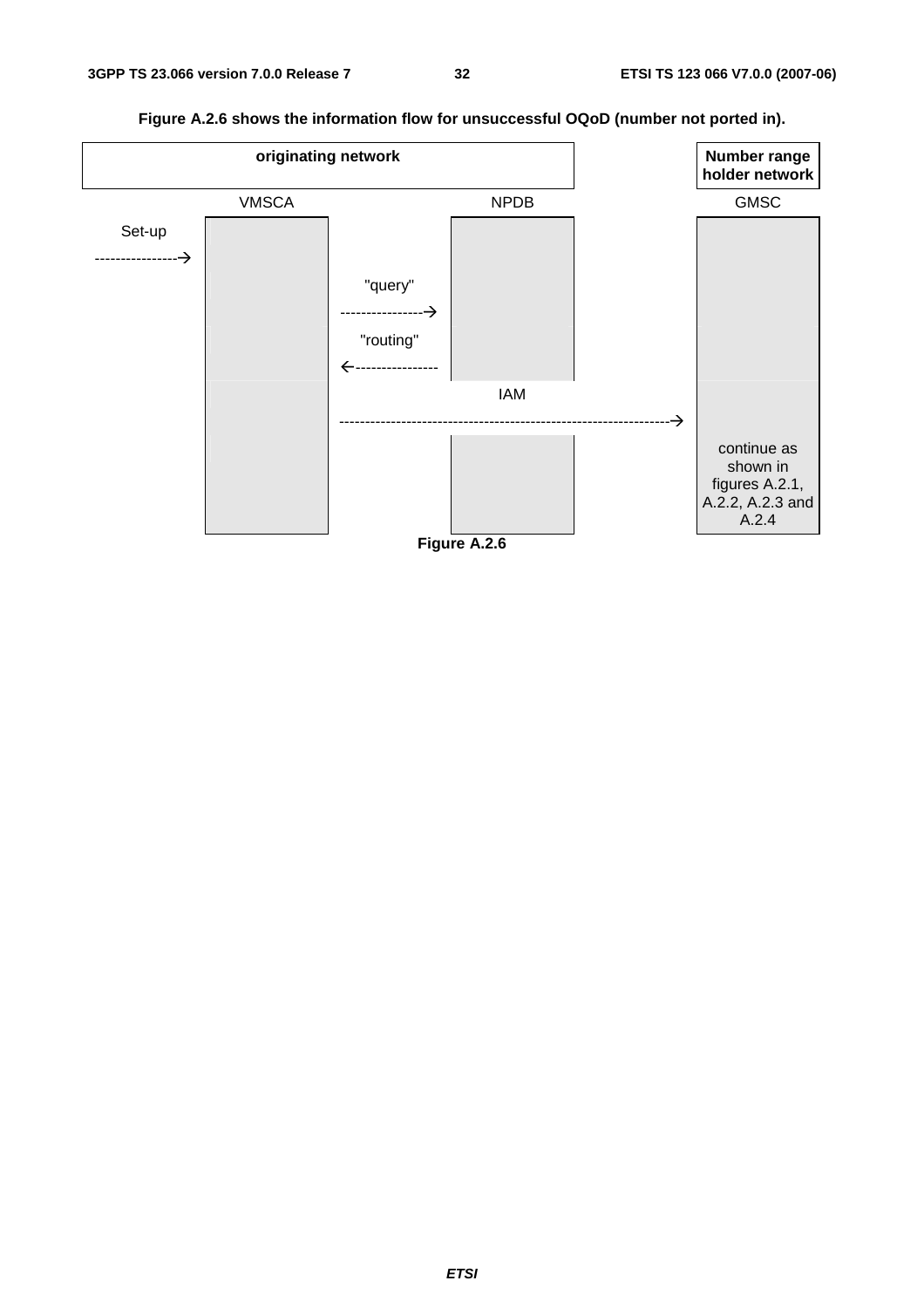**Figure A.2.6 shows the information flow for unsuccessful OQoD (number not ported in). originating network** 

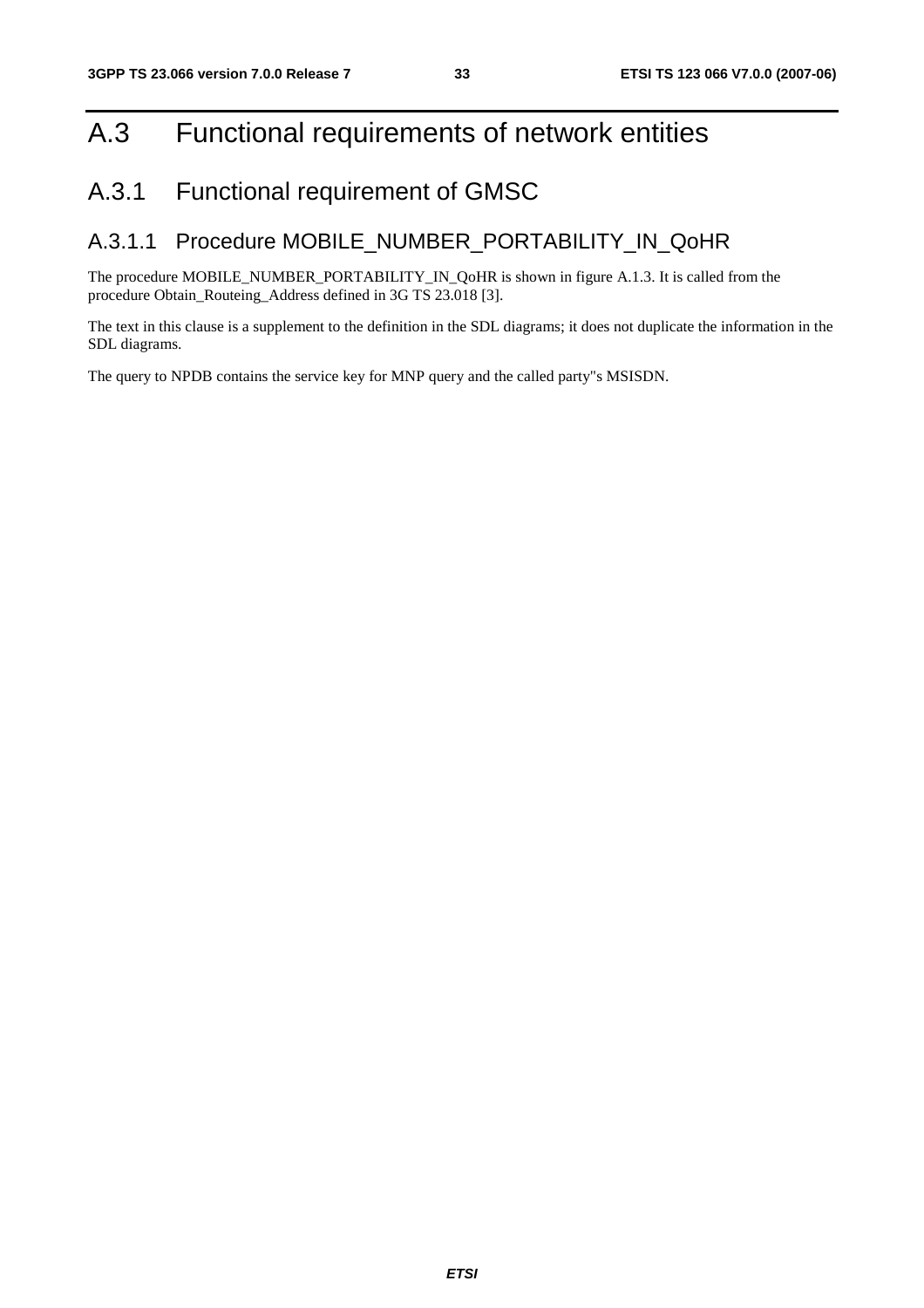## A.3 Functional requirements of network entities

## A.3.1 Functional requirement of GMSC

#### A.3.1.1 Procedure MOBILE\_NUMBER\_PORTABILITY\_IN\_QoHR

The procedure MOBILE\_NUMBER\_PORTABILITY\_IN\_QoHR is shown in figure A.1.3. It is called from the procedure Obtain\_Routeing\_Address defined in 3G TS 23.018 [3].

The text in this clause is a supplement to the definition in the SDL diagrams; it does not duplicate the information in the SDL diagrams.

The query to NPDB contains the service key for MNP query and the called party"s MSISDN.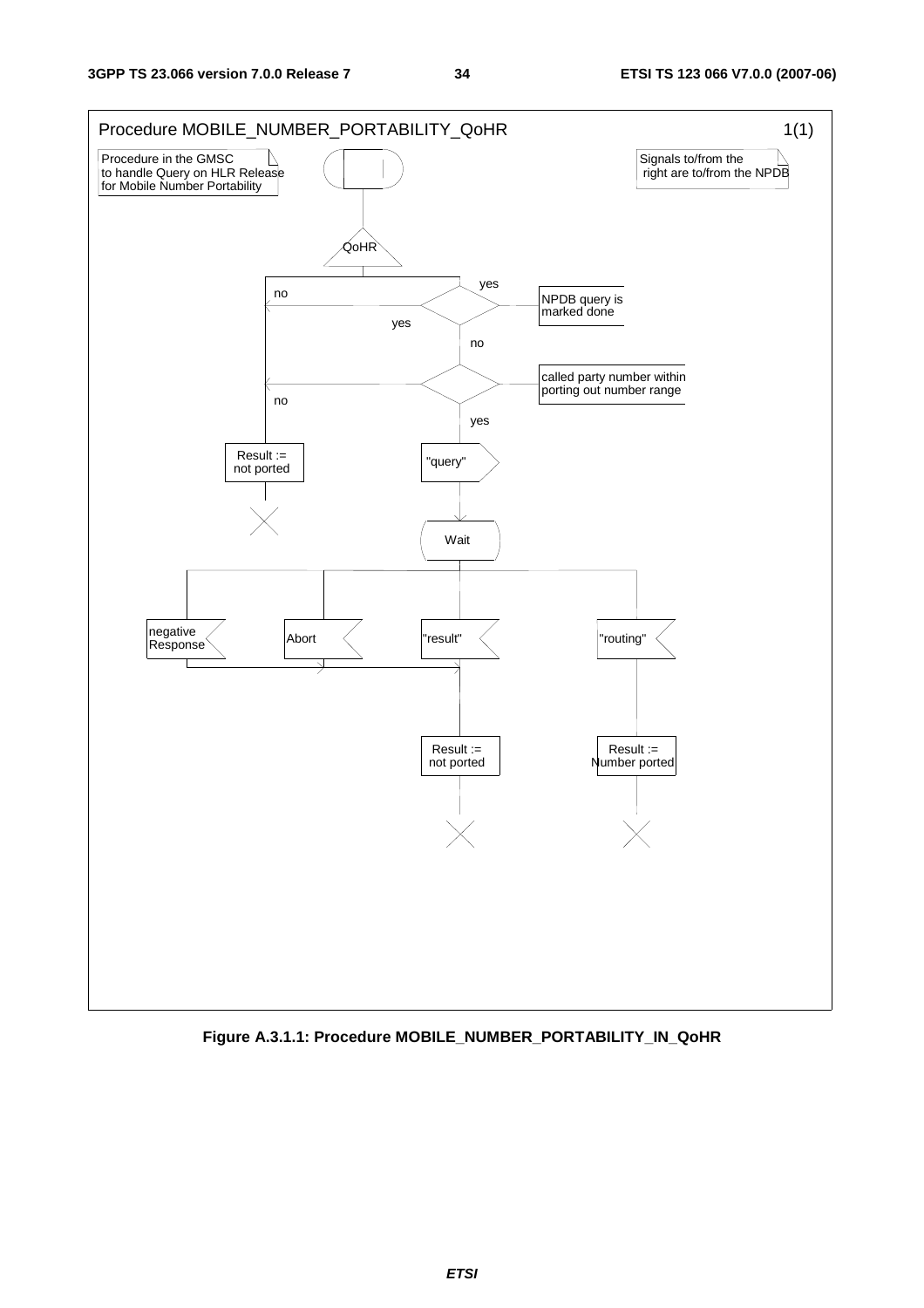

**Figure A.3.1.1: Procedure MOBILE\_NUMBER\_PORTABILITY\_IN\_QoHR**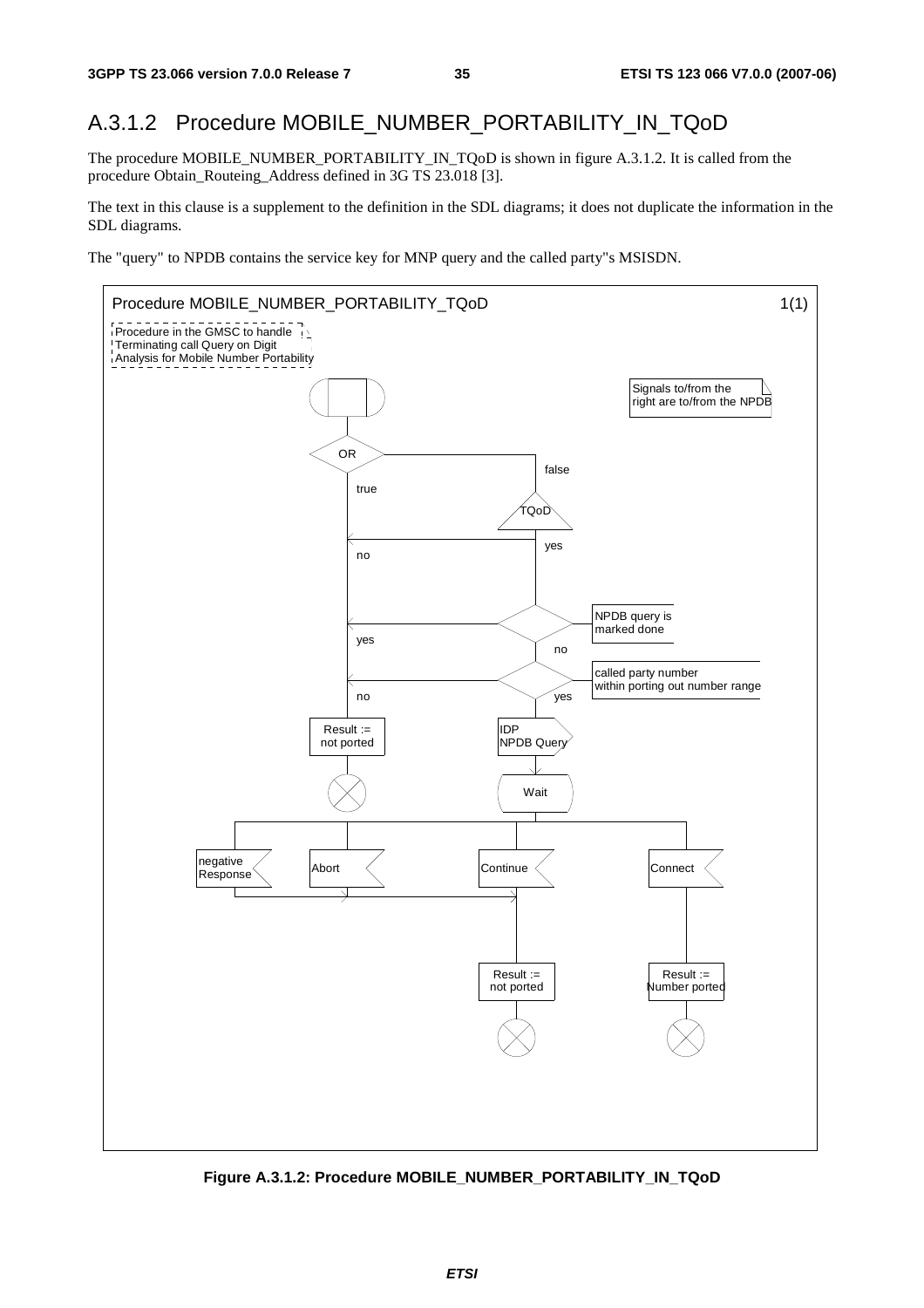#### A.3.1.2 Procedure MOBILE\_NUMBER\_PORTABILITY\_IN\_TQoD

The procedure MOBILE\_NUMBER\_PORTABILITY\_IN\_TQoD is shown in figure A.3.1.2. It is called from the procedure Obtain\_Routeing\_Address defined in 3G TS 23.018 [3].

The text in this clause is a supplement to the definition in the SDL diagrams; it does not duplicate the information in the SDL diagrams.

The "query" to NPDB contains the service key for MNP query and the called party"s MSISDN.



**Figure A.3.1.2: Procedure MOBILE\_NUMBER\_PORTABILITY\_IN\_TQoD**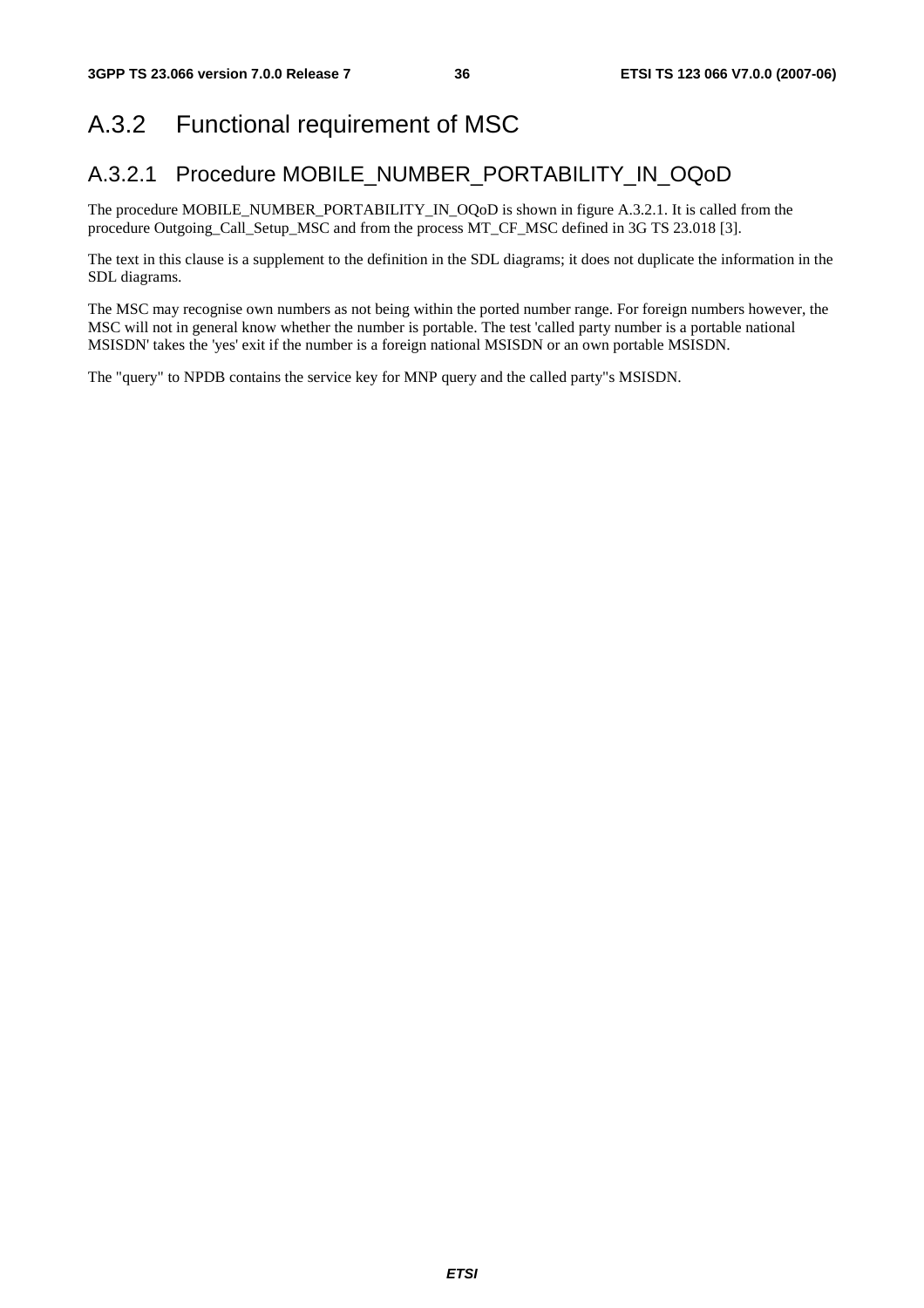# A.3.2 Functional requirement of MSC

### A.3.2.1 Procedure MOBILE\_NUMBER\_PORTABILITY\_IN\_OQoD

The procedure MOBILE\_NUMBER\_PORTABILITY\_IN\_OQoD is shown in figure A.3.2.1. It is called from the procedure Outgoing\_Call\_Setup\_MSC and from the process MT\_CF\_MSC defined in 3G TS 23.018 [3].

The text in this clause is a supplement to the definition in the SDL diagrams; it does not duplicate the information in the SDL diagrams.

The MSC may recognise own numbers as not being within the ported number range. For foreign numbers however, the MSC will not in general know whether the number is portable. The test 'called party number is a portable national MSISDN' takes the 'yes' exit if the number is a foreign national MSISDN or an own portable MSISDN.

The "query" to NPDB contains the service key for MNP query and the called party"s MSISDN.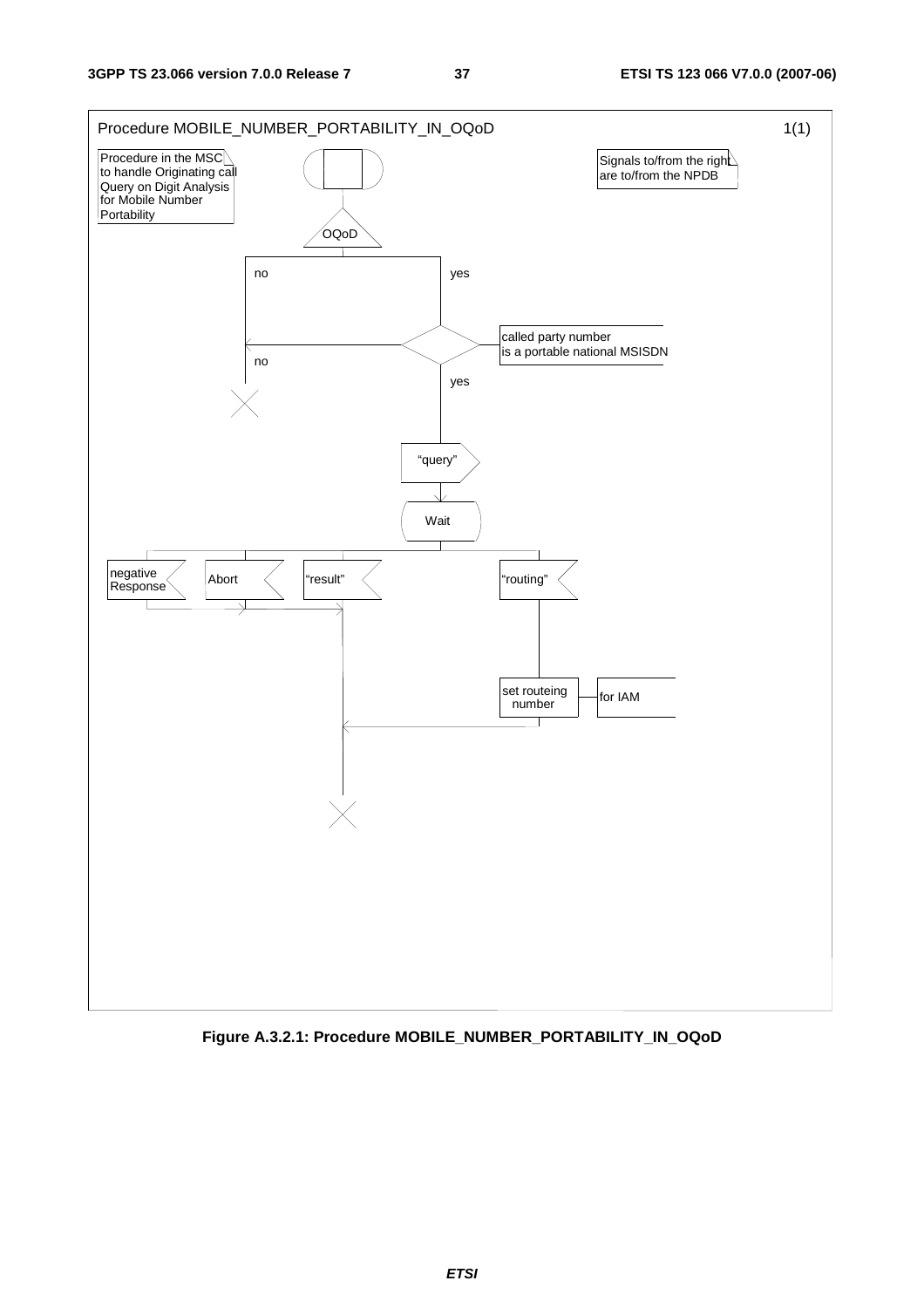

**Figure A.3.2.1: Procedure MOBILE\_NUMBER\_PORTABILITY\_IN\_OQoD**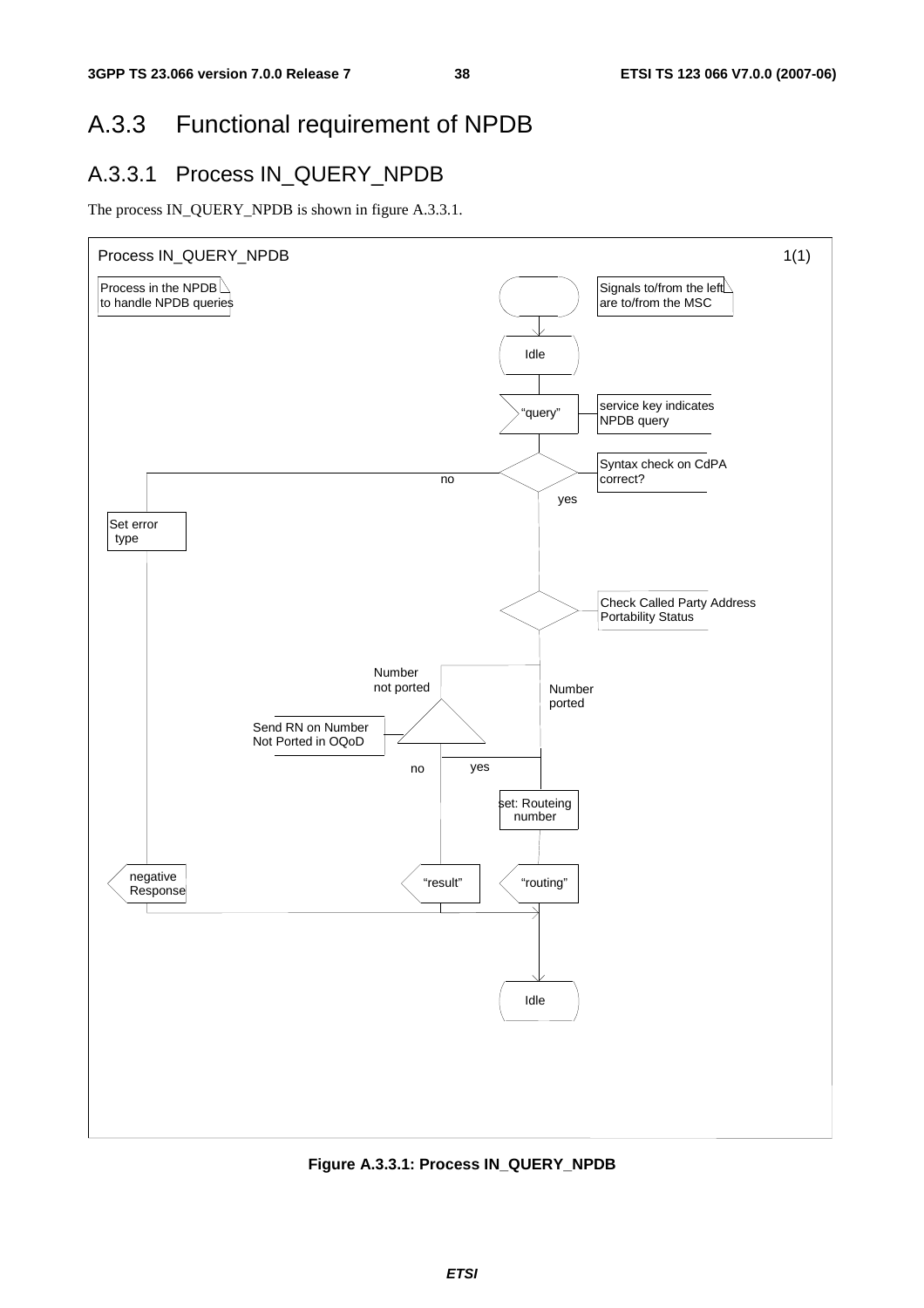# A.3.3 Functional requirement of NPDB

### A.3.3.1 Process IN\_QUERY\_NPDB

The process IN\_QUERY\_NPDB is shown in figure A.3.3.1.



**Figure A.3.3.1: Process IN\_QUERY\_NPDB**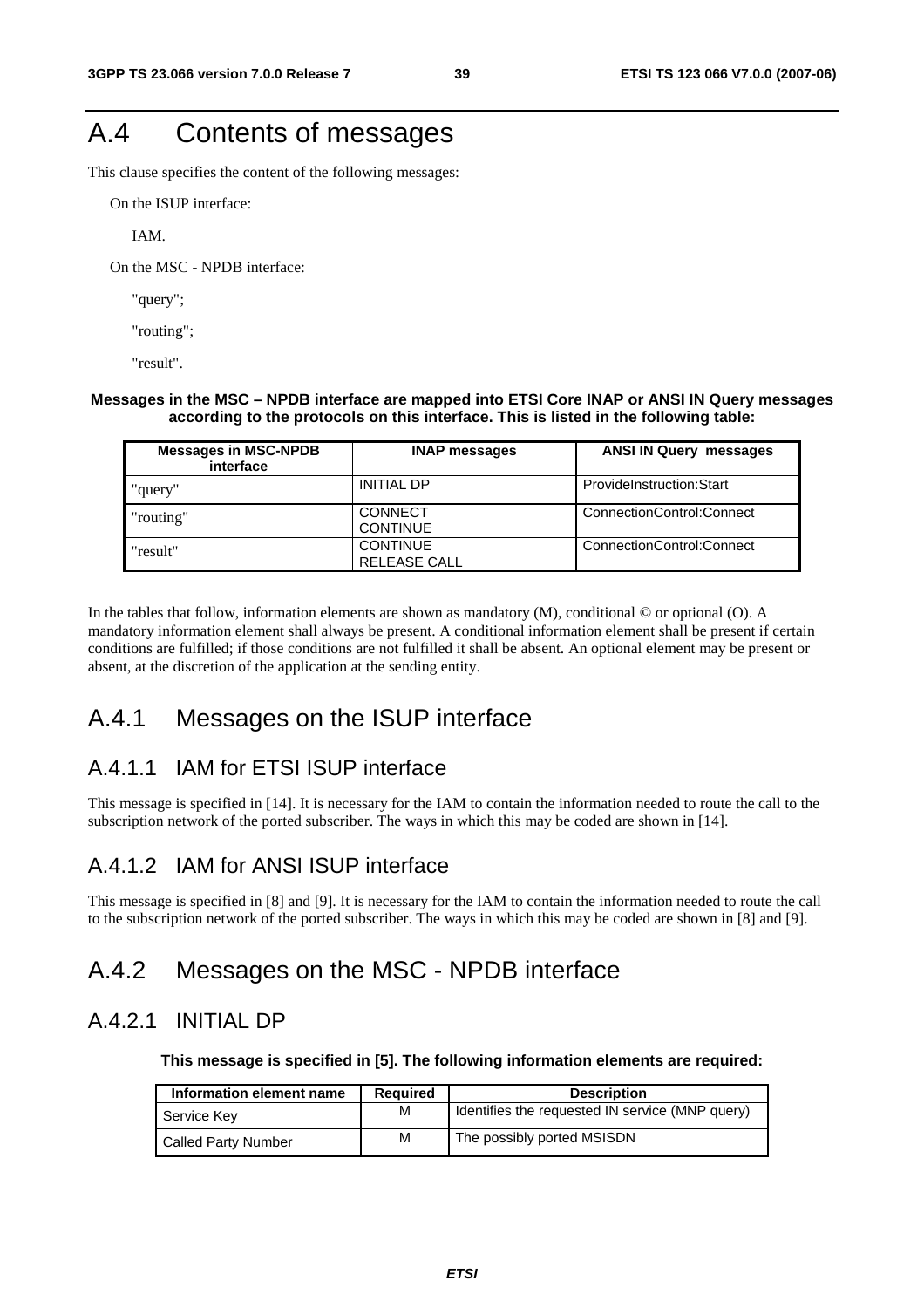# A.4 Contents of messages

This clause specifies the content of the following messages:

On the ISUP interface:

IAM.

On the MSC - NPDB interface:

"query";

"routing";

"result".

#### **Messages in the MSC – NPDB interface are mapped into ETSI Core INAP or ANSI IN Query messages according to the protocols on this interface. This is listed in the following table:**

| <b>Messages in MSC-NPDB</b><br>interface | <b>INAP messages</b>                   | <b>ANSI IN Query messages</b> |
|------------------------------------------|----------------------------------------|-------------------------------|
| "query"                                  | <b>INITIAL DP</b>                      | ProvideInstruction:Start      |
| "routing"                                | <b>CONNECT</b><br><b>CONTINUE</b>      | ConnectionControl:Connect     |
| "result"                                 | <b>CONTINUE</b><br><b>RELEASE CALL</b> | ConnectionControl:Connect     |

In the tables that follow, information elements are shown as mandatory (M), conditional  $\odot$  or optional (O). A mandatory information element shall always be present. A conditional information element shall be present if certain conditions are fulfilled; if those conditions are not fulfilled it shall be absent. An optional element may be present or absent, at the discretion of the application at the sending entity.

### A.4.1 Messages on the ISUP interface

### A.4.1.1 IAM for ETSI ISUP interface

This message is specified in [14]. It is necessary for the IAM to contain the information needed to route the call to the subscription network of the ported subscriber. The ways in which this may be coded are shown in [14].

### A.4.1.2 IAM for ANSI ISUP interface

This message is specified in [8] and [9]. It is necessary for the IAM to contain the information needed to route the call to the subscription network of the ported subscriber. The ways in which this may be coded are shown in [8] and [9].

### A.4.2 Messages on the MSC - NPDB interface

### A.4.2.1 INITIAL DP

**This message is specified in [5]. The following information elements are required:** 

| Information element name   | <b>Required</b> | <b>Description</b>                              |
|----------------------------|-----------------|-------------------------------------------------|
| Service Key                | M               | Identifies the requested IN service (MNP query) |
| <b>Called Party Number</b> | M               | The possibly ported MSISDN                      |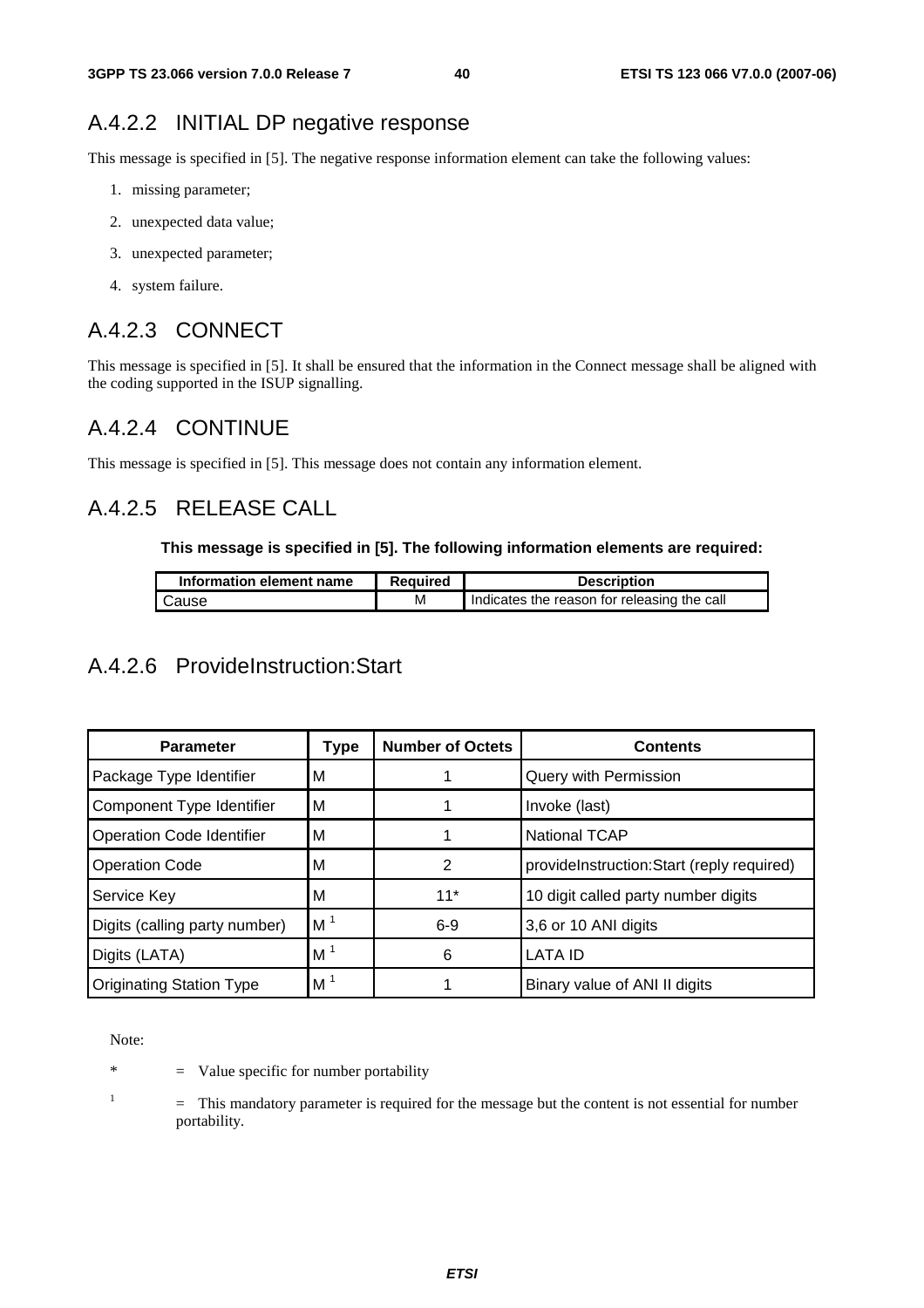### A.4.2.2 INITIAL DP negative response

This message is specified in [5]. The negative response information element can take the following values:

- 1. missing parameter;
- 2. unexpected data value;
- 3. unexpected parameter;
- 4. system failure.

### A.4.2.3 CONNECT

This message is specified in [5]. It shall be ensured that the information in the Connect message shall be aligned with the coding supported in the ISUP signalling.

### A.4.2.4 CONTINUE

This message is specified in [5]. This message does not contain any information element.

### A.4.2.5 RELEASE CALL

#### **This message is specified in [5]. The following information elements are required:**

| Information element name | <b>Required</b> | <b>Description</b>                          |
|--------------------------|-----------------|---------------------------------------------|
| Cause                    | м               | Indicates the reason for releasing the call |

### A.4.2.6 ProvideInstruction:Start

| <b>Parameter</b>                 | Type           | <b>Number of Octets</b> | <b>Contents</b>                           |
|----------------------------------|----------------|-------------------------|-------------------------------------------|
| Package Type Identifier          | м              |                         | Query with Permission                     |
| Component Type Identifier        | м              |                         | Invoke (last)                             |
| <b>Operation Code Identifier</b> | м              |                         | <b>National TCAP</b>                      |
| <b>Operation Code</b>            | м              | 2                       | provideInstruction:Start (reply required) |
| Service Key                      | М              | $11*$                   | 10 digit called party number digits       |
| Digits (calling party number)    | M <sup>1</sup> | $6-9$                   | 3,6 or 10 ANI digits                      |
| Digits (LATA)                    | M <sup>1</sup> | 6                       | <b>LATA ID</b>                            |
| <b>Originating Station Type</b>  | M <sup>1</sup> |                         | Binary value of ANI II digits             |

Note:

\* = Value specific for number portability

1

 = This mandatory parameter is required for the message but the content is not essential for number portability.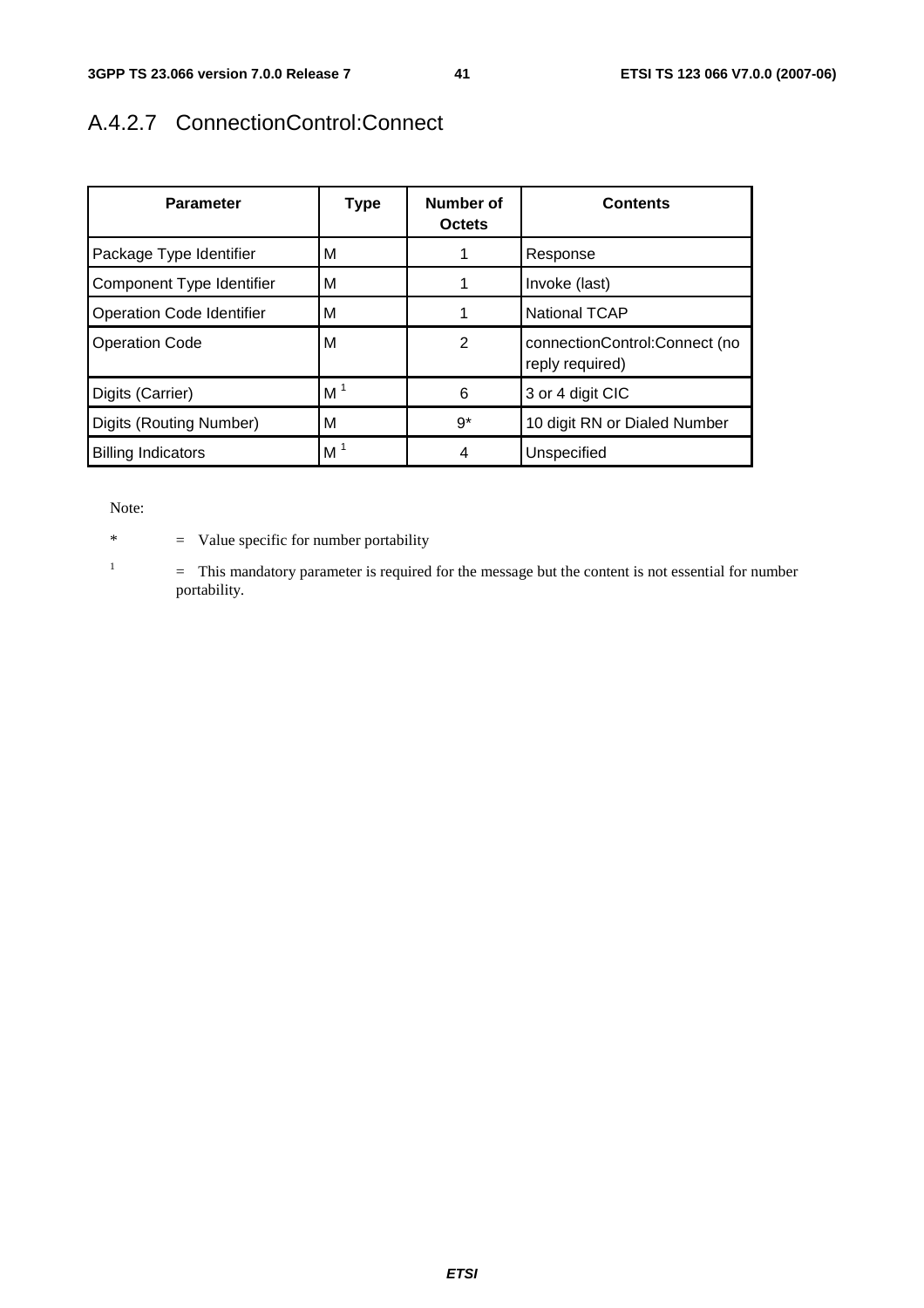## A.4.2.7 ConnectionControl:Connect

| <b>Parameter</b>                 | <b>Type</b>    | Number of<br><b>Octets</b> | <b>Contents</b>                                  |
|----------------------------------|----------------|----------------------------|--------------------------------------------------|
| Package Type Identifier          | м              |                            | Response                                         |
| Component Type Identifier        | M              |                            | Invoke (last)                                    |
| <b>Operation Code Identifier</b> | М              |                            | <b>National TCAP</b>                             |
| <b>Operation Code</b>            | м              | $\overline{2}$             | connectionControl:Connect (no<br>reply required) |
| Digits (Carrier)                 | M <sup>1</sup> | 6                          | 3 or 4 digit CIC                                 |
| Digits (Routing Number)          | M              | $9^*$                      | 10 digit RN or Dialed Number                     |
| <b>Billing Indicators</b>        | M <sup>1</sup> | 4                          | Unspecified                                      |

Note:

1

\* = Value specific for number portability

 = This mandatory parameter is required for the message but the content is not essential for number portability.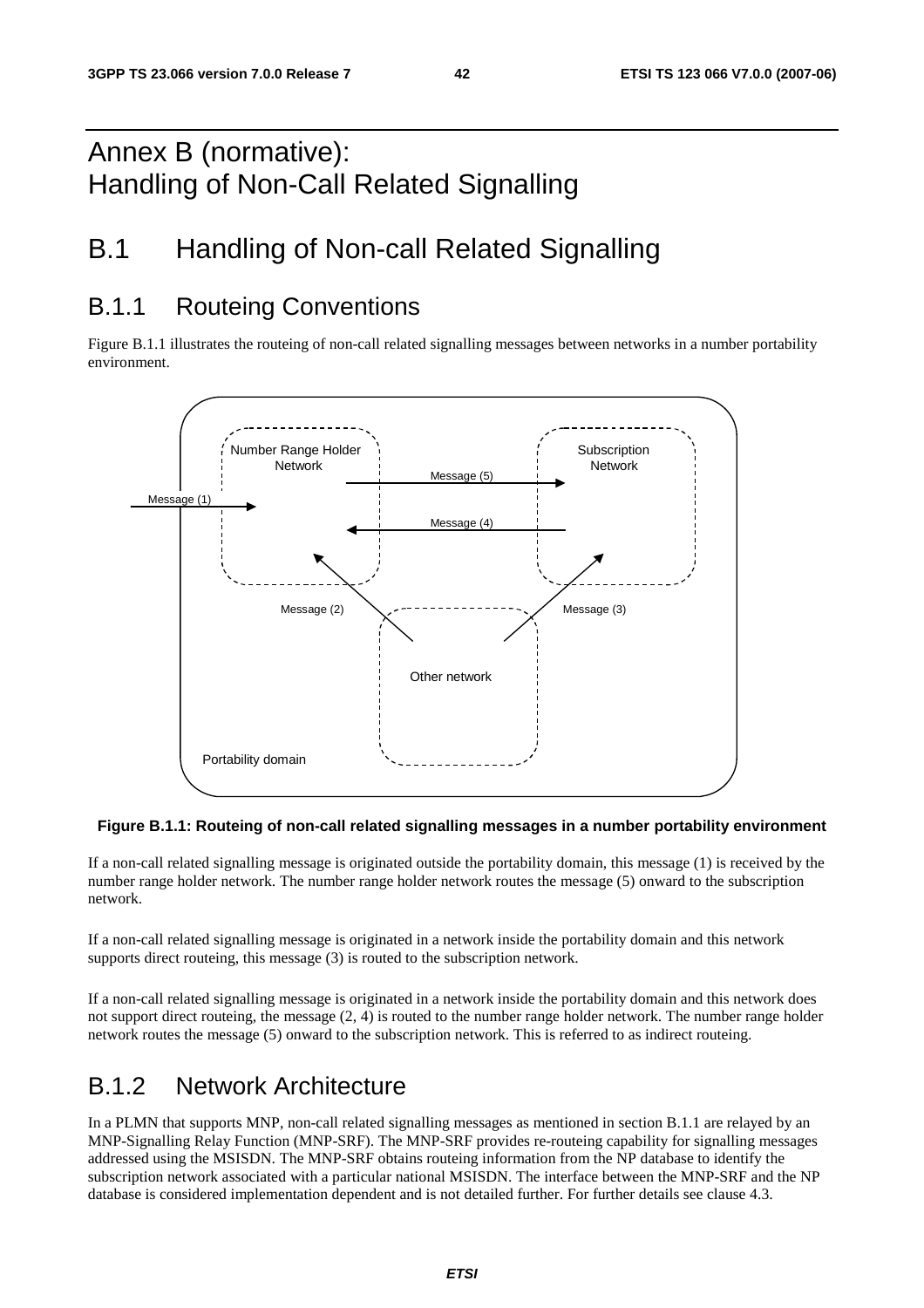# Annex B (normative): Handling of Non-Call Related Signalling

# B.1 Handling of Non-call Related Signalling

## B.1.1 Routeing Conventions

Figure B.1.1 illustrates the routeing of non-call related signalling messages between networks in a number portability environment.



### **Figure B.1.1: Routeing of non-call related signalling messages in a number portability environment**

If a non-call related signalling message is originated outside the portability domain, this message (1) is received by the number range holder network. The number range holder network routes the message (5) onward to the subscription network.

If a non-call related signalling message is originated in a network inside the portability domain and this network supports direct routeing, this message (3) is routed to the subscription network.

If a non-call related signalling message is originated in a network inside the portability domain and this network does not support direct routeing, the message (2, 4) is routed to the number range holder network. The number range holder network routes the message (5) onward to the subscription network. This is referred to as indirect routeing.

## B.1.2 Network Architecture

In a PLMN that supports MNP, non-call related signalling messages as mentioned in section B.1.1 are relayed by an MNP-Signalling Relay Function (MNP-SRF). The MNP-SRF provides re-routeing capability for signalling messages addressed using the MSISDN. The MNP-SRF obtains routeing information from the NP database to identify the subscription network associated with a particular national MSISDN. The interface between the MNP-SRF and the NP database is considered implementation dependent and is not detailed further. For further details see clause 4.3.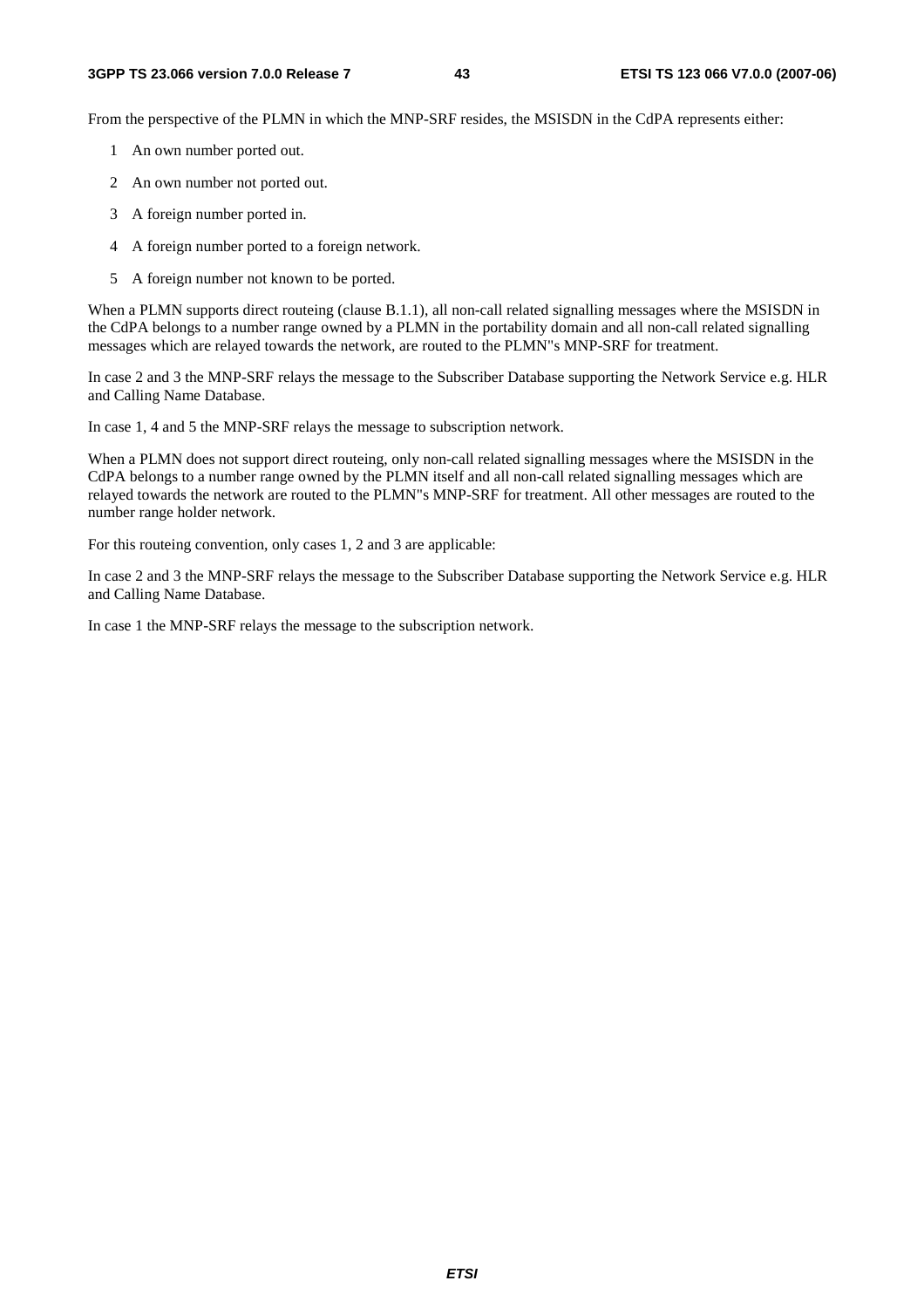From the perspective of the PLMN in which the MNP-SRF resides, the MSISDN in the CdPA represents either:

- 1 An own number ported out.
- 2 An own number not ported out.
- 3 A foreign number ported in.
- 4 A foreign number ported to a foreign network.
- 5 A foreign number not known to be ported.

When a PLMN supports direct routeing (clause B.1.1), all non-call related signalling messages where the MSISDN in the CdPA belongs to a number range owned by a PLMN in the portability domain and all non-call related signalling messages which are relayed towards the network, are routed to the PLMN"s MNP-SRF for treatment.

In case 2 and 3 the MNP-SRF relays the message to the Subscriber Database supporting the Network Service e.g. HLR and Calling Name Database.

In case 1, 4 and 5 the MNP-SRF relays the message to subscription network.

When a PLMN does not support direct routeing, only non-call related signalling messages where the MSISDN in the CdPA belongs to a number range owned by the PLMN itself and all non-call related signalling messages which are relayed towards the network are routed to the PLMN"s MNP-SRF for treatment. All other messages are routed to the number range holder network.

For this routeing convention, only cases 1, 2 and 3 are applicable:

In case 2 and 3 the MNP-SRF relays the message to the Subscriber Database supporting the Network Service e.g. HLR and Calling Name Database.

In case 1 the MNP-SRF relays the message to the subscription network.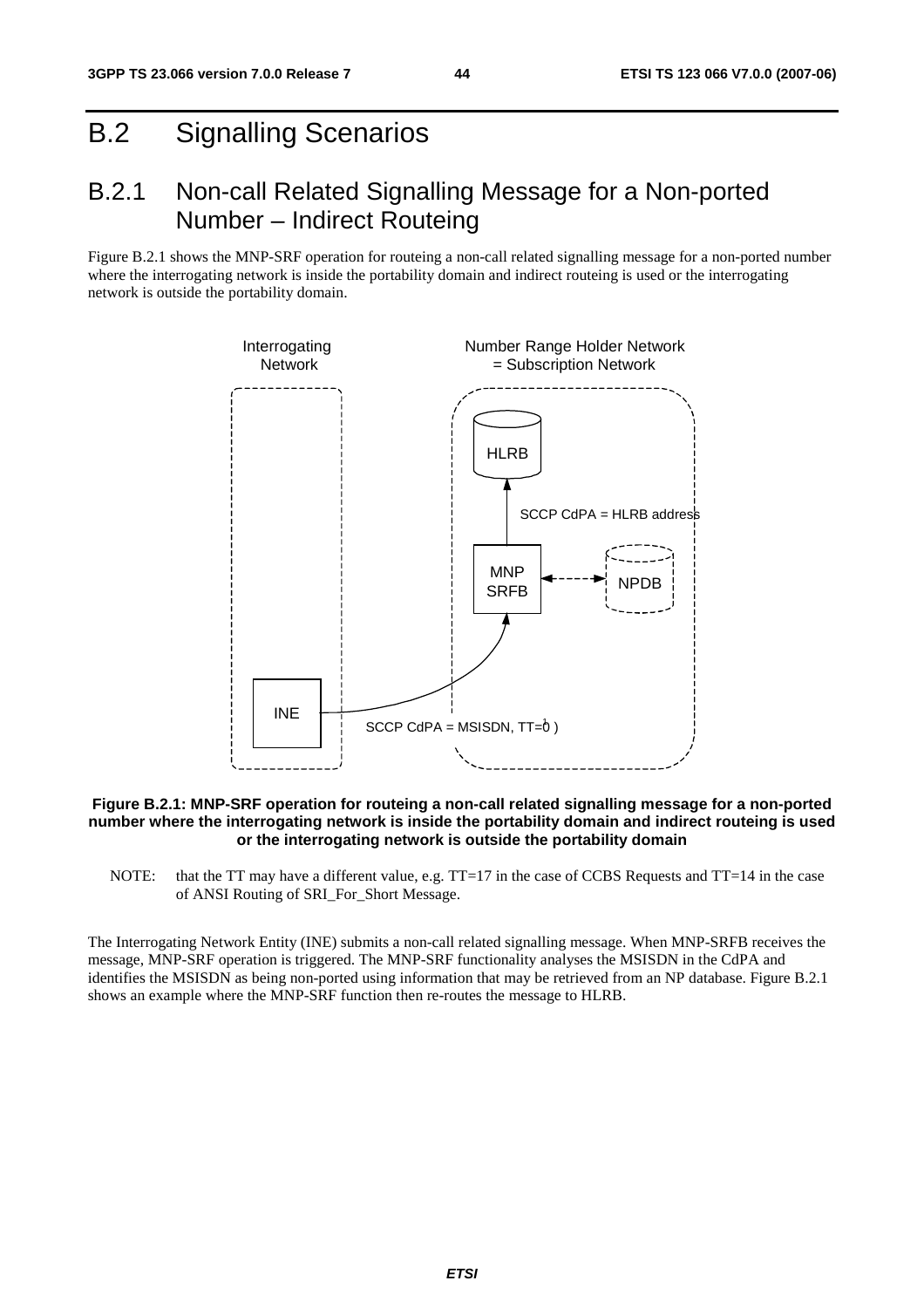# B.2 Signalling Scenarios

### B.2.1 Non-call Related Signalling Message for a Non-ported Number – Indirect Routeing

Figure B.2.1 shows the MNP-SRF operation for routeing a non-call related signalling message for a non-ported number where the interrogating network is inside the portability domain and indirect routeing is used or the interrogating network is outside the portability domain.



#### **Figure B.2.1: MNP-SRF operation for routeing a non-call related signalling message for a non-ported number where the interrogating network is inside the portability domain and indirect routeing is used or the interrogating network is outside the portability domain**

NOTE: that the TT may have a different value, e.g. TT=17 in the case of CCBS Requests and TT=14 in the case of ANSI Routing of SRI\_For\_Short Message.

The Interrogating Network Entity (INE) submits a non-call related signalling message. When MNP-SRFB receives the message, MNP-SRF operation is triggered. The MNP-SRF functionality analyses the MSISDN in the CdPA and identifies the MSISDN as being non-ported using information that may be retrieved from an NP database. Figure B.2.1 shows an example where the MNP-SRF function then re-routes the message to HLRB.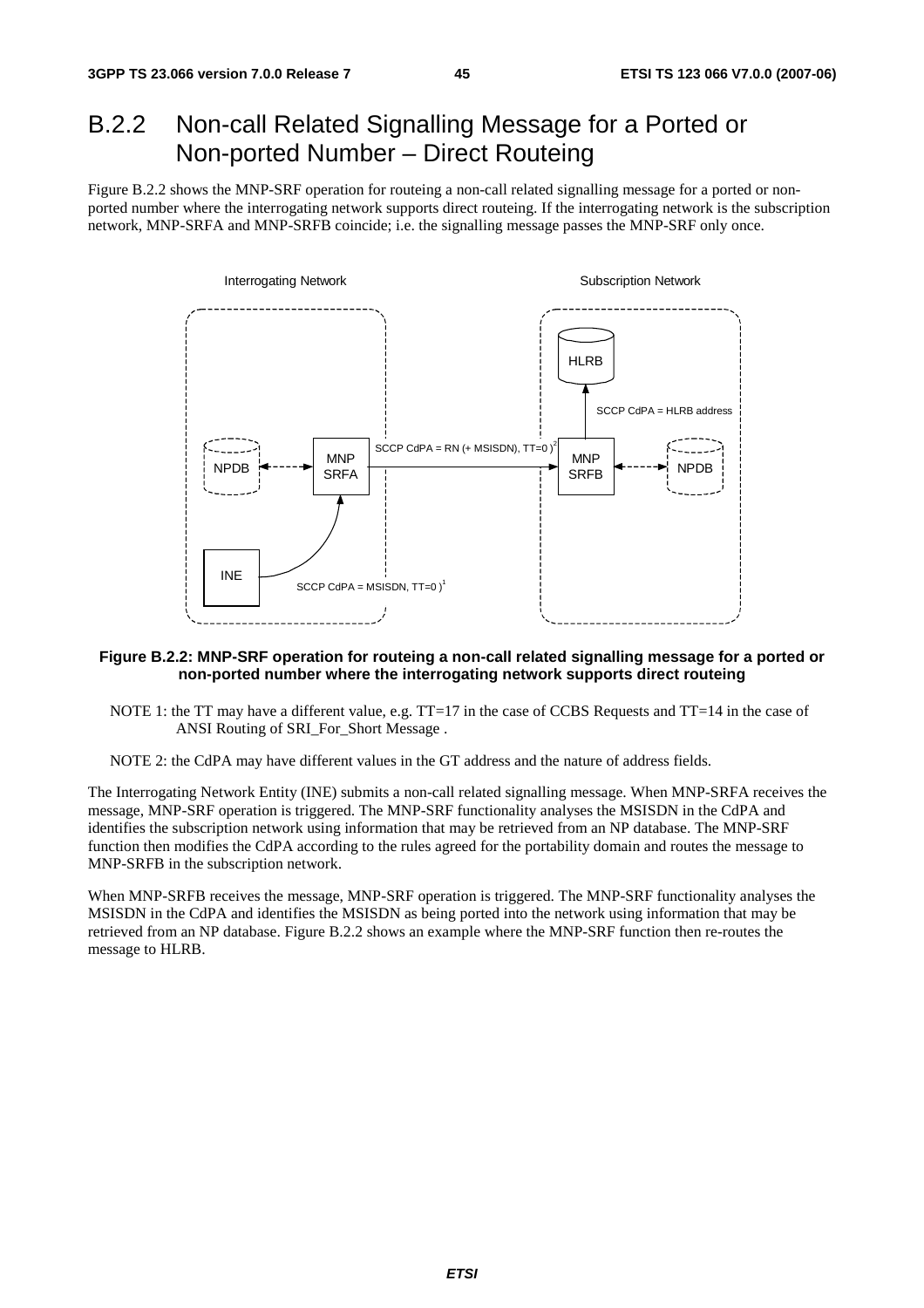## B.2.2 Non-call Related Signalling Message for a Ported or Non-ported Number – Direct Routeing

Figure B.2.2 shows the MNP-SRF operation for routeing a non-call related signalling message for a ported or nonported number where the interrogating network supports direct routeing. If the interrogating network is the subscription network, MNP-SRFA and MNP-SRFB coincide; i.e. the signalling message passes the MNP-SRF only once.



#### **Figure B.2.2: MNP-SRF operation for routeing a non-call related signalling message for a ported or non-ported number where the interrogating network supports direct routeing**

NOTE 1: the TT may have a different value, e.g. TT=17 in the case of CCBS Requests and TT=14 in the case of ANSI Routing of SRI\_For\_Short Message .

NOTE 2: the CdPA may have different values in the GT address and the nature of address fields.

The Interrogating Network Entity (INE) submits a non-call related signalling message. When MNP-SRFA receives the message, MNP-SRF operation is triggered. The MNP-SRF functionality analyses the MSISDN in the CdPA and identifies the subscription network using information that may be retrieved from an NP database. The MNP-SRF function then modifies the CdPA according to the rules agreed for the portability domain and routes the message to MNP-SRFB in the subscription network.

When MNP-SRFB receives the message, MNP-SRF operation is triggered. The MNP-SRF functionality analyses the MSISDN in the CdPA and identifies the MSISDN as being ported into the network using information that may be retrieved from an NP database. Figure B.2.2 shows an example where the MNP-SRF function then re-routes the message to HLRB.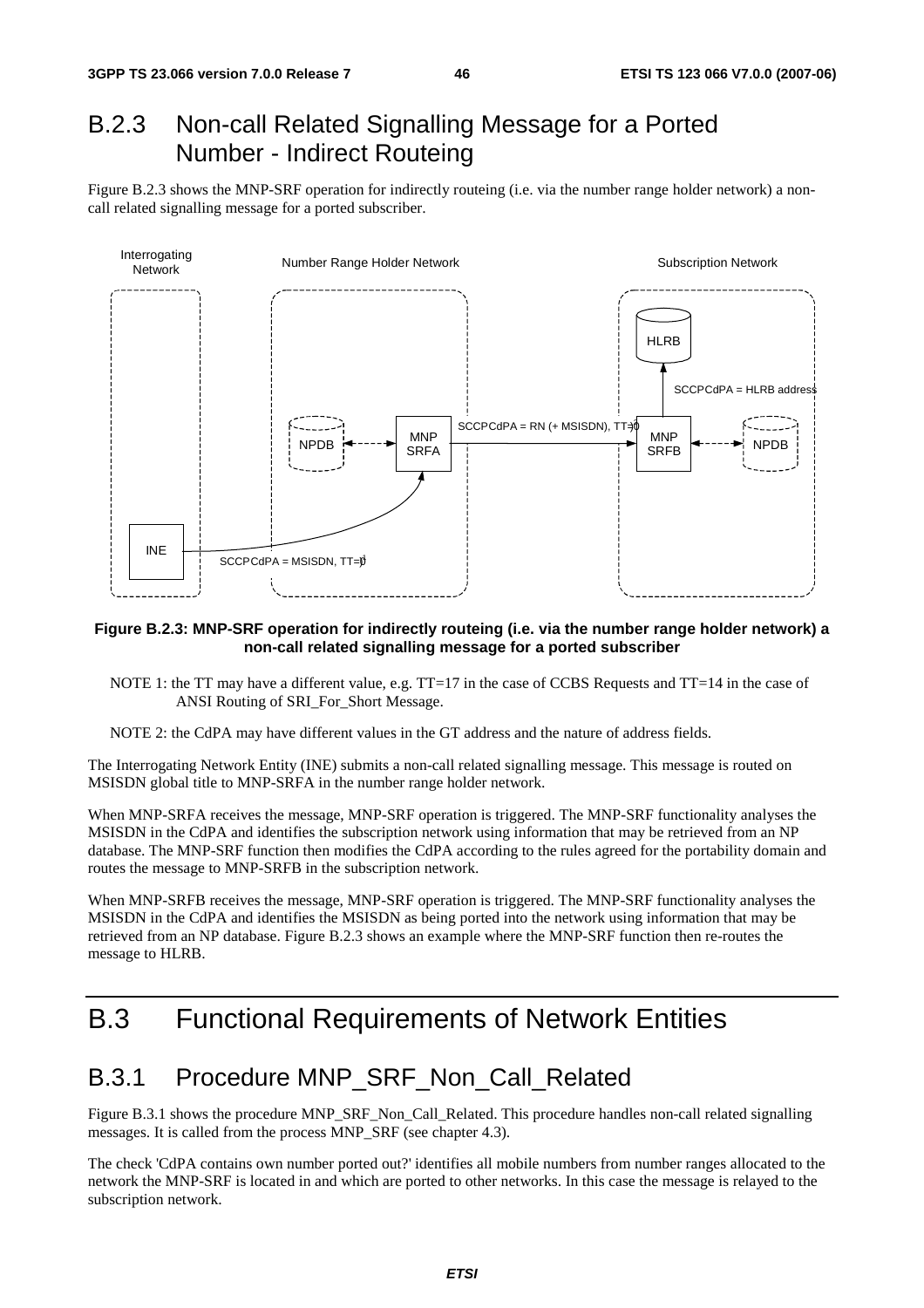### B.2.3 Non-call Related Signalling Message for a Ported Number - Indirect Routeing

Figure B.2.3 shows the MNP-SRF operation for indirectly routeing (i.e. via the number range holder network) a noncall related signalling message for a ported subscriber.



#### **Figure B.2.3: MNP-SRF operation for indirectly routeing (i.e. via the number range holder network) a non-call related signalling message for a ported subscriber**

- NOTE 1: the TT may have a different value, e.g. TT=17 in the case of CCBS Requests and TT=14 in the case of ANSI Routing of SRI\_For\_Short Message.
- NOTE 2: the CdPA may have different values in the GT address and the nature of address fields.

The Interrogating Network Entity (INE) submits a non-call related signalling message. This message is routed on MSISDN global title to MNP-SRFA in the number range holder network.

When MNP-SRFA receives the message, MNP-SRF operation is triggered. The MNP-SRF functionality analyses the MSISDN in the CdPA and identifies the subscription network using information that may be retrieved from an NP database. The MNP-SRF function then modifies the CdPA according to the rules agreed for the portability domain and routes the message to MNP-SRFB in the subscription network.

When MNP-SRFB receives the message, MNP-SRF operation is triggered. The MNP-SRF functionality analyses the MSISDN in the CdPA and identifies the MSISDN as being ported into the network using information that may be retrieved from an NP database. Figure B.2.3 shows an example where the MNP-SRF function then re-routes the message to HLRB.

## B.3 Functional Requirements of Network Entities

### B.3.1 Procedure MNP\_SRF\_Non\_Call\_Related

Figure B.3.1 shows the procedure MNP\_SRF\_Non\_Call\_Related. This procedure handles non-call related signalling messages. It is called from the process MNP\_SRF (see chapter 4.3).

The check 'CdPA contains own number ported out?' identifies all mobile numbers from number ranges allocated to the network the MNP-SRF is located in and which are ported to other networks. In this case the message is relayed to the subscription network.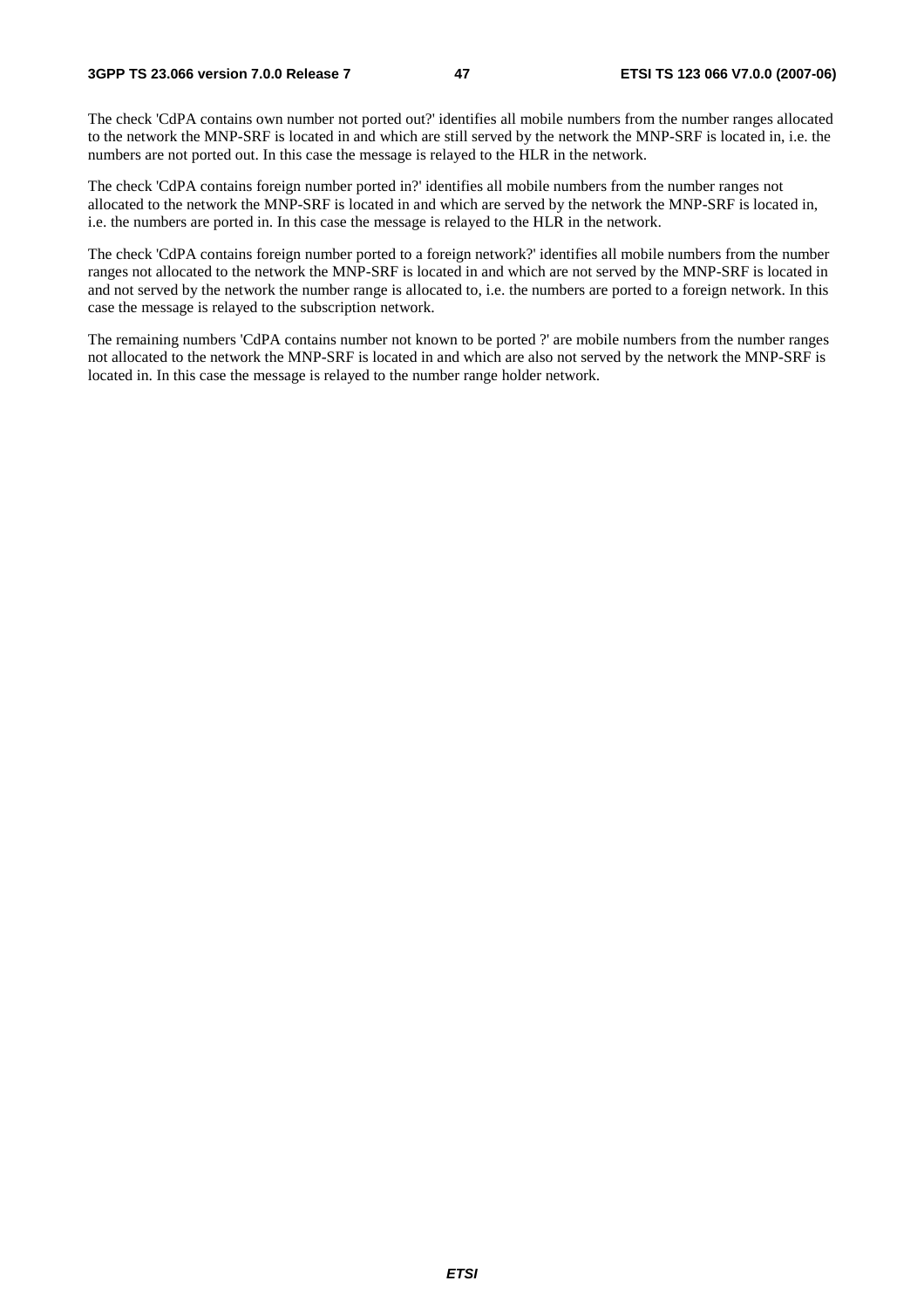The check 'CdPA contains own number not ported out?' identifies all mobile numbers from the number ranges allocated to the network the MNP-SRF is located in and which are still served by the network the MNP-SRF is located in, i.e. the numbers are not ported out. In this case the message is relayed to the HLR in the network.

The check 'CdPA contains foreign number ported in?' identifies all mobile numbers from the number ranges not allocated to the network the MNP-SRF is located in and which are served by the network the MNP-SRF is located in, i.e. the numbers are ported in. In this case the message is relayed to the HLR in the network.

The check 'CdPA contains foreign number ported to a foreign network?' identifies all mobile numbers from the number ranges not allocated to the network the MNP-SRF is located in and which are not served by the MNP-SRF is located in and not served by the network the number range is allocated to, i.e. the numbers are ported to a foreign network. In this case the message is relayed to the subscription network.

The remaining numbers 'CdPA contains number not known to be ported ?' are mobile numbers from the number ranges not allocated to the network the MNP-SRF is located in and which are also not served by the network the MNP-SRF is located in. In this case the message is relayed to the number range holder network.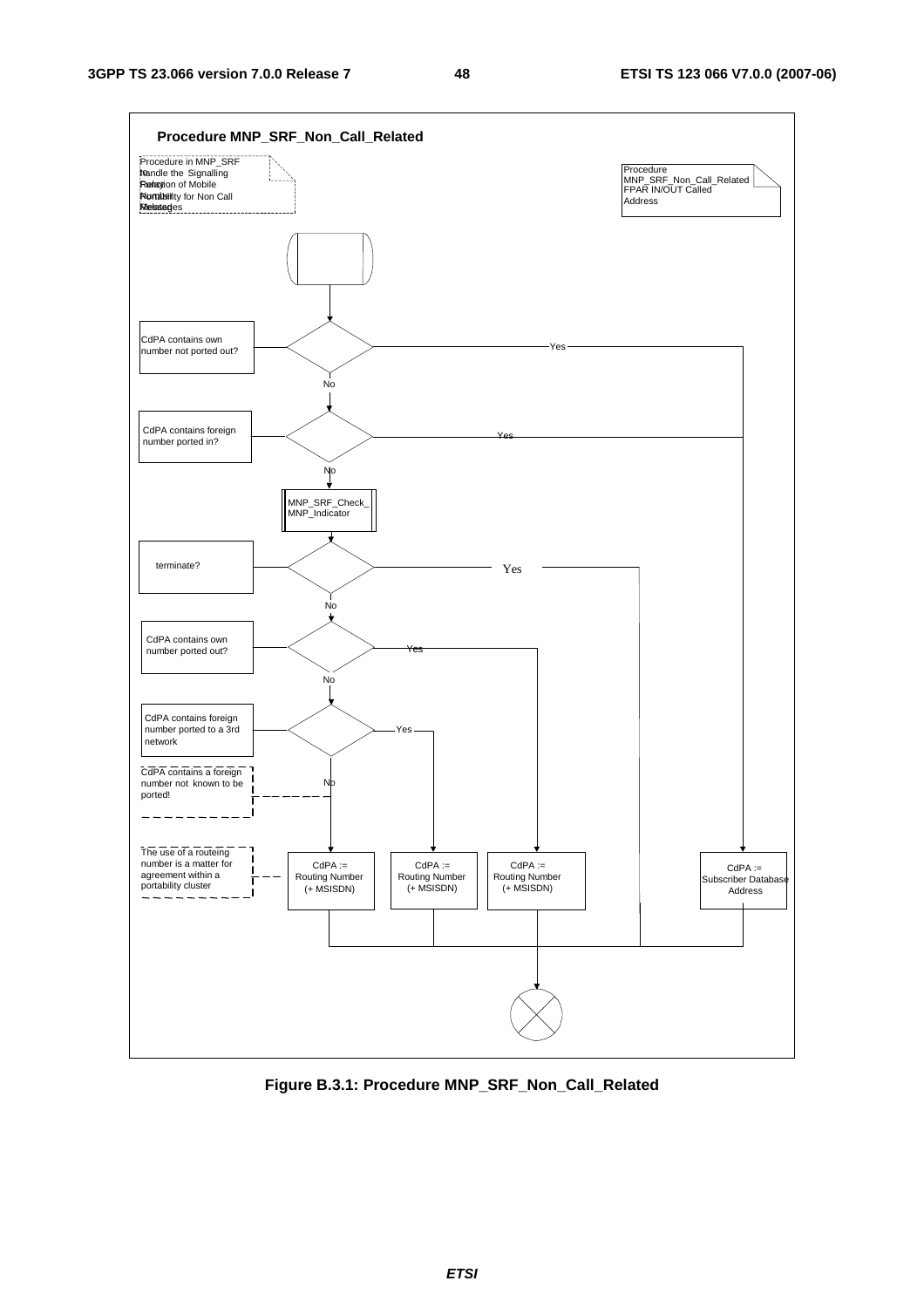

**Figure B.3.1: Procedure MNP\_SRF\_Non\_Call\_Related**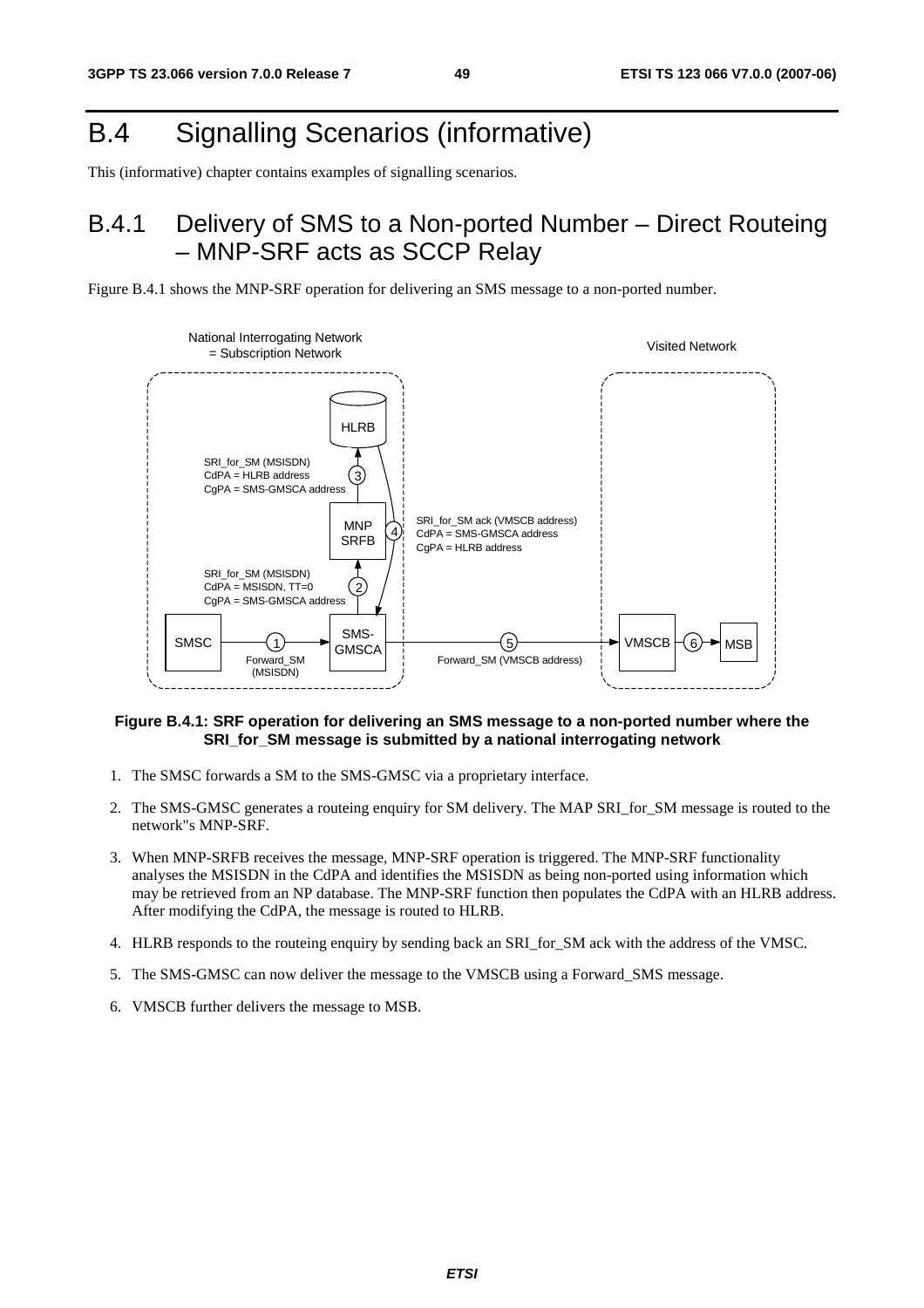# B.4 Signalling Scenarios (informative)

This (informative) chapter contains examples of signalling scenarios.

## B.4.1 Delivery of SMS to a Non-ported Number – Direct Routeing – MNP-SRF acts as SCCP Relay





#### **Figure B.4.1: SRF operation for delivering an SMS message to a non-ported number where the SRI** for SM message is submitted by a national interrogating network

- 1. The SMSC forwards a SM to the SMS-GMSC via a proprietary interface.
- 2. The SMS-GMSC generates a routeing enquiry for SM delivery. The MAP SRI\_for\_SM message is routed to the network"s MNP-SRF.
- 3. When MNP-SRFB receives the message, MNP-SRF operation is triggered. The MNP-SRF functionality analyses the MSISDN in the CdPA and identifies the MSISDN as being non-ported using information which may be retrieved from an NP database. The MNP-SRF function then populates the CdPA with an HLRB address. After modifying the CdPA, the message is routed to HLRB.
- 4. HLRB responds to the routeing enquiry by sending back an SRI\_for\_SM ack with the address of the VMSC.
- 5. The SMS-GMSC can now deliver the message to the VMSCB using a Forward\_SMS message.
- 6. VMSCB further delivers the message to MSB.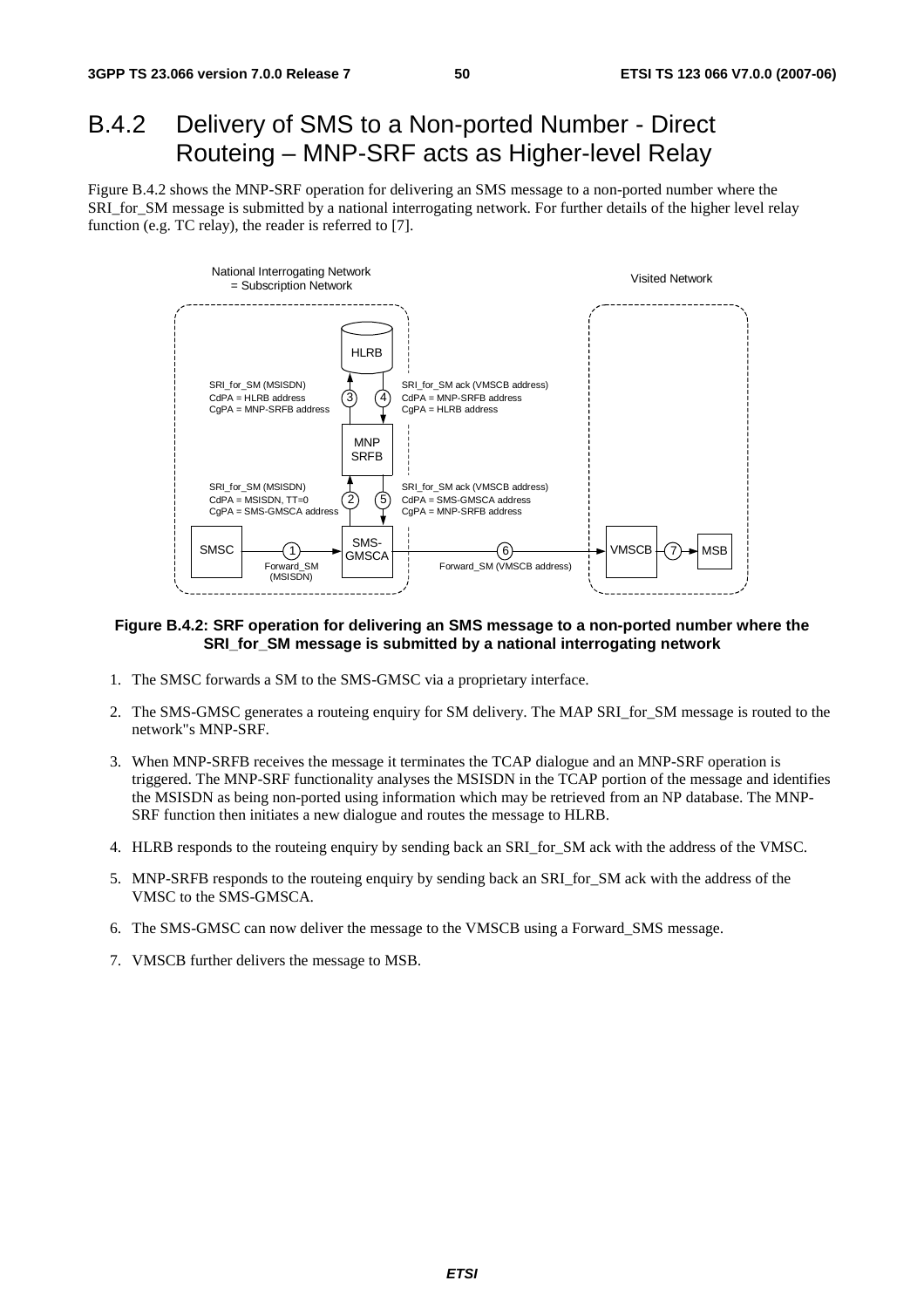## B.4.2 Delivery of SMS to a Non-ported Number - Direct Routeing – MNP-SRF acts as Higher-level Relay

Figure B.4.2 shows the MNP-SRF operation for delivering an SMS message to a non-ported number where the SRI\_for\_SM message is submitted by a national interrogating network. For further details of the higher level relay function (e.g. TC relay), the reader is referred to [7].



#### **Figure B.4.2: SRF operation for delivering an SMS message to a non-ported number where the SRI\_for\_SM message is submitted by a national interrogating network**

- 1. The SMSC forwards a SM to the SMS-GMSC via a proprietary interface.
- 2. The SMS-GMSC generates a routeing enquiry for SM delivery. The MAP SRI\_for\_SM message is routed to the network"s MNP-SRF.
- 3. When MNP-SRFB receives the message it terminates the TCAP dialogue and an MNP-SRF operation is triggered. The MNP-SRF functionality analyses the MSISDN in the TCAP portion of the message and identifies the MSISDN as being non-ported using information which may be retrieved from an NP database. The MNP-SRF function then initiates a new dialogue and routes the message to HLRB.
- 4. HLRB responds to the routeing enquiry by sending back an SRI\_for\_SM ack with the address of the VMSC.
- 5. MNP-SRFB responds to the routeing enquiry by sending back an SRI\_for\_SM ack with the address of the VMSC to the SMS-GMSCA.
- 6. The SMS-GMSC can now deliver the message to the VMSCB using a Forward\_SMS message.
- 7. VMSCB further delivers the message to MSB.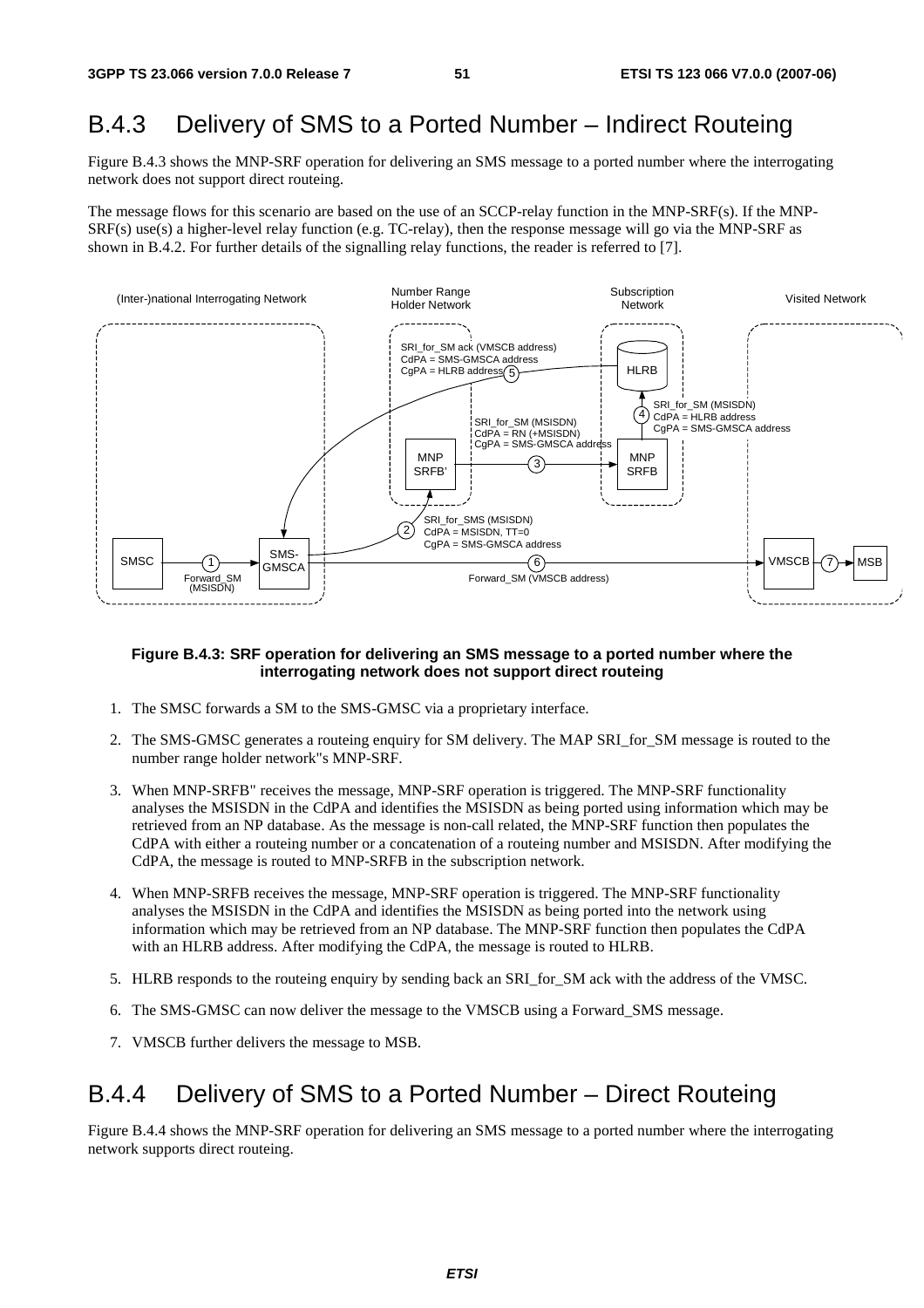## B.4.3 Delivery of SMS to a Ported Number – Indirect Routeing

Figure B.4.3 shows the MNP-SRF operation for delivering an SMS message to a ported number where the interrogating network does not support direct routeing.

The message flows for this scenario are based on the use of an SCCP-relay function in the MNP-SRF(s). If the MNP-SRF(s) use(s) a higher-level relay function (e.g. TC-relay), then the response message will go via the MNP-SRF as shown in B.4.2. For further details of the signalling relay functions, the reader is referred to [7].



#### **Figure B.4.3: SRF operation for delivering an SMS message to a ported number where the interrogating network does not support direct routeing**

- 1. The SMSC forwards a SM to the SMS-GMSC via a proprietary interface.
- 2. The SMS-GMSC generates a routeing enquiry for SM delivery. The MAP SRI for SM message is routed to the number range holder network"s MNP-SRF.
- 3. When MNP-SRFB" receives the message, MNP-SRF operation is triggered. The MNP-SRF functionality analyses the MSISDN in the CdPA and identifies the MSISDN as being ported using information which may be retrieved from an NP database. As the message is non-call related, the MNP-SRF function then populates the CdPA with either a routeing number or a concatenation of a routeing number and MSISDN. After modifying the CdPA, the message is routed to MNP-SRFB in the subscription network.
- 4. When MNP-SRFB receives the message, MNP-SRF operation is triggered. The MNP-SRF functionality analyses the MSISDN in the CdPA and identifies the MSISDN as being ported into the network using information which may be retrieved from an NP database. The MNP-SRF function then populates the CdPA with an HLRB address. After modifying the CdPA, the message is routed to HLRB.
- 5. HLRB responds to the routeing enquiry by sending back an SRI\_for\_SM ack with the address of the VMSC.
- 6. The SMS-GMSC can now deliver the message to the VMSCB using a Forward\_SMS message.
- 7. VMSCB further delivers the message to MSB.

### B.4.4 Delivery of SMS to a Ported Number – Direct Routeing

Figure B.4.4 shows the MNP-SRF operation for delivering an SMS message to a ported number where the interrogating network supports direct routeing.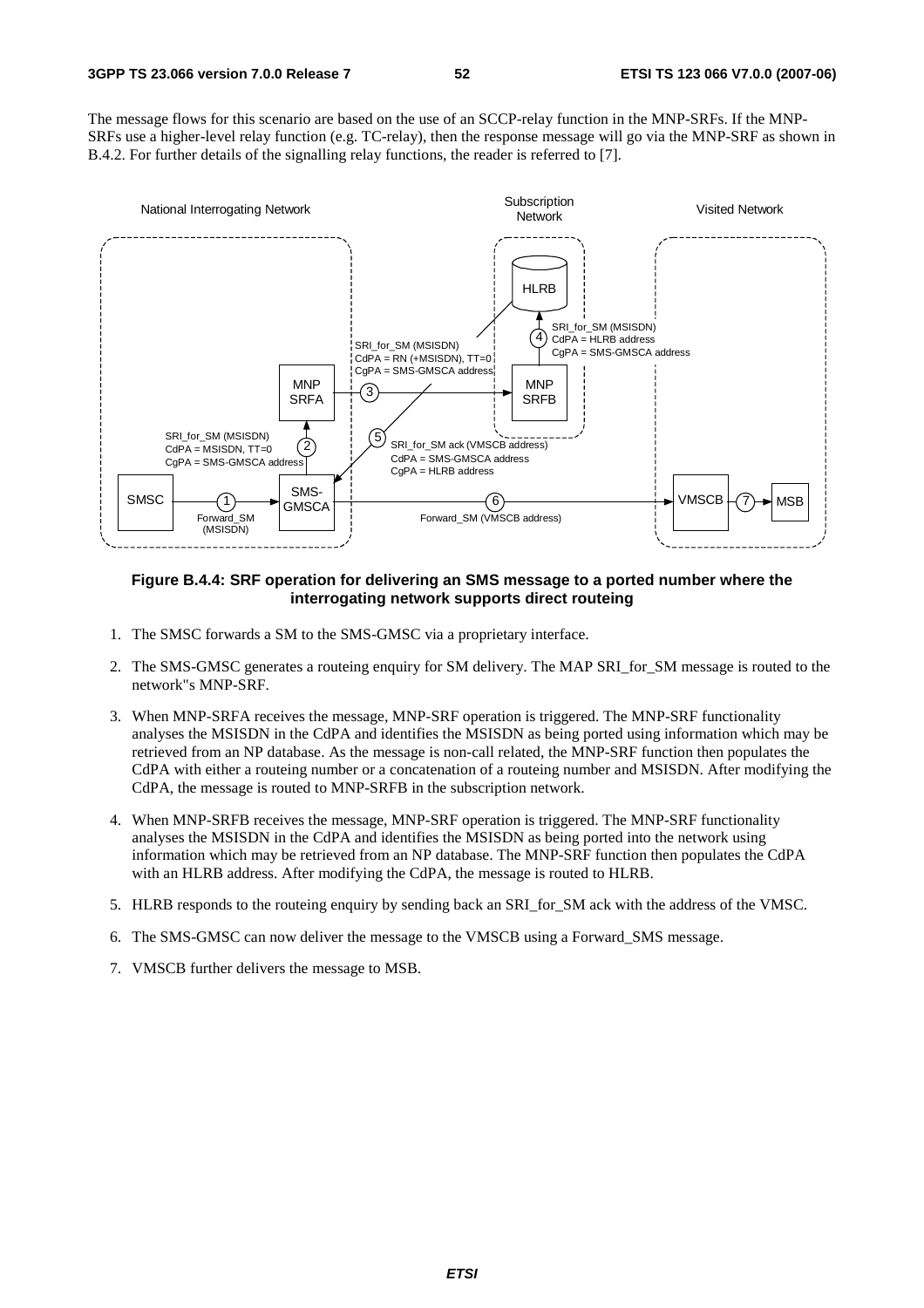The message flows for this scenario are based on the use of an SCCP-relay function in the MNP-SRFs. If the MNP-SRFs use a higher-level relay function (e.g. TC-relay), then the response message will go via the MNP-SRF as shown in B.4.2. For further details of the signalling relay functions, the reader is referred to [7].



#### **Figure B.4.4: SRF operation for delivering an SMS message to a ported number where the interrogating network supports direct routeing**

- 1. The SMSC forwards a SM to the SMS-GMSC via a proprietary interface.
- 2. The SMS-GMSC generates a routeing enquiry for SM delivery. The MAP SRI\_for\_SM message is routed to the network"s MNP-SRF.
- 3. When MNP-SRFA receives the message, MNP-SRF operation is triggered. The MNP-SRF functionality analyses the MSISDN in the CdPA and identifies the MSISDN as being ported using information which may be retrieved from an NP database. As the message is non-call related, the MNP-SRF function then populates the CdPA with either a routeing number or a concatenation of a routeing number and MSISDN. After modifying the CdPA, the message is routed to MNP-SRFB in the subscription network.
- 4. When MNP-SRFB receives the message, MNP-SRF operation is triggered. The MNP-SRF functionality analyses the MSISDN in the CdPA and identifies the MSISDN as being ported into the network using information which may be retrieved from an NP database. The MNP-SRF function then populates the CdPA with an HLRB address. After modifying the CdPA, the message is routed to HLRB.
- 5. HLRB responds to the routeing enquiry by sending back an SRI\_for\_SM ack with the address of the VMSC.
- 6. The SMS-GMSC can now deliver the message to the VMSCB using a Forward\_SMS message.
- 7. VMSCB further delivers the message to MSB.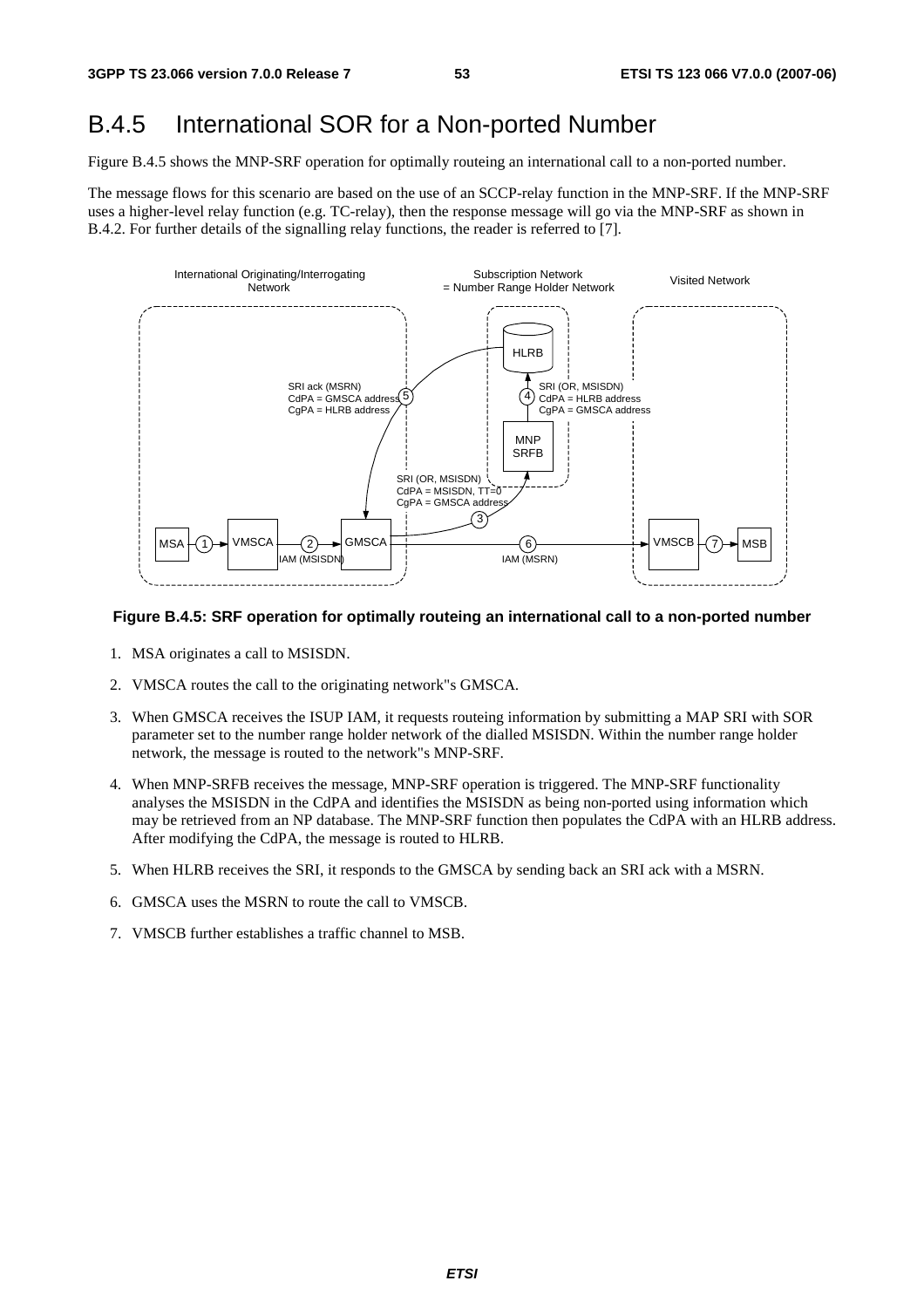## B.4.5 International SOR for a Non-ported Number

Figure B.4.5 shows the MNP-SRF operation for optimally routeing an international call to a non-ported number.

The message flows for this scenario are based on the use of an SCCP-relay function in the MNP-SRF. If the MNP-SRF uses a higher-level relay function (e.g. TC-relay), then the response message will go via the MNP-SRF as shown in B.4.2. For further details of the signalling relay functions, the reader is referred to [7].



### **Figure B.4.5: SRF operation for optimally routeing an international call to a non-ported number**

- 1. MSA originates a call to MSISDN.
- 2. VMSCA routes the call to the originating network"s GMSCA.
- 3. When GMSCA receives the ISUP IAM, it requests routeing information by submitting a MAP SRI with SOR parameter set to the number range holder network of the dialled MSISDN. Within the number range holder network, the message is routed to the network"s MNP-SRF.
- 4. When MNP-SRFB receives the message, MNP-SRF operation is triggered. The MNP-SRF functionality analyses the MSISDN in the CdPA and identifies the MSISDN as being non-ported using information which may be retrieved from an NP database. The MNP-SRF function then populates the CdPA with an HLRB address. After modifying the CdPA, the message is routed to HLRB.
- 5. When HLRB receives the SRI, it responds to the GMSCA by sending back an SRI ack with a MSRN.
- 6. GMSCA uses the MSRN to route the call to VMSCB.
- 7. VMSCB further establishes a traffic channel to MSB.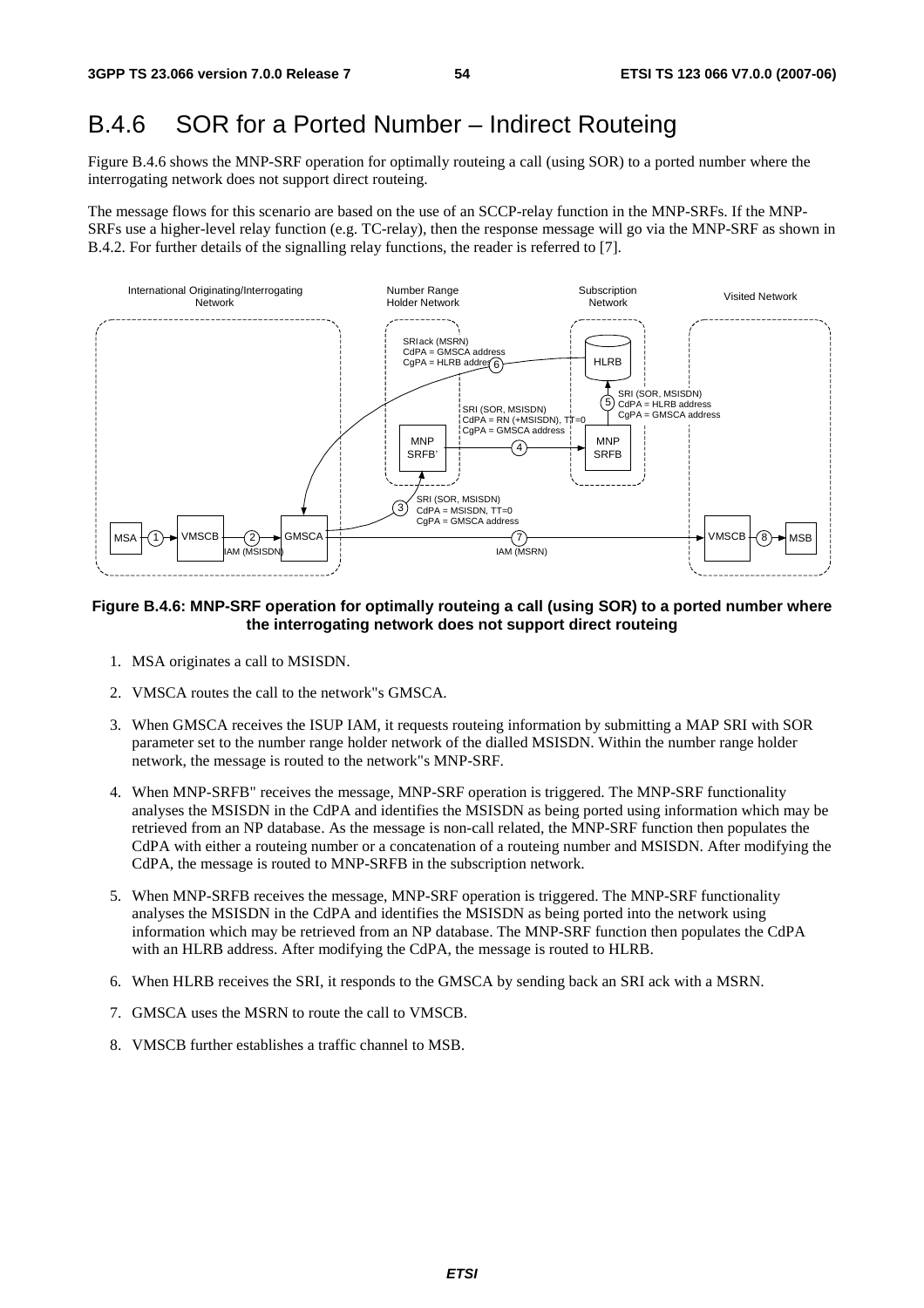### B.4.6 SOR for a Ported Number – Indirect Routeing

Figure B.4.6 shows the MNP-SRF operation for optimally routeing a call (using SOR) to a ported number where the interrogating network does not support direct routeing.

The message flows for this scenario are based on the use of an SCCP-relay function in the MNP-SRFs. If the MNP-SRFs use a higher-level relay function (e.g. TC-relay), then the response message will go via the MNP-SRF as shown in B.4.2. For further details of the signalling relay functions, the reader is referred to [7].



#### **Figure B.4.6: MNP-SRF operation for optimally routeing a call (using SOR) to a ported number where the interrogating network does not support direct routeing**

- 1. MSA originates a call to MSISDN.
- 2. VMSCA routes the call to the network"s GMSCA.
- 3. When GMSCA receives the ISUP IAM, it requests routeing information by submitting a MAP SRI with SOR parameter set to the number range holder network of the dialled MSISDN. Within the number range holder network, the message is routed to the network"s MNP-SRF.
- 4. When MNP-SRFB" receives the message, MNP-SRF operation is triggered. The MNP-SRF functionality analyses the MSISDN in the CdPA and identifies the MSISDN as being ported using information which may be retrieved from an NP database. As the message is non-call related, the MNP-SRF function then populates the CdPA with either a routeing number or a concatenation of a routeing number and MSISDN. After modifying the CdPA, the message is routed to MNP-SRFB in the subscription network.
- 5. When MNP-SRFB receives the message, MNP-SRF operation is triggered. The MNP-SRF functionality analyses the MSISDN in the CdPA and identifies the MSISDN as being ported into the network using information which may be retrieved from an NP database. The MNP-SRF function then populates the CdPA with an HLRB address. After modifying the CdPA, the message is routed to HLRB.
- 6. When HLRB receives the SRI, it responds to the GMSCA by sending back an SRI ack with a MSRN.
- 7. GMSCA uses the MSRN to route the call to VMSCB.
- 8. VMSCB further establishes a traffic channel to MSB.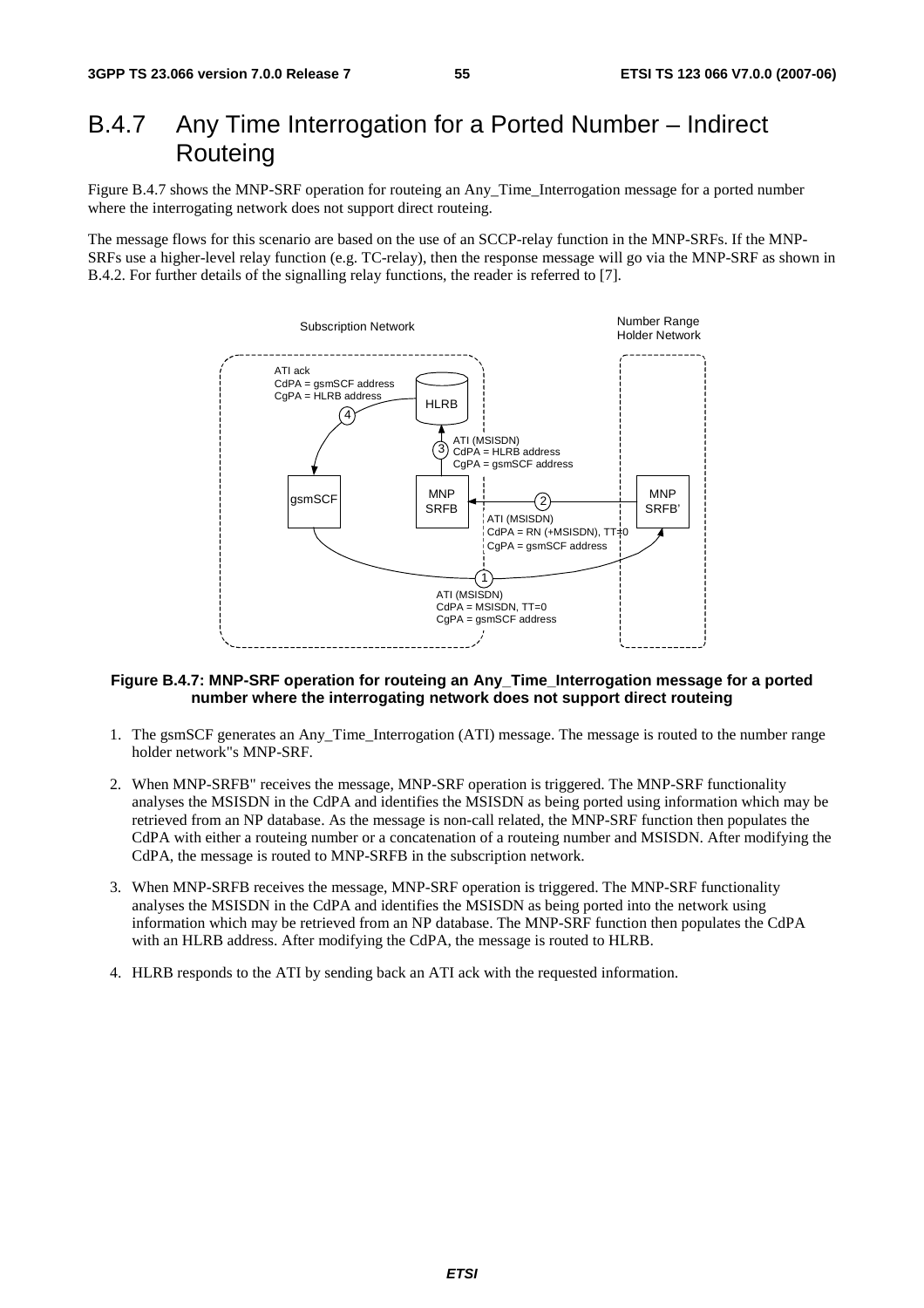### B.4.7 Any Time Interrogation for a Ported Number – Indirect **Routeing**

Figure B.4.7 shows the MNP-SRF operation for routeing an Any\_Time\_Interrogation message for a ported number where the interrogating network does not support direct routeing.

The message flows for this scenario are based on the use of an SCCP-relay function in the MNP-SRFs. If the MNP-SRFs use a higher-level relay function (e.g. TC-relay), then the response message will go via the MNP-SRF as shown in B.4.2. For further details of the signalling relay functions, the reader is referred to [7].



#### **Figure B.4.7: MNP-SRF operation for routeing an Any\_Time\_Interrogation message for a ported number where the interrogating network does not support direct routeing**

- 1. The gsmSCF generates an Any\_Time\_Interrogation (ATI) message. The message is routed to the number range holder network"s MNP-SRF.
- 2. When MNP-SRFB" receives the message, MNP-SRF operation is triggered. The MNP-SRF functionality analyses the MSISDN in the CdPA and identifies the MSISDN as being ported using information which may be retrieved from an NP database. As the message is non-call related, the MNP-SRF function then populates the CdPA with either a routeing number or a concatenation of a routeing number and MSISDN. After modifying the CdPA, the message is routed to MNP-SRFB in the subscription network.
- 3. When MNP-SRFB receives the message, MNP-SRF operation is triggered. The MNP-SRF functionality analyses the MSISDN in the CdPA and identifies the MSISDN as being ported into the network using information which may be retrieved from an NP database. The MNP-SRF function then populates the CdPA with an HLRB address. After modifying the CdPA, the message is routed to HLRB.
- 4. HLRB responds to the ATI by sending back an ATI ack with the requested information.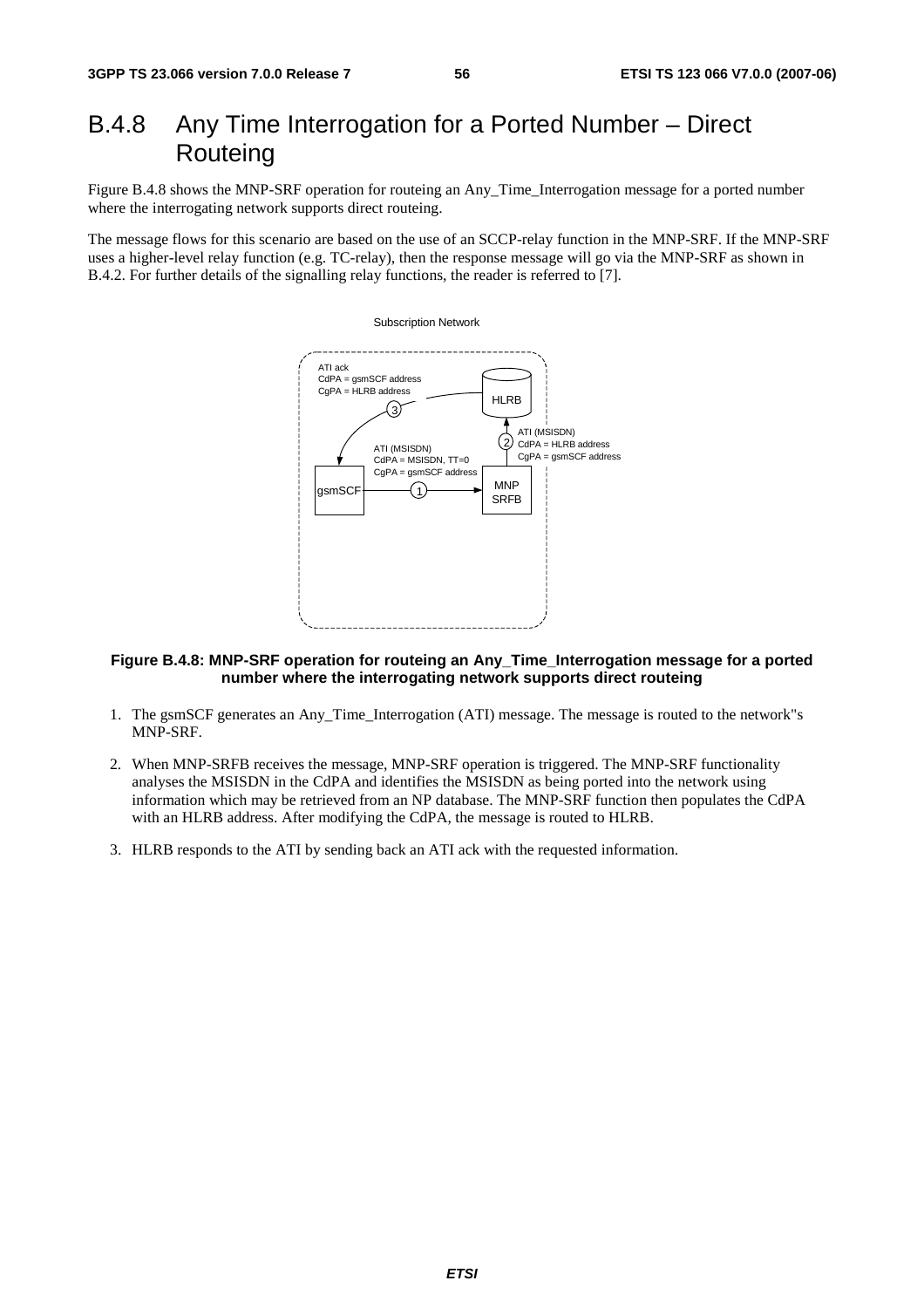## B.4.8 Any Time Interrogation for a Ported Number – Direct Routeing

Figure B.4.8 shows the MNP-SRF operation for routeing an Any\_Time\_Interrogation message for a ported number where the interrogating network supports direct routeing.

The message flows for this scenario are based on the use of an SCCP-relay function in the MNP-SRF. If the MNP-SRF uses a higher-level relay function (e.g. TC-relay), then the response message will go via the MNP-SRF as shown in B.4.2. For further details of the signalling relay functions, the reader is referred to [7].



### **Figure B.4.8: MNP-SRF operation for routeing an Any\_Time\_Interrogation message for a ported number where the interrogating network supports direct routeing**

- 1. The gsmSCF generates an Any\_Time\_Interrogation (ATI) message. The message is routed to the network"s MNP-SRF.
- 2. When MNP-SRFB receives the message, MNP-SRF operation is triggered. The MNP-SRF functionality analyses the MSISDN in the CdPA and identifies the MSISDN as being ported into the network using information which may be retrieved from an NP database. The MNP-SRF function then populates the CdPA with an HLRB address. After modifying the CdPA, the message is routed to HLRB.
- 3. HLRB responds to the ATI by sending back an ATI ack with the requested information.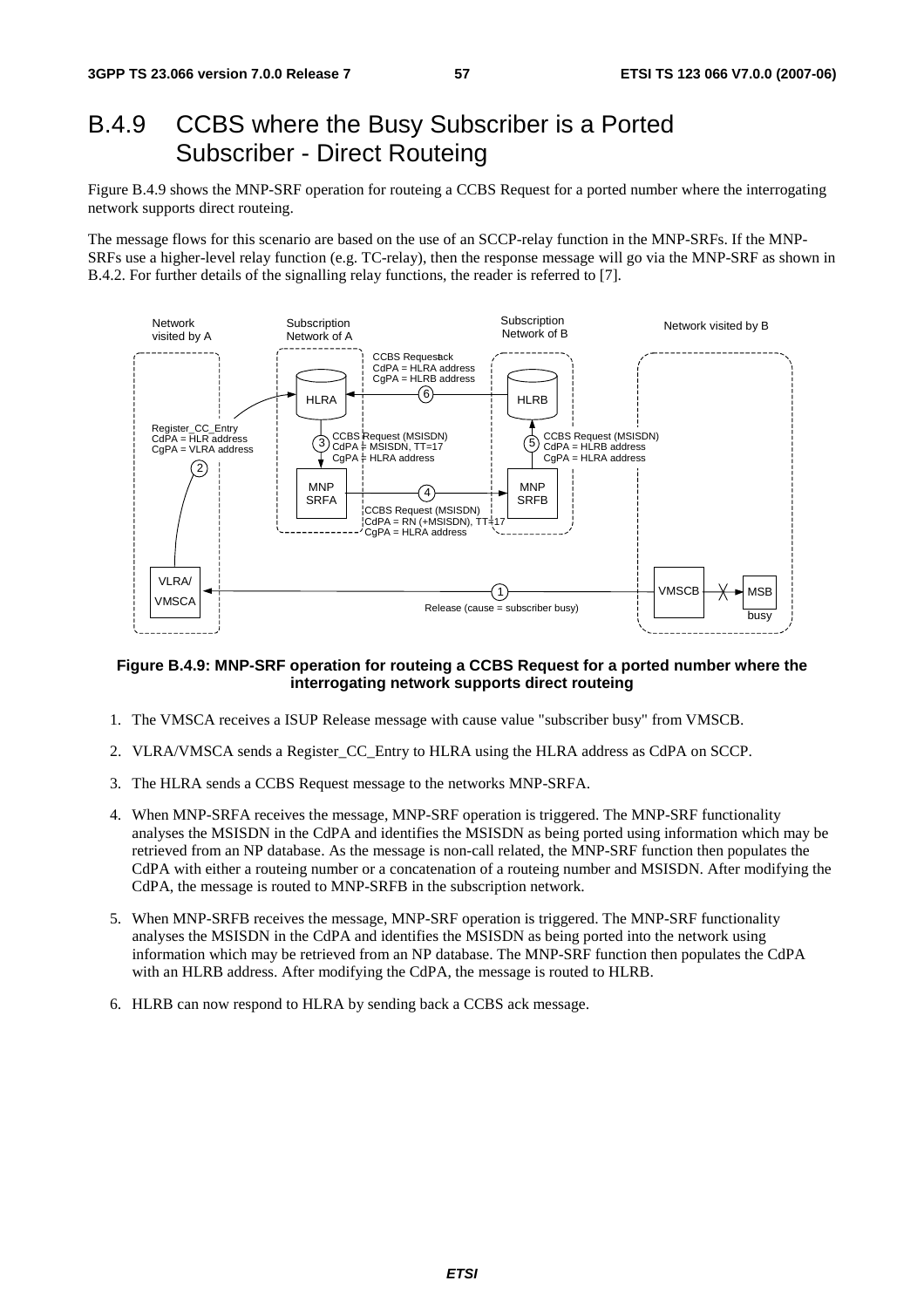### B.4.9 CCBS where the Busy Subscriber is a Ported Subscriber - Direct Routeing

Figure B.4.9 shows the MNP-SRF operation for routeing a CCBS Request for a ported number where the interrogating network supports direct routeing.

The message flows for this scenario are based on the use of an SCCP-relay function in the MNP-SRFs. If the MNP-SRFs use a higher-level relay function (e.g. TC-relay), then the response message will go via the MNP-SRF as shown in B.4.2. For further details of the signalling relay functions, the reader is referred to [7].



#### **Figure B.4.9: MNP-SRF operation for routeing a CCBS Request for a ported number where the interrogating network supports direct routeing**

- 1. The VMSCA receives a ISUP Release message with cause value "subscriber busy" from VMSCB.
- 2. VLRA/VMSCA sends a Register\_CC\_Entry to HLRA using the HLRA address as CdPA on SCCP.
- 3. The HLRA sends a CCBS Request message to the networks MNP-SRFA.
- 4. When MNP-SRFA receives the message, MNP-SRF operation is triggered. The MNP-SRF functionality analyses the MSISDN in the CdPA and identifies the MSISDN as being ported using information which may be retrieved from an NP database. As the message is non-call related, the MNP-SRF function then populates the CdPA with either a routeing number or a concatenation of a routeing number and MSISDN. After modifying the CdPA, the message is routed to MNP-SRFB in the subscription network.
- 5. When MNP-SRFB receives the message, MNP-SRF operation is triggered. The MNP-SRF functionality analyses the MSISDN in the CdPA and identifies the MSISDN as being ported into the network using information which may be retrieved from an NP database. The MNP-SRF function then populates the CdPA with an HLRB address. After modifying the CdPA, the message is routed to HLRB.
- 6. HLRB can now respond to HLRA by sending back a CCBS ack message.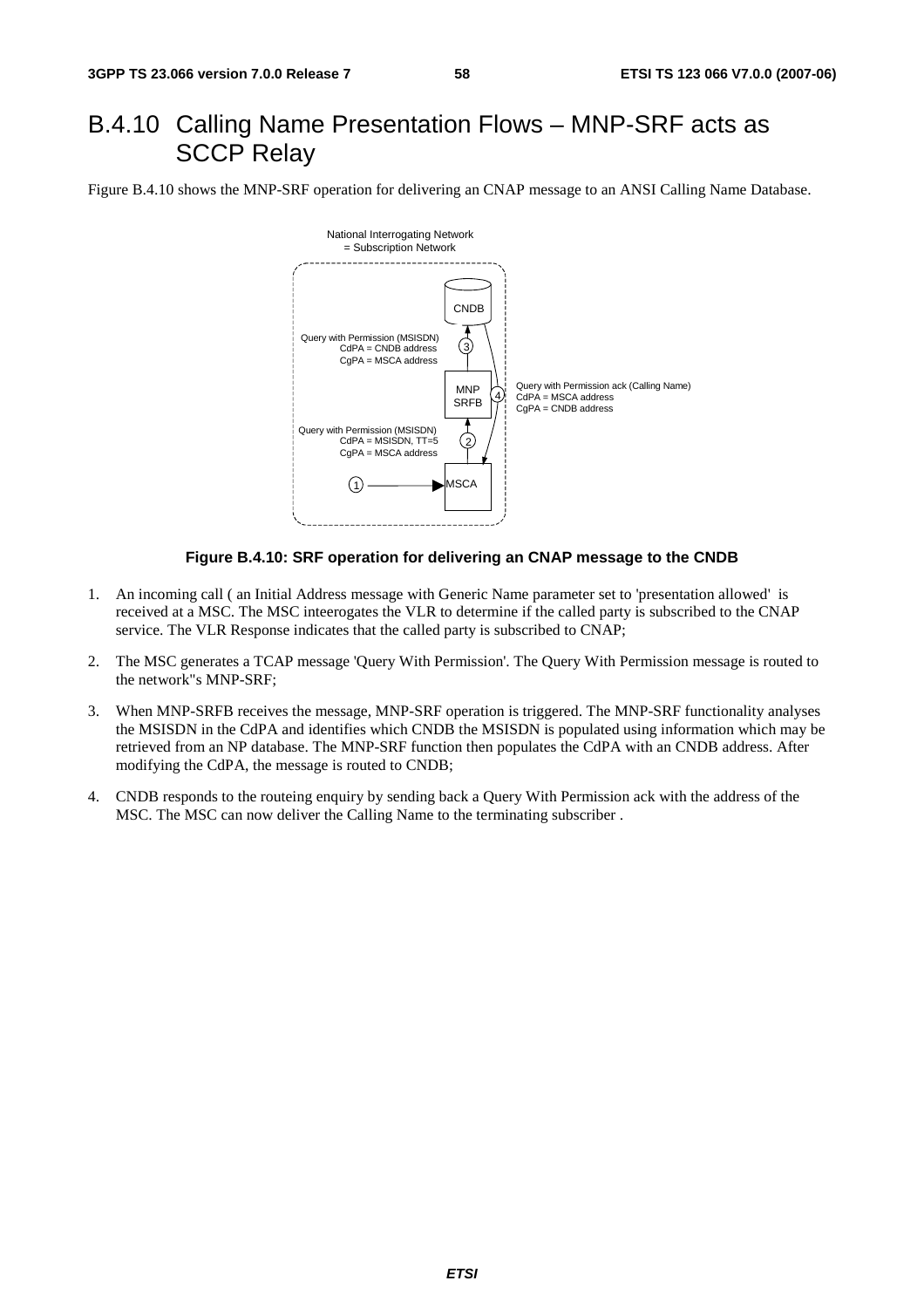# B.4.10 Calling Name Presentation Flows – MNP-SRF acts as SCCP Relay

Figure B.4.10 shows the MNP-SRF operation for delivering an CNAP message to an ANSI Calling Name Database.



#### **Figure B.4.10: SRF operation for delivering an CNAP message to the CNDB**

- 1. An incoming call ( an Initial Address message with Generic Name parameter set to 'presentation allowed' is received at a MSC. The MSC inteerogates the VLR to determine if the called party is subscribed to the CNAP service. The VLR Response indicates that the called party is subscribed to CNAP;
- 2. The MSC generates a TCAP message 'Query With Permission'. The Query With Permission message is routed to the network"s MNP-SRF;
- 3. When MNP-SRFB receives the message, MNP-SRF operation is triggered. The MNP-SRF functionality analyses the MSISDN in the CdPA and identifies which CNDB the MSISDN is populated using information which may be retrieved from an NP database. The MNP-SRF function then populates the CdPA with an CNDB address. After modifying the CdPA, the message is routed to CNDB;
- 4. CNDB responds to the routeing enquiry by sending back a Query With Permission ack with the address of the MSC. The MSC can now deliver the Calling Name to the terminating subscriber .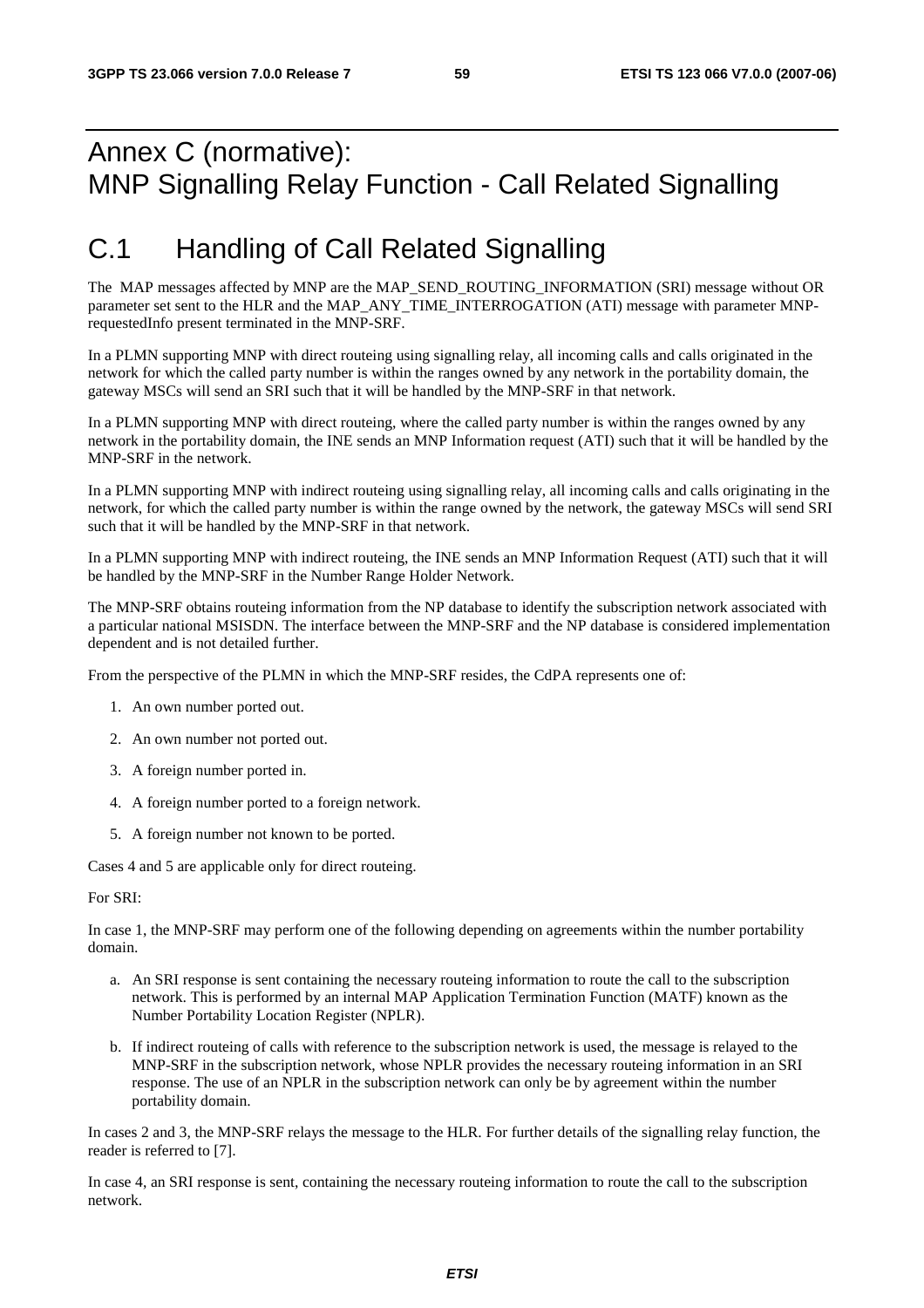# Annex C (normative): MNP Signalling Relay Function - Call Related Signalling

# C.1 Handling of Call Related Signalling

The MAP messages affected by MNP are the MAP\_SEND\_ROUTING\_INFORMATION (SRI) message without OR parameter set sent to the HLR and the MAP\_ANY\_TIME\_INTERROGATION (ATI) message with parameter MNPrequestedInfo present terminated in the MNP-SRF.

In a PLMN supporting MNP with direct routeing using signalling relay, all incoming calls and calls originated in the network for which the called party number is within the ranges owned by any network in the portability domain, the gateway MSCs will send an SRI such that it will be handled by the MNP-SRF in that network.

In a PLMN supporting MNP with direct routeing, where the called party number is within the ranges owned by any network in the portability domain, the INE sends an MNP Information request (ATI) such that it will be handled by the MNP-SRF in the network.

In a PLMN supporting MNP with indirect routeing using signalling relay, all incoming calls and calls originating in the network, for which the called party number is within the range owned by the network, the gateway MSCs will send SRI such that it will be handled by the MNP-SRF in that network.

In a PLMN supporting MNP with indirect routeing, the INE sends an MNP Information Request (ATI) such that it will be handled by the MNP-SRF in the Number Range Holder Network.

The MNP-SRF obtains routeing information from the NP database to identify the subscription network associated with a particular national MSISDN. The interface between the MNP-SRF and the NP database is considered implementation dependent and is not detailed further.

From the perspective of the PLMN in which the MNP-SRF resides, the CdPA represents one of:

- 1. An own number ported out.
- 2. An own number not ported out.
- 3. A foreign number ported in.
- 4. A foreign number ported to a foreign network.
- 5. A foreign number not known to be ported.

Cases 4 and 5 are applicable only for direct routeing.

For SRI:

In case 1, the MNP-SRF may perform one of the following depending on agreements within the number portability domain.

- a. An SRI response is sent containing the necessary routeing information to route the call to the subscription network. This is performed by an internal MAP Application Termination Function (MATF) known as the Number Portability Location Register (NPLR).
- b. If indirect routeing of calls with reference to the subscription network is used, the message is relayed to the MNP-SRF in the subscription network, whose NPLR provides the necessary routeing information in an SRI response. The use of an NPLR in the subscription network can only be by agreement within the number portability domain.

In cases 2 and 3, the MNP-SRF relays the message to the HLR. For further details of the signalling relay function, the reader is referred to [7].

In case 4, an SRI response is sent, containing the necessary routeing information to route the call to the subscription network.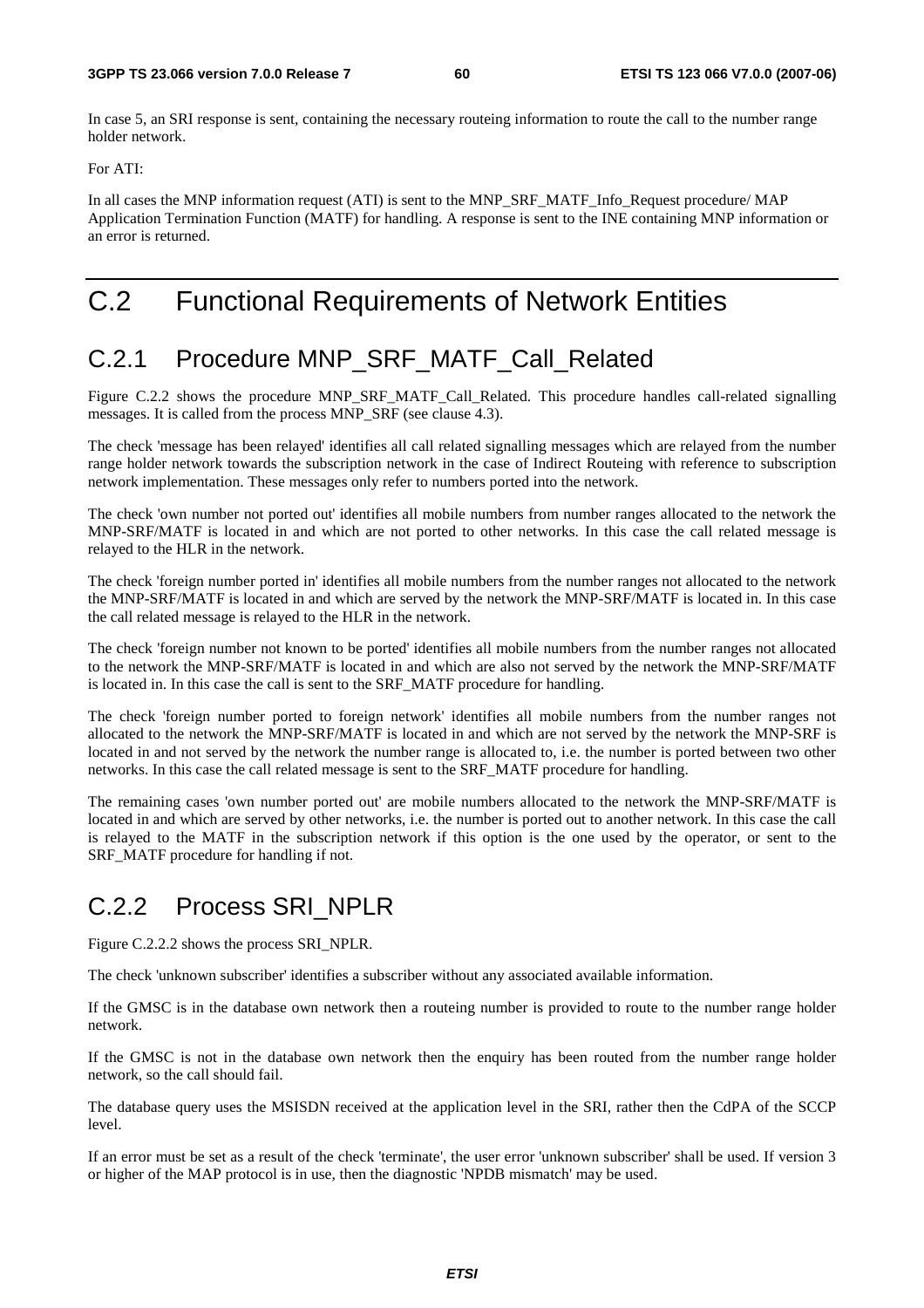In case 5, an SRI response is sent, containing the necessary routeing information to route the call to the number range holder network.

For ATI:

In all cases the MNP information request (ATI) is sent to the MNP\_SRF\_MATF\_Info\_Request procedure/ MAP Application Termination Function (MATF) for handling. A response is sent to the INE containing MNP information or an error is returned.

# C.2 Functional Requirements of Network Entities

## C.2.1 Procedure MNP\_SRF\_MATF\_Call\_Related

Figure C.2.2 shows the procedure MNP\_SRF\_MATF\_Call\_Related. This procedure handles call-related signalling messages. It is called from the process MNP\_SRF (see clause 4.3).

The check 'message has been relayed' identifies all call related signalling messages which are relayed from the number range holder network towards the subscription network in the case of Indirect Routeing with reference to subscription network implementation. These messages only refer to numbers ported into the network.

The check 'own number not ported out' identifies all mobile numbers from number ranges allocated to the network the MNP-SRF/MATF is located in and which are not ported to other networks. In this case the call related message is relayed to the HLR in the network.

The check 'foreign number ported in' identifies all mobile numbers from the number ranges not allocated to the network the MNP-SRF/MATF is located in and which are served by the network the MNP-SRF/MATF is located in. In this case the call related message is relayed to the HLR in the network.

The check 'foreign number not known to be ported' identifies all mobile numbers from the number ranges not allocated to the network the MNP-SRF/MATF is located in and which are also not served by the network the MNP-SRF/MATF is located in. In this case the call is sent to the SRF\_MATF procedure for handling.

The check 'foreign number ported to foreign network' identifies all mobile numbers from the number ranges not allocated to the network the MNP-SRF/MATF is located in and which are not served by the network the MNP-SRF is located in and not served by the network the number range is allocated to, i.e. the number is ported between two other networks. In this case the call related message is sent to the SRF\_MATF procedure for handling.

The remaining cases 'own number ported out' are mobile numbers allocated to the network the MNP-SRF/MATF is located in and which are served by other networks, i.e. the number is ported out to another network. In this case the call is relayed to the MATF in the subscription network if this option is the one used by the operator, or sent to the SRF\_MATF procedure for handling if not.

# C.2.2 Process SRI\_NPLR

Figure C.2.2.2 shows the process SRI\_NPLR.

The check 'unknown subscriber' identifies a subscriber without any associated available information.

If the GMSC is in the database own network then a routeing number is provided to route to the number range holder network.

If the GMSC is not in the database own network then the enquiry has been routed from the number range holder network, so the call should fail.

The database query uses the MSISDN received at the application level in the SRI, rather then the CdPA of the SCCP level.

If an error must be set as a result of the check 'terminate', the user error 'unknown subscriber' shall be used. If version 3 or higher of the MAP protocol is in use, then the diagnostic 'NPDB mismatch' may be used.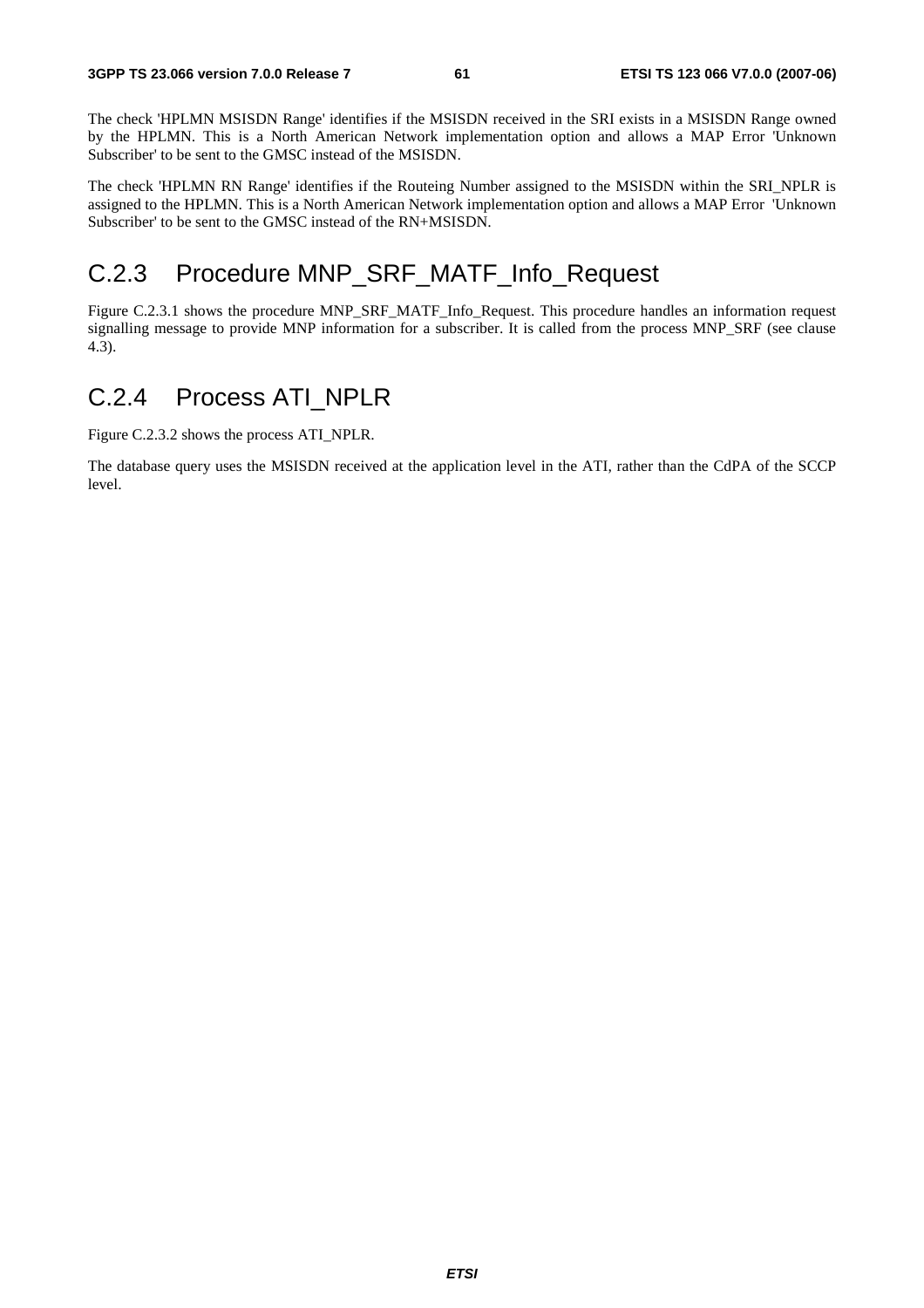The check 'HPLMN MSISDN Range' identifies if the MSISDN received in the SRI exists in a MSISDN Range owned by the HPLMN. This is a North American Network implementation option and allows a MAP Error 'Unknown Subscriber' to be sent to the GMSC instead of the MSISDN.

The check 'HPLMN RN Range' identifies if the Routeing Number assigned to the MSISDN within the SRI\_NPLR is assigned to the HPLMN. This is a North American Network implementation option and allows a MAP Error 'Unknown Subscriber' to be sent to the GMSC instead of the RN+MSISDN.

### C.2.3 Procedure MNP\_SRF\_MATF\_Info\_Request

Figure C.2.3.1 shows the procedure MNP\_SRF\_MATF\_Info\_Request. This procedure handles an information request signalling message to provide MNP information for a subscriber. It is called from the process MNP\_SRF (see clause 4.3).

### C.2.4 Process ATI\_NPLR

Figure C.2.3.2 shows the process ATI\_NPLR.

The database query uses the MSISDN received at the application level in the ATI, rather than the CdPA of the SCCP level.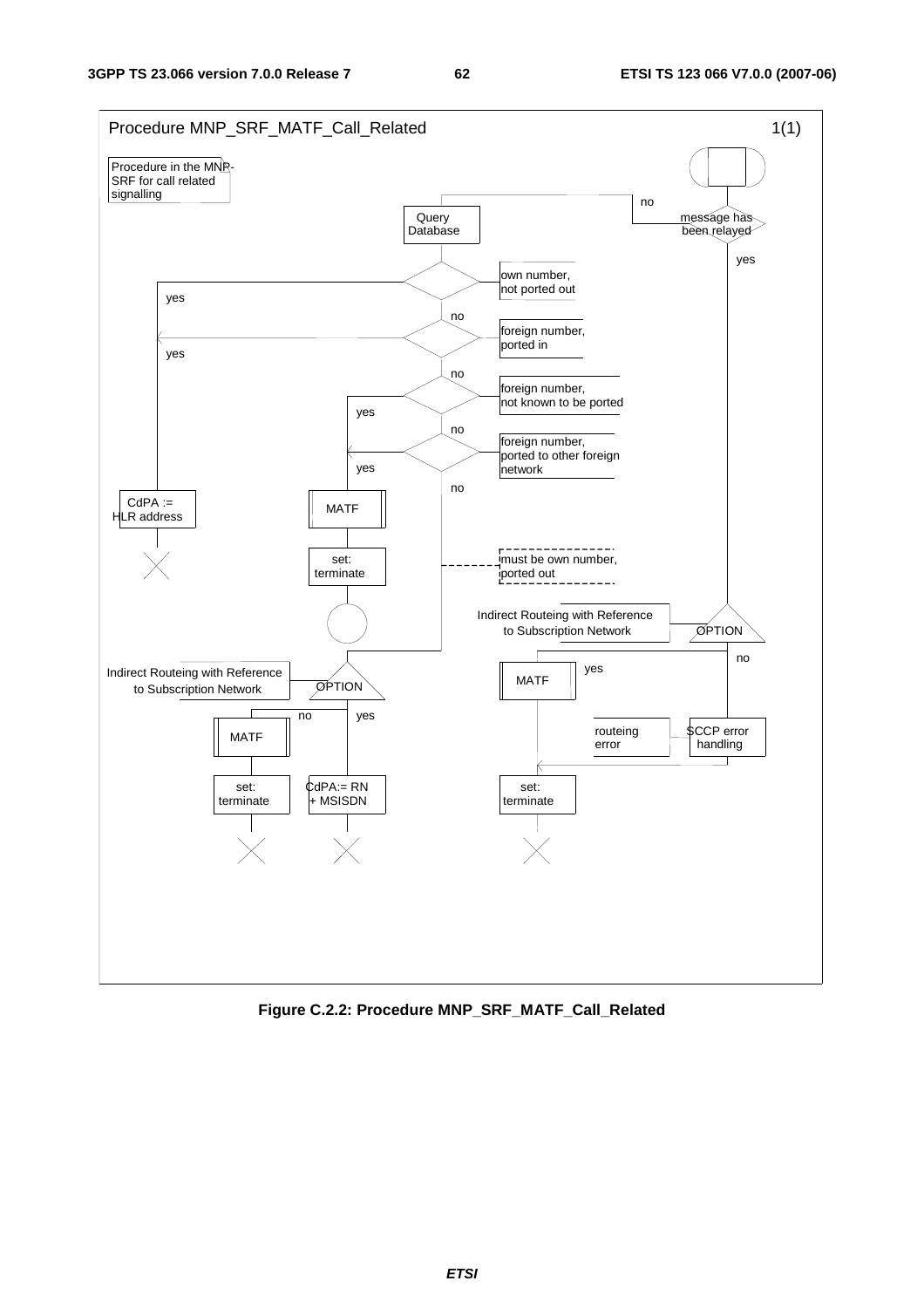

**Figure C.2.2: Procedure MNP\_SRF\_MATF\_Call\_Related**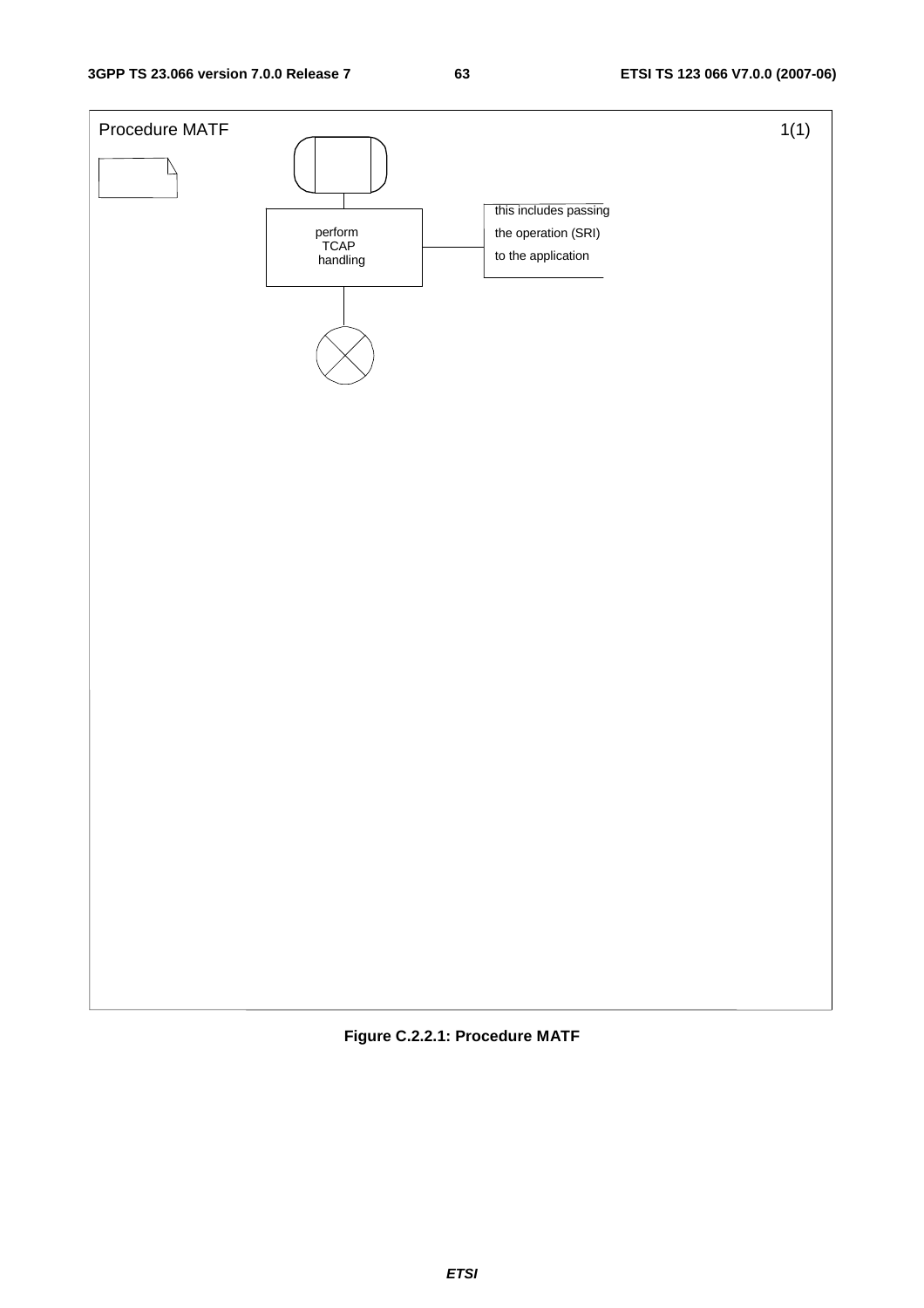

**Figure C.2.2.1: Procedure MATF**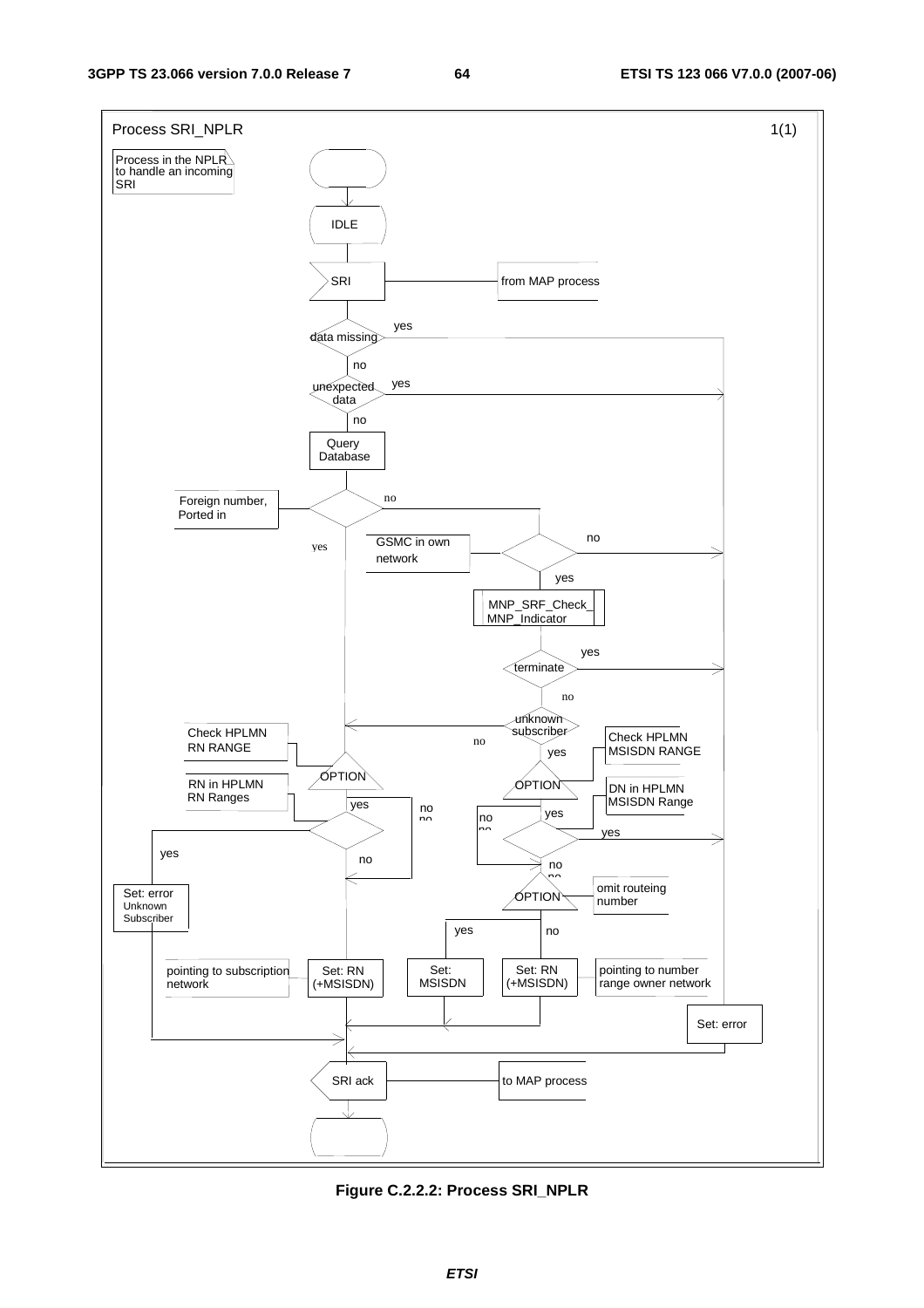

**Figure C.2.2.2: Process SRI\_NPLR**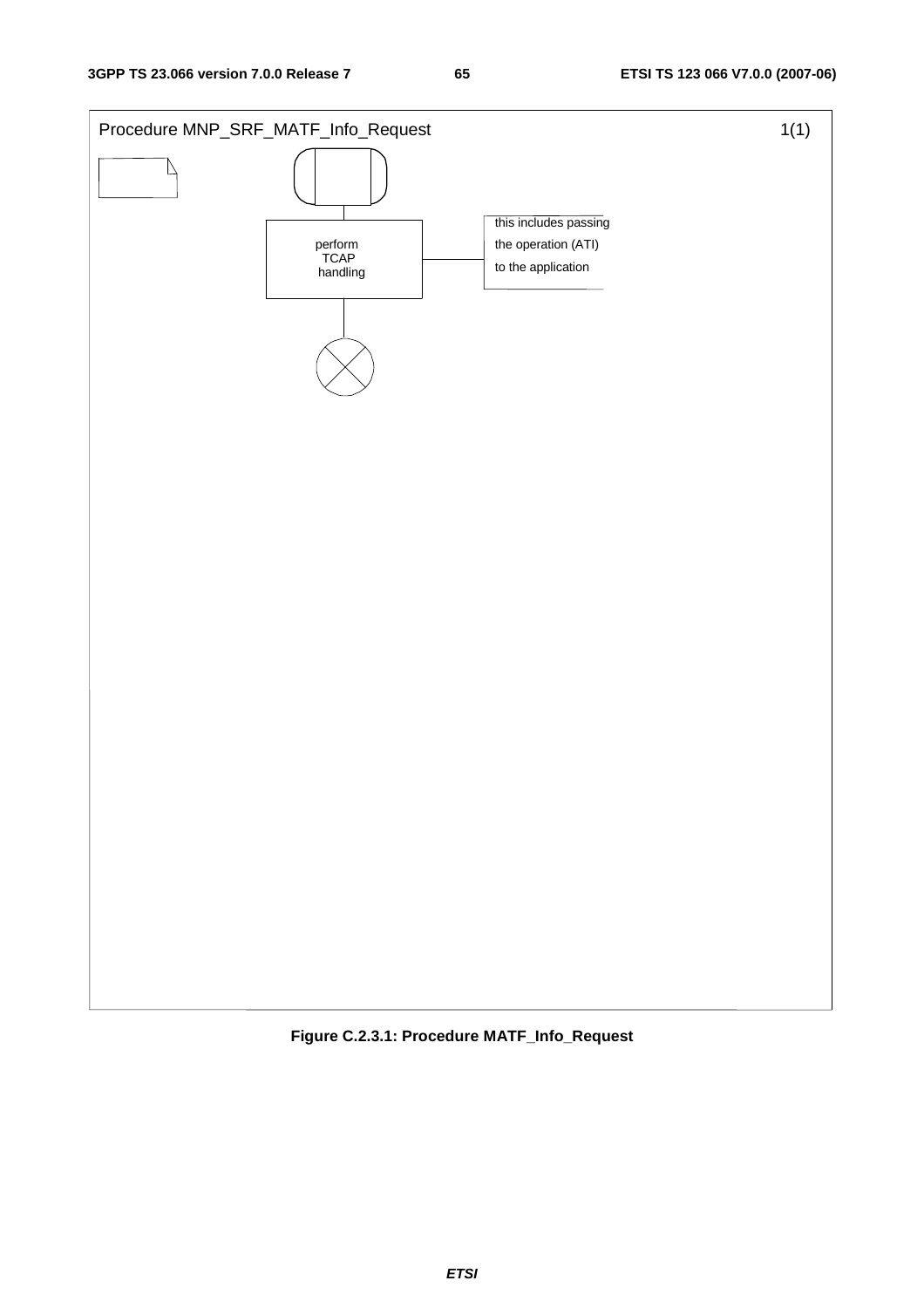

**Figure C.2.3.1: Procedure MATF\_Info\_Request**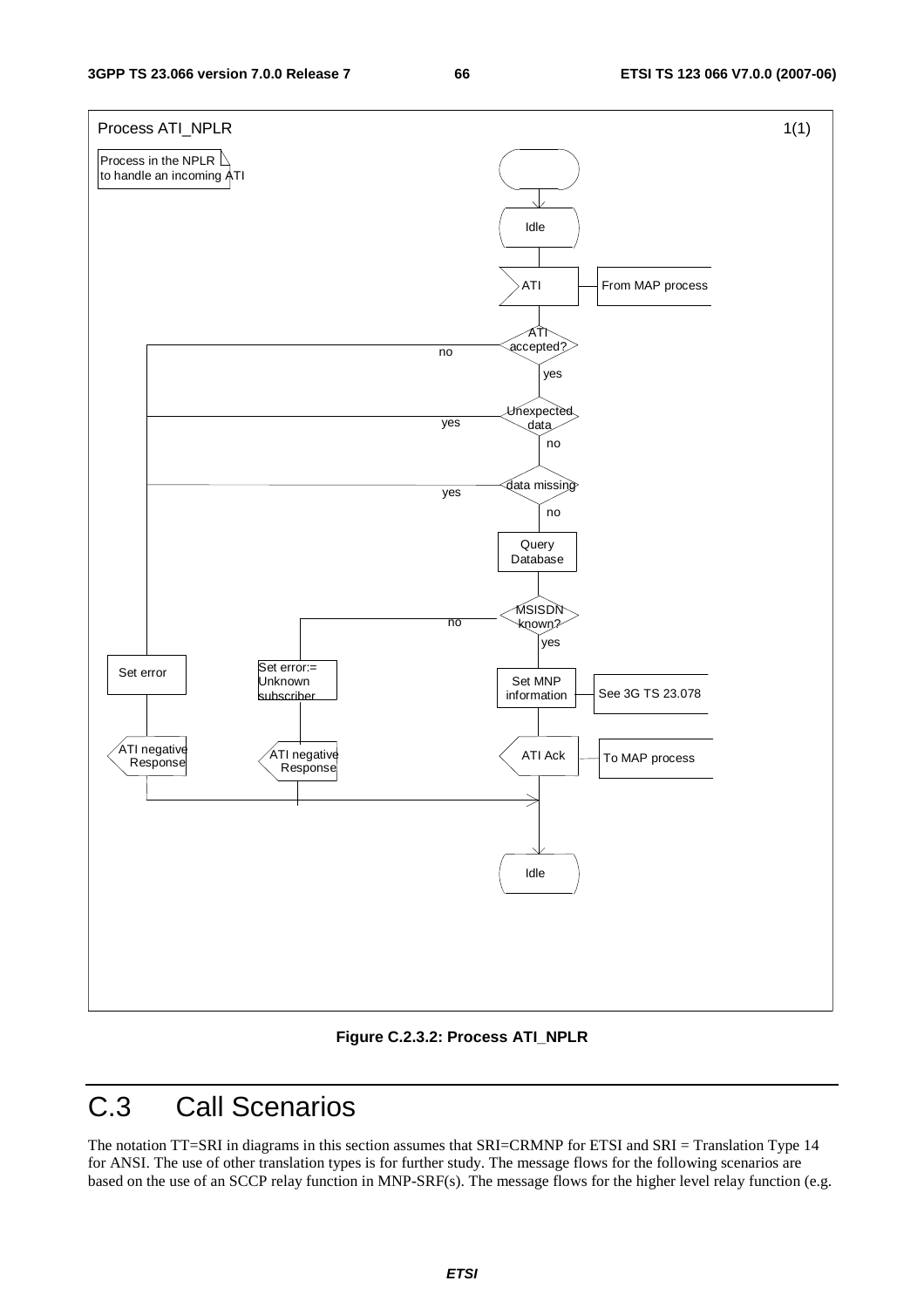

**Figure C.2.3.2: Process ATI\_NPLR** 

# C.3 Call Scenarios

The notation TT=SRI in diagrams in this section assumes that SRI=CRMNP for ETSI and SRI = Translation Type 14 for ANSI. The use of other translation types is for further study. The message flows for the following scenarios are based on the use of an SCCP relay function in MNP-SRF(s). The message flows for the higher level relay function (e.g.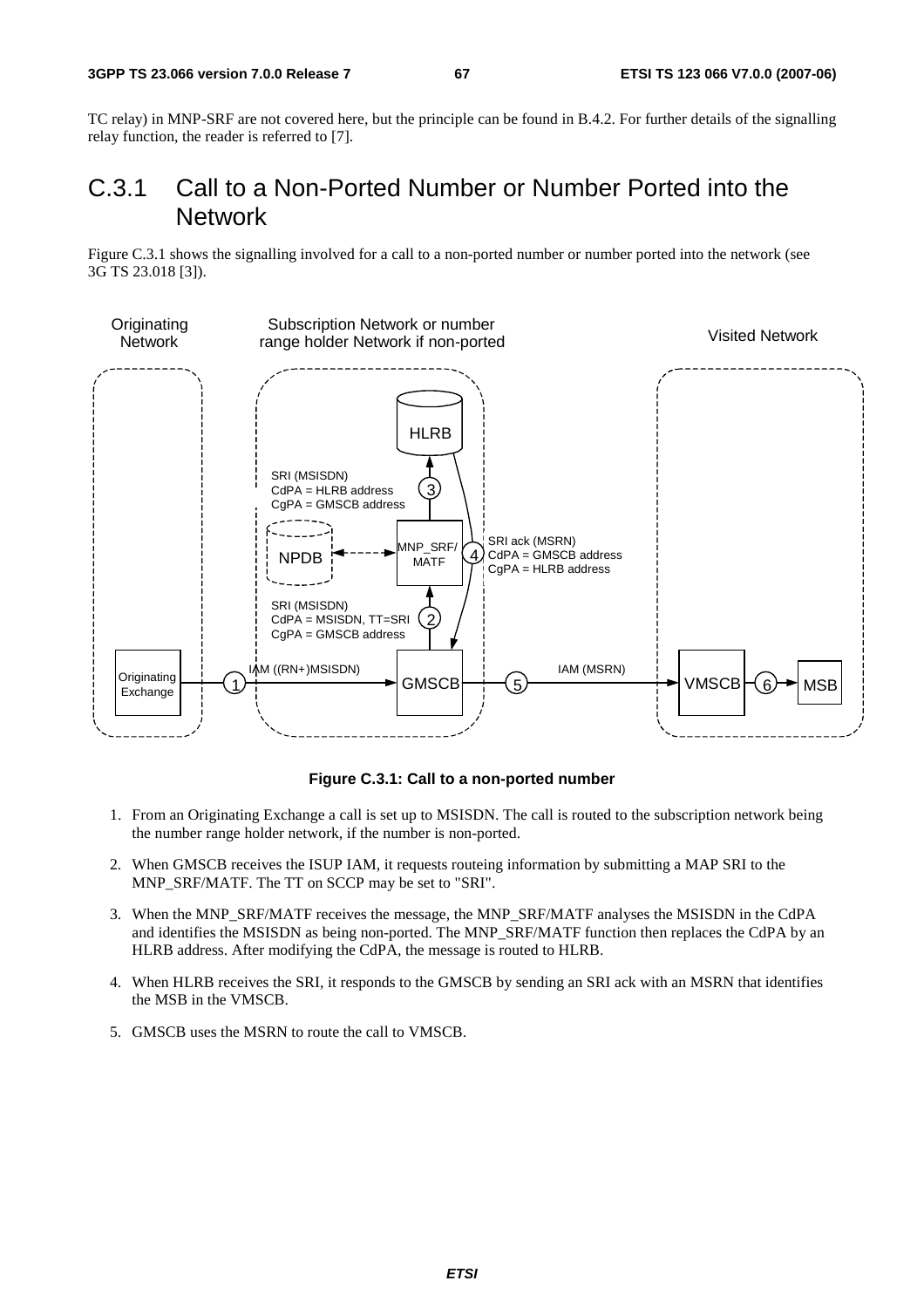TC relay) in MNP-SRF are not covered here, but the principle can be found in B.4.2. For further details of the signalling relay function, the reader is referred to [7].

### C.3.1 Call to a Non-Ported Number or Number Ported into the Network

Figure C.3.1 shows the signalling involved for a call to a non-ported number or number ported into the network (see 3G TS 23.018 [3]).



### **Figure C.3.1: Call to a non-ported number**

- 1. From an Originating Exchange a call is set up to MSISDN. The call is routed to the subscription network being the number range holder network, if the number is non-ported.
- 2. When GMSCB receives the ISUP IAM, it requests routeing information by submitting a MAP SRI to the MNP\_SRF/MATF. The TT on SCCP may be set to "SRI".
- 3. When the MNP\_SRF/MATF receives the message, the MNP\_SRF/MATF analyses the MSISDN in the CdPA and identifies the MSISDN as being non-ported. The MNP\_SRF/MATF function then replaces the CdPA by an HLRB address. After modifying the CdPA, the message is routed to HLRB.
- 4. When HLRB receives the SRI, it responds to the GMSCB by sending an SRI ack with an MSRN that identifies the MSB in the VMSCB.
- 5. GMSCB uses the MSRN to route the call to VMSCB.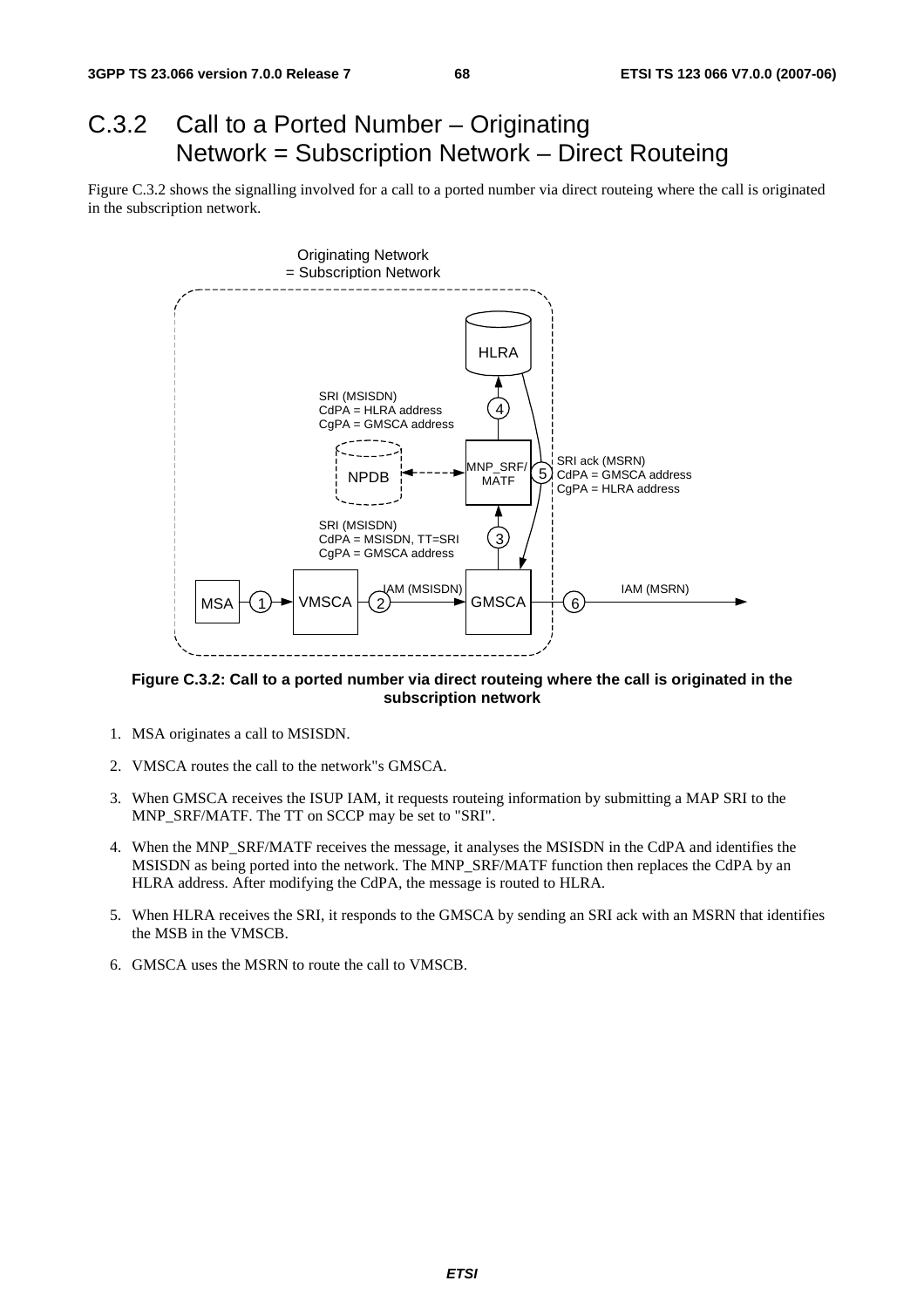# C.3.2 Call to a Ported Number – Originating Network = Subscription Network – Direct Routeing

Figure C.3.2 shows the signalling involved for a call to a ported number via direct routeing where the call is originated in the subscription network.



**Figure C.3.2: Call to a ported number via direct routeing where the call is originated in the subscription network** 

- 1. MSA originates a call to MSISDN.
- 2. VMSCA routes the call to the network"s GMSCA.
- 3. When GMSCA receives the ISUP IAM, it requests routeing information by submitting a MAP SRI to the MNP\_SRF/MATF. The TT on SCCP may be set to "SRI".
- 4. When the MNP\_SRF/MATF receives the message, it analyses the MSISDN in the CdPA and identifies the MSISDN as being ported into the network. The MNP\_SRF/MATF function then replaces the CdPA by an HLRA address. After modifying the CdPA, the message is routed to HLRA.
- 5. When HLRA receives the SRI, it responds to the GMSCA by sending an SRI ack with an MSRN that identifies the MSB in the VMSCB.
- 6. GMSCA uses the MSRN to route the call to VMSCB.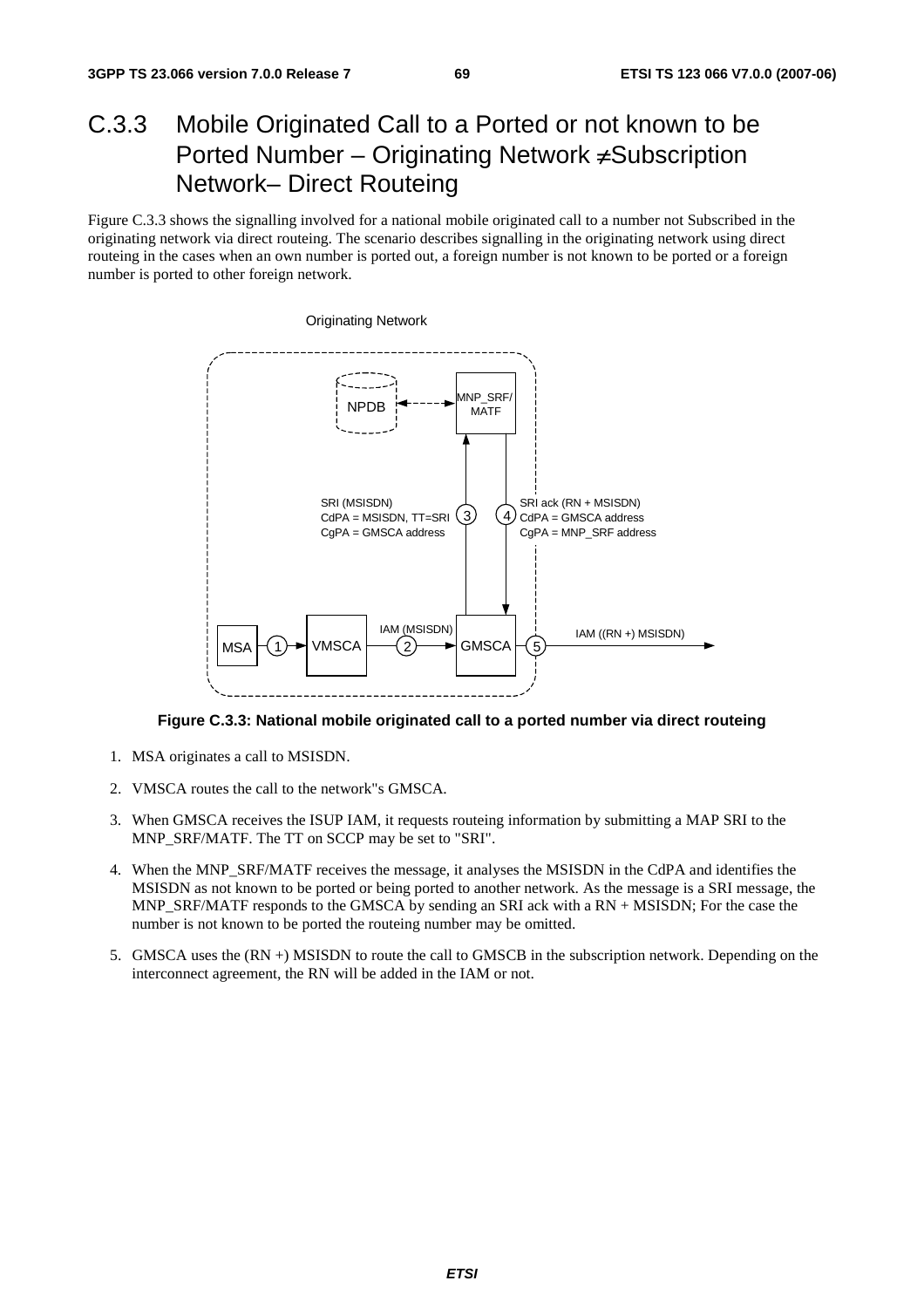## C.3.3 Mobile Originated Call to a Ported or not known to be Ported Number – Originating Network ≠Subscription Network– Direct Routeing

Figure C.3.3 shows the signalling involved for a national mobile originated call to a number not Subscribed in the originating network via direct routeing. The scenario describes signalling in the originating network using direct routeing in the cases when an own number is ported out, a foreign number is not known to be ported or a foreign number is ported to other foreign network.



**Figure C.3.3: National mobile originated call to a ported number via direct routeing** 

- 1. MSA originates a call to MSISDN.
- 2. VMSCA routes the call to the network"s GMSCA.
- 3. When GMSCA receives the ISUP IAM, it requests routeing information by submitting a MAP SRI to the MNP\_SRF/MATF. The TT on SCCP may be set to "SRI".
- 4. When the MNP\_SRF/MATF receives the message, it analyses the MSISDN in the CdPA and identifies the MSISDN as not known to be ported or being ported to another network. As the message is a SRI message, the MNP\_SRF/MATF responds to the GMSCA by sending an SRI ack with a RN + MSISDN; For the case the number is not known to be ported the routeing number may be omitted.
- 5. GMSCA uses the (RN +) MSISDN to route the call to GMSCB in the subscription network. Depending on the interconnect agreement, the RN will be added in the IAM or not.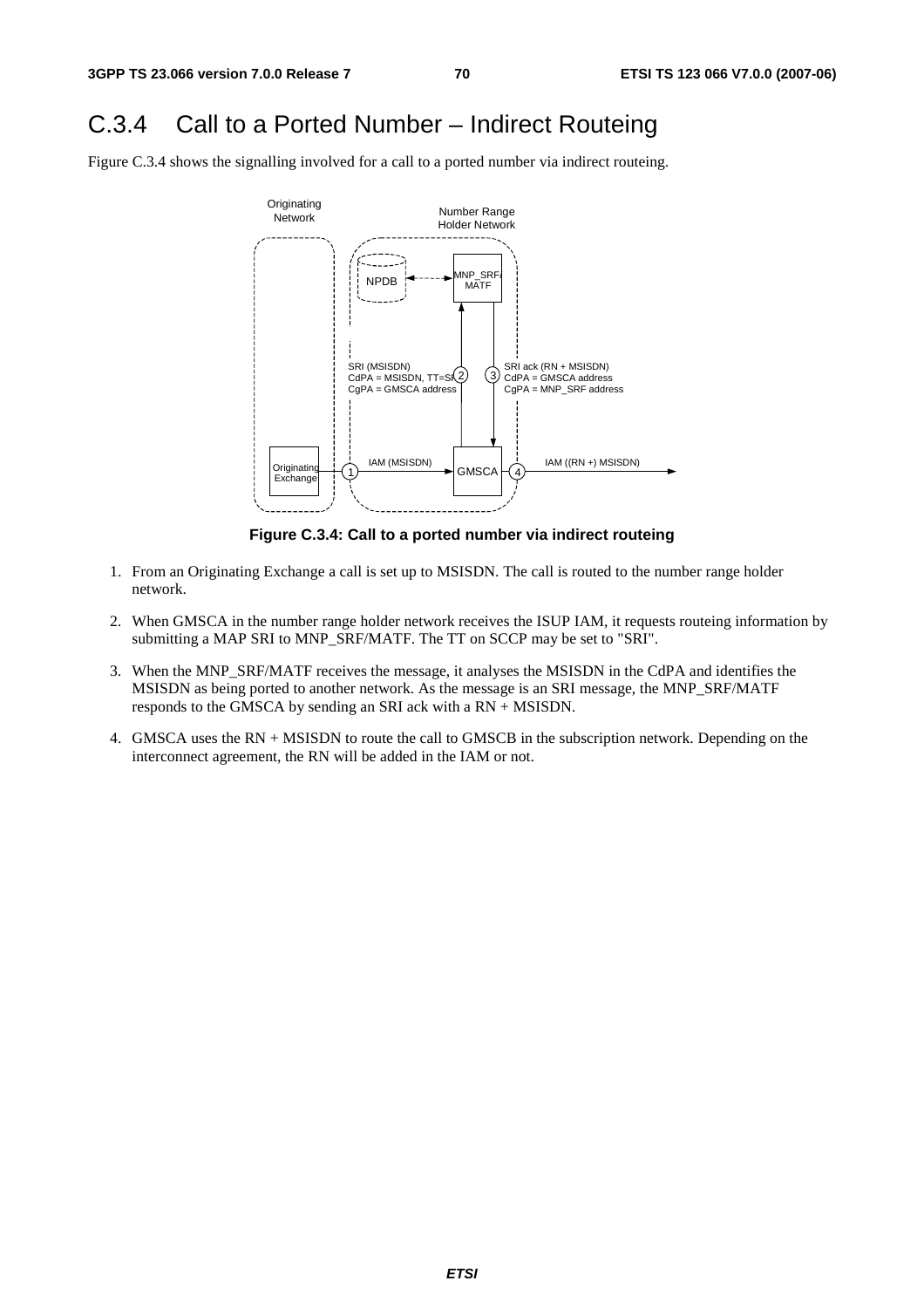### C.3.4 Call to a Ported Number – Indirect Routeing

Figure C.3.4 shows the signalling involved for a call to a ported number via indirect routeing.



**Figure C.3.4: Call to a ported number via indirect routeing** 

- 1. From an Originating Exchange a call is set up to MSISDN. The call is routed to the number range holder network.
- 2. When GMSCA in the number range holder network receives the ISUP IAM, it requests routeing information by submitting a MAP SRI to MNP\_SRF/MATF. The TT on SCCP may be set to "SRI".
- 3. When the MNP\_SRF/MATF receives the message, it analyses the MSISDN in the CdPA and identifies the MSISDN as being ported to another network. As the message is an SRI message, the MNP\_SRF/MATF responds to the GMSCA by sending an SRI ack with a RN + MSISDN.
- 4. GMSCA uses the RN + MSISDN to route the call to GMSCB in the subscription network. Depending on the interconnect agreement, the RN will be added in the IAM or not.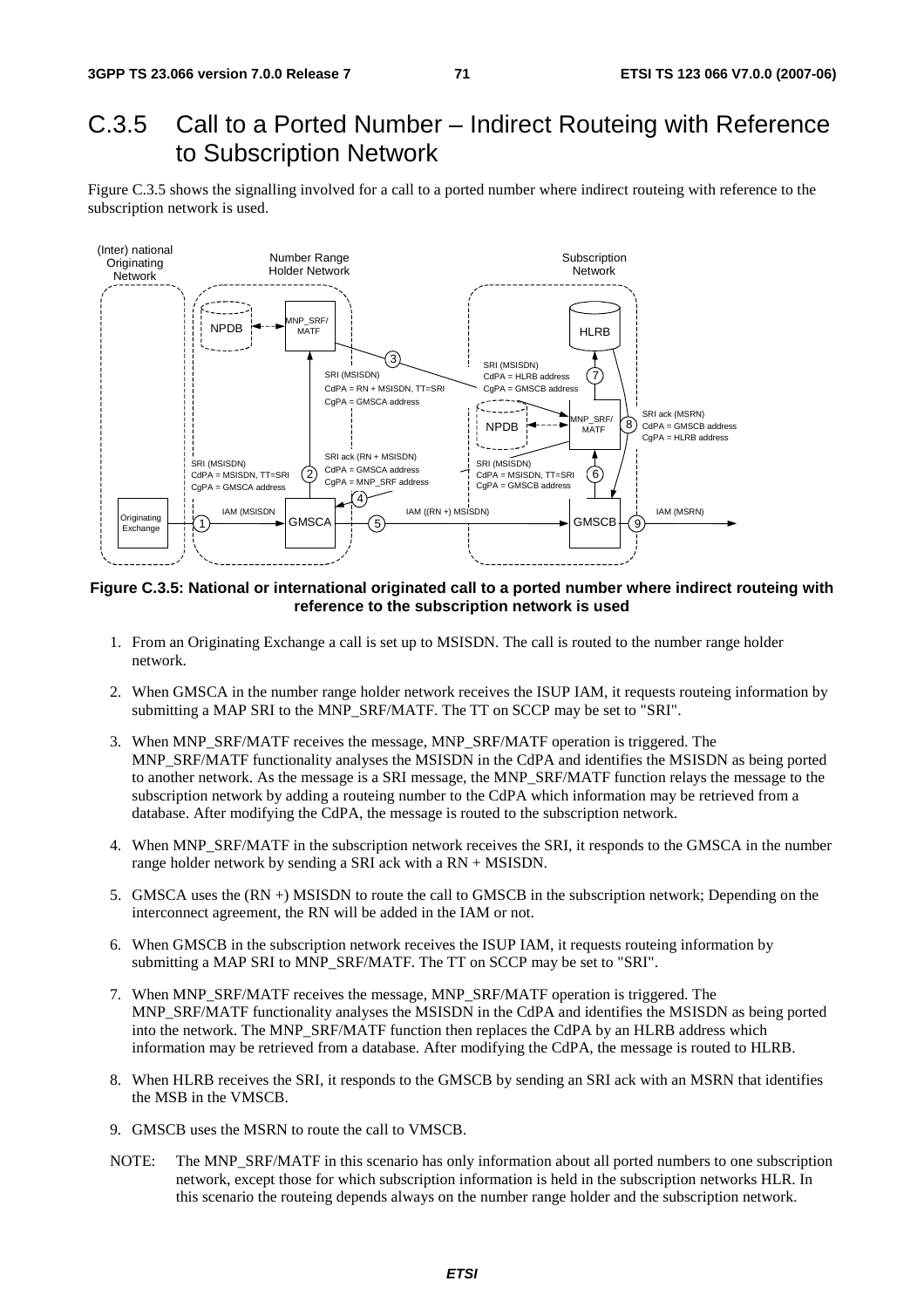### C.3.5 Call to a Ported Number – Indirect Routeing with Reference to Subscription Network

Figure C.3.5 shows the signalling involved for a call to a ported number where indirect routeing with reference to the subscription network is used.



**Figure C.3.5: National or international originated call to a ported number where indirect routeing with reference to the subscription network is used** 

- 1. From an Originating Exchange a call is set up to MSISDN. The call is routed to the number range holder network.
- 2. When GMSCA in the number range holder network receives the ISUP IAM, it requests routeing information by submitting a MAP SRI to the MNP\_SRF/MATF. The TT on SCCP may be set to "SRI".
- 3. When MNP\_SRF/MATF receives the message, MNP\_SRF/MATF operation is triggered. The MNP\_SRF/MATF functionality analyses the MSISDN in the CdPA and identifies the MSISDN as being ported to another network. As the message is a SRI message, the MNP\_SRF/MATF function relays the message to the subscription network by adding a routeing number to the CdPA which information may be retrieved from a database. After modifying the CdPA, the message is routed to the subscription network.
- 4. When MNP\_SRF/MATF in the subscription network receives the SRI, it responds to the GMSCA in the number range holder network by sending a SRI ack with a RN + MSISDN.
- 5. GMSCA uses the (RN +) MSISDN to route the call to GMSCB in the subscription network; Depending on the interconnect agreement, the RN will be added in the IAM or not.
- 6. When GMSCB in the subscription network receives the ISUP IAM, it requests routeing information by submitting a MAP SRI to MNP\_SRF/MATF. The TT on SCCP may be set to "SRI".
- 7. When MNP\_SRF/MATF receives the message, MNP\_SRF/MATF operation is triggered. The MNP\_SRF/MATF functionality analyses the MSISDN in the CdPA and identifies the MSISDN as being ported into the network. The MNP\_SRF/MATF function then replaces the CdPA by an HLRB address which information may be retrieved from a database. After modifying the CdPA, the message is routed to HLRB.
- 8. When HLRB receives the SRI, it responds to the GMSCB by sending an SRI ack with an MSRN that identifies the MSB in the VMSCB.
- 9. GMSCB uses the MSRN to route the call to VMSCB.
- NOTE: The MNP\_SRF/MATF in this scenario has only information about all ported numbers to one subscription network, except those for which subscription information is held in the subscription networks HLR. In this scenario the routeing depends always on the number range holder and the subscription network.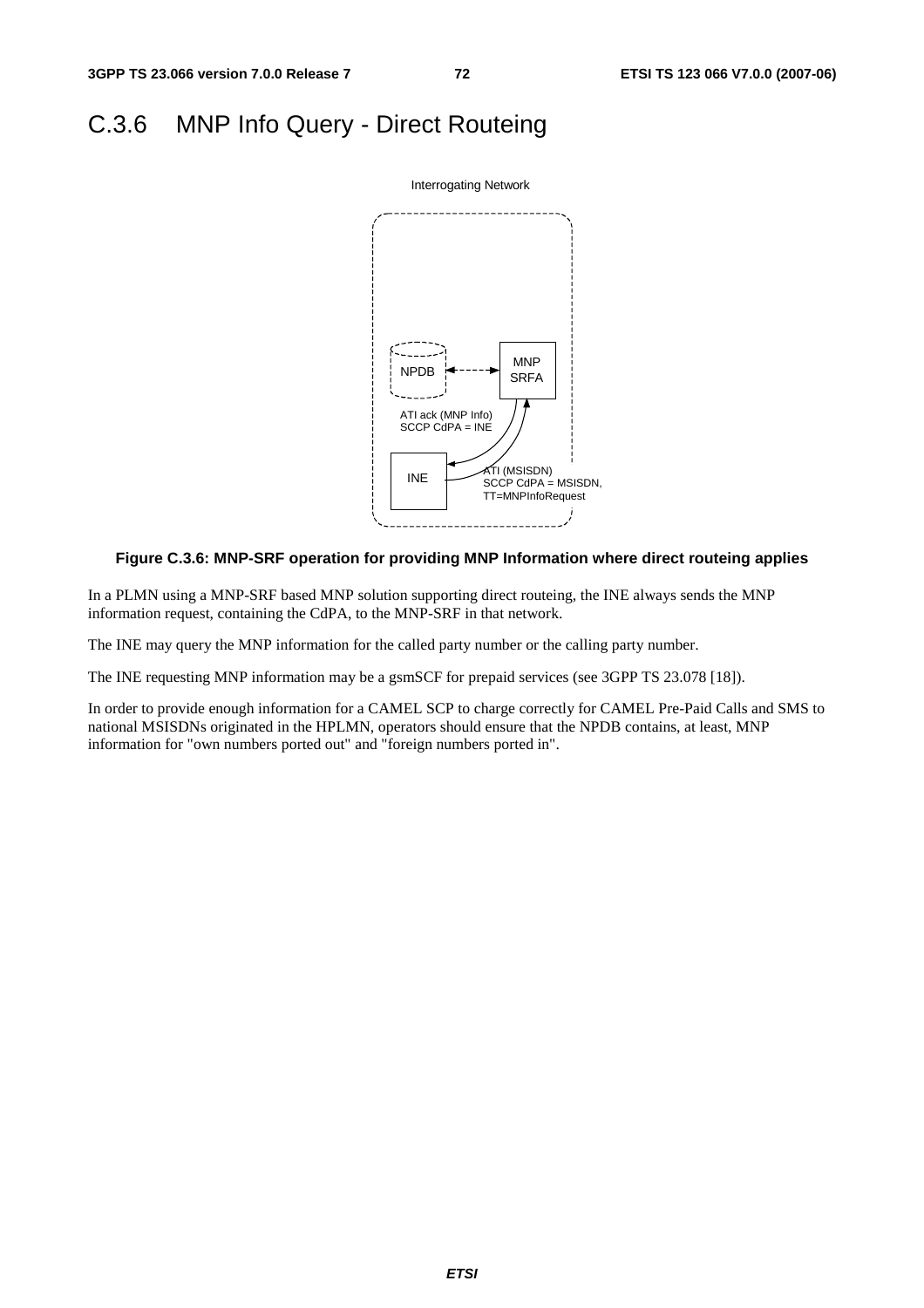# C.3.6 MNP Info Query - Direct Routeing



#### **Figure C.3.6: MNP-SRF operation for providing MNP Information where direct routeing applies**

In a PLMN using a MNP-SRF based MNP solution supporting direct routeing, the INE always sends the MNP information request, containing the CdPA, to the MNP-SRF in that network.

The INE may query the MNP information for the called party number or the calling party number.

The INE requesting MNP information may be a gsmSCF for prepaid services (see 3GPP TS 23.078 [18]).

In order to provide enough information for a CAMEL SCP to charge correctly for CAMEL Pre-Paid Calls and SMS to national MSISDNs originated in the HPLMN, operators should ensure that the NPDB contains, at least, MNP information for "own numbers ported out" and "foreign numbers ported in".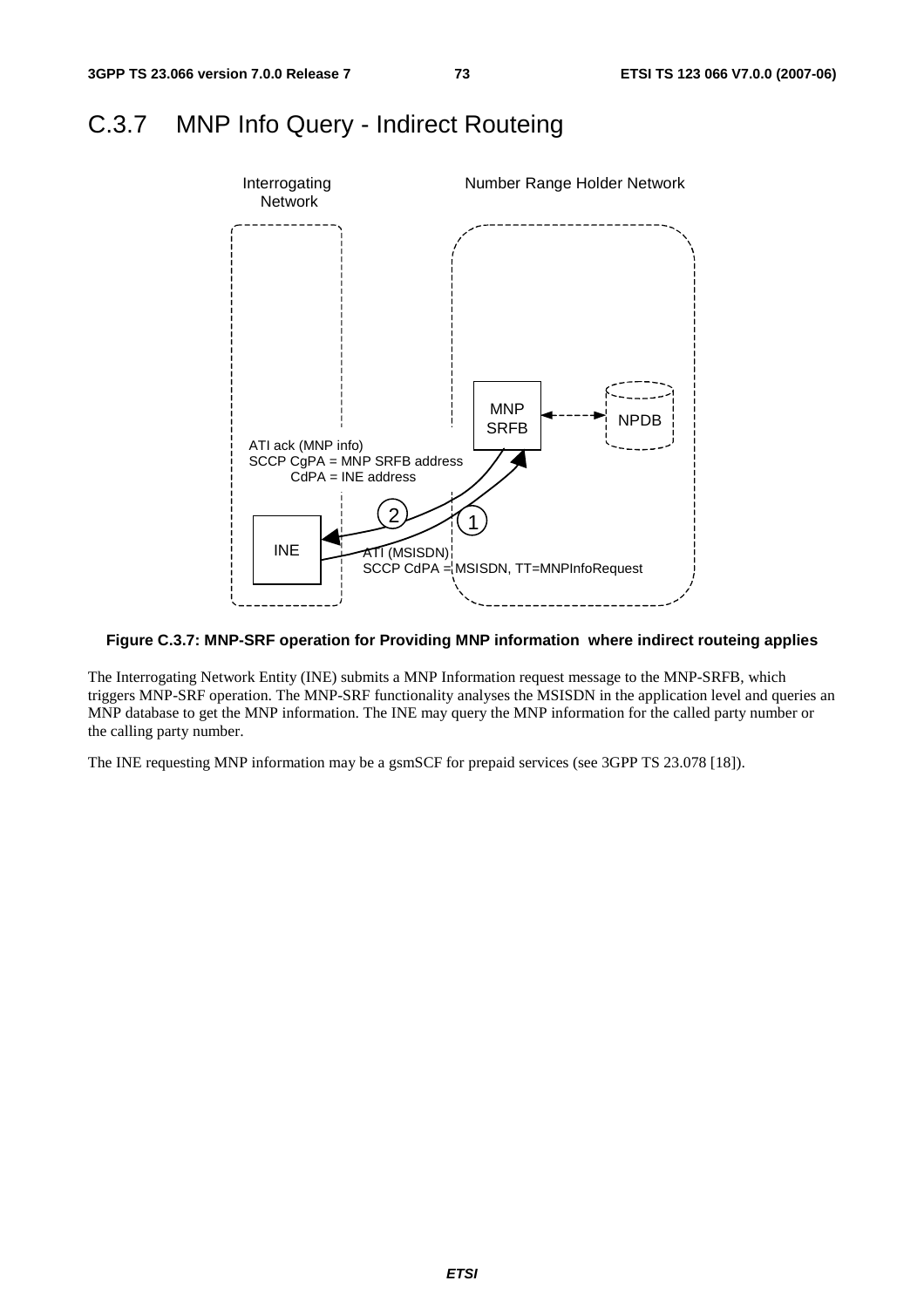### C.3.7 MNP Info Query - Indirect Routeing



### **Figure C.3.7: MNP-SRF operation for Providing MNP information where indirect routeing applies**

The Interrogating Network Entity (INE) submits a MNP Information request message to the MNP-SRFB, which triggers MNP-SRF operation. The MNP-SRF functionality analyses the MSISDN in the application level and queries an MNP database to get the MNP information. The INE may query the MNP information for the called party number or the calling party number.

The INE requesting MNP information may be a gsmSCF for prepaid services (see 3GPP TS 23.078 [18]).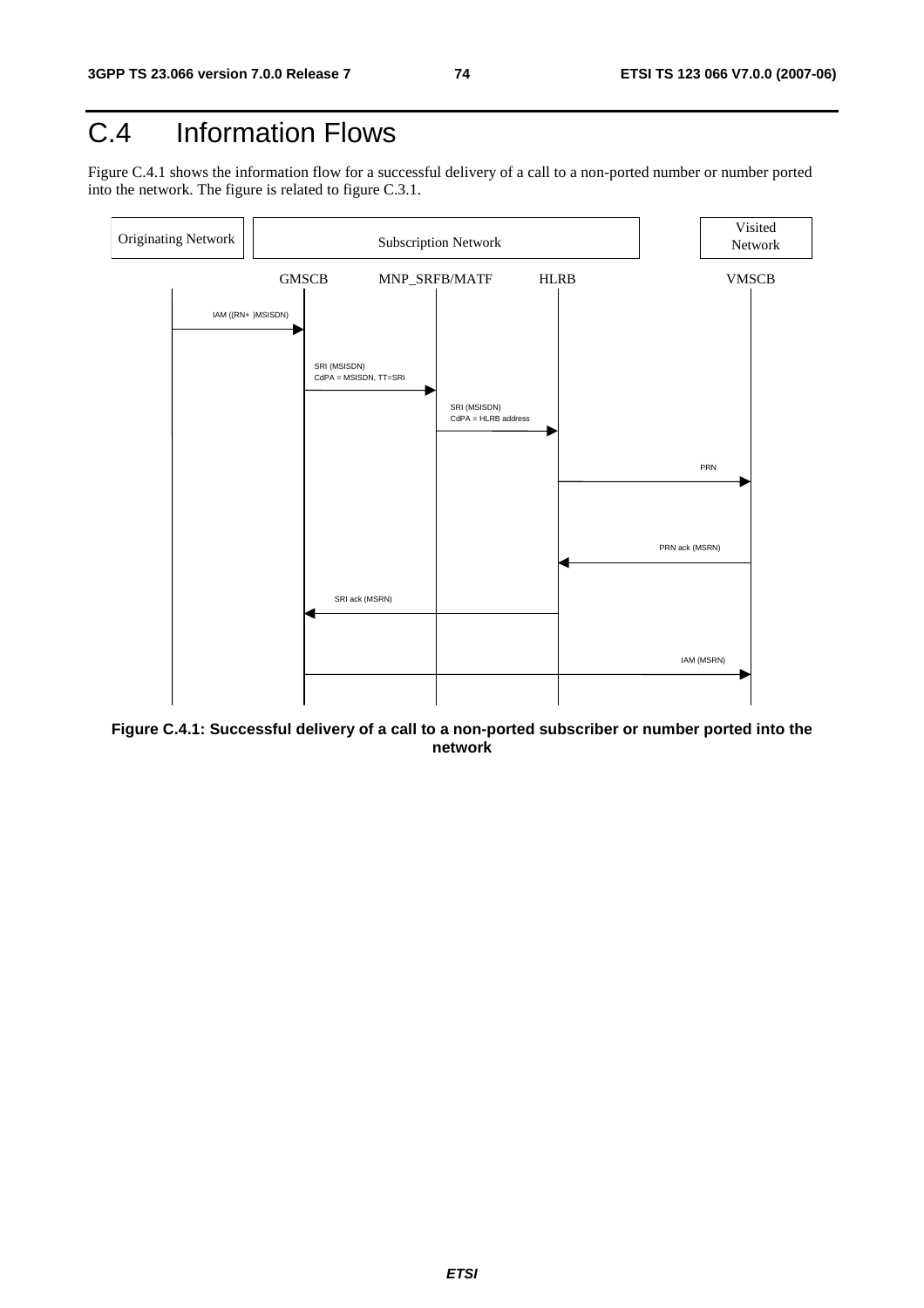# C.4 Information Flows

Figure C.4.1 shows the information flow for a successful delivery of a call to a non-ported number or number ported into the network. The figure is related to figure C.3.1.



**Figure C.4.1: Successful delivery of a call to a non-ported subscriber or number ported into the network**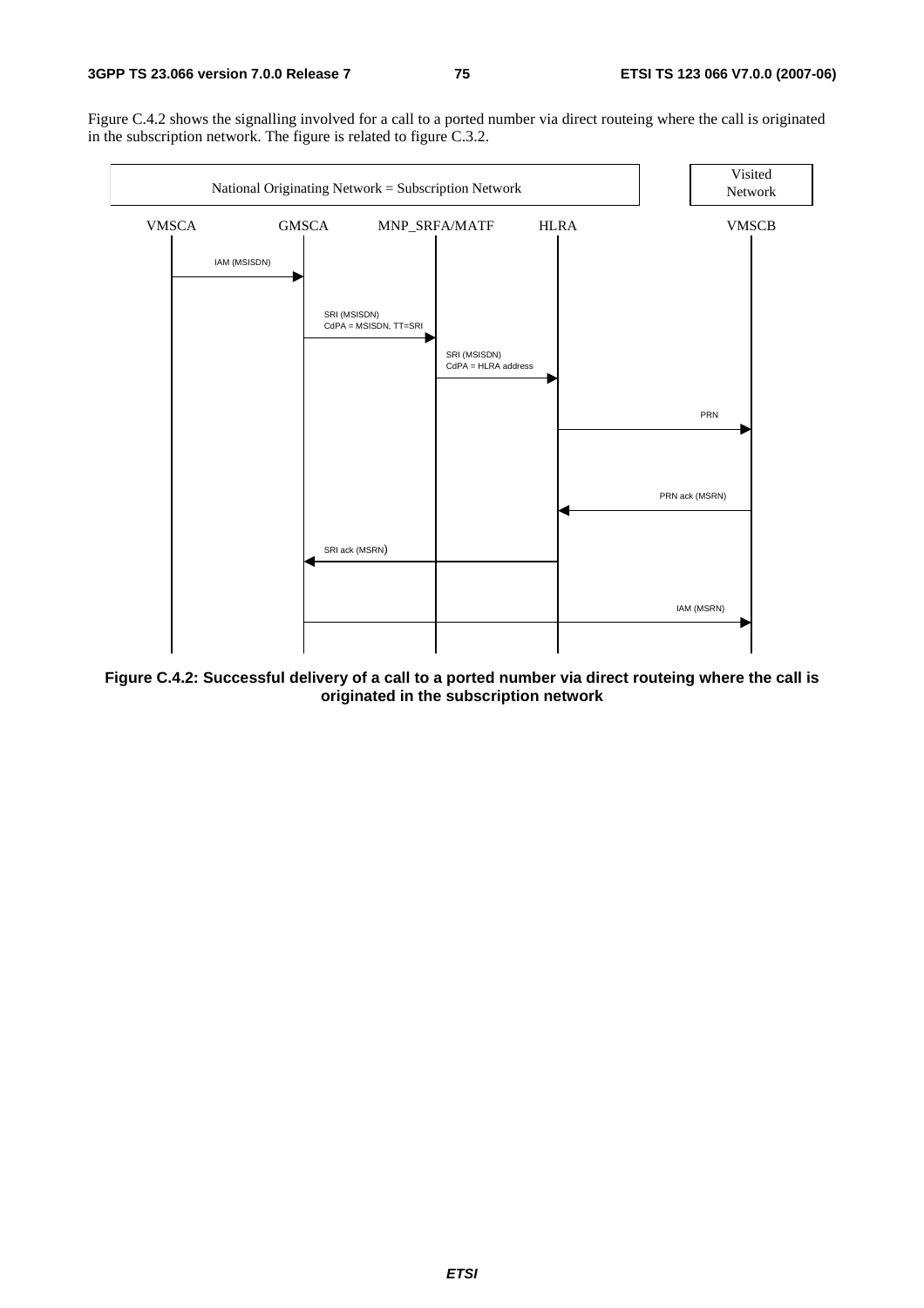Figure C.4.2 shows the signalling involved for a call to a ported number via direct routeing where the call is originated in the subscription network. The figure is related to figure C.3.2.



**Figure C.4.2: Successful delivery of a call to a ported number via direct routeing where the call is originated in the subscription network**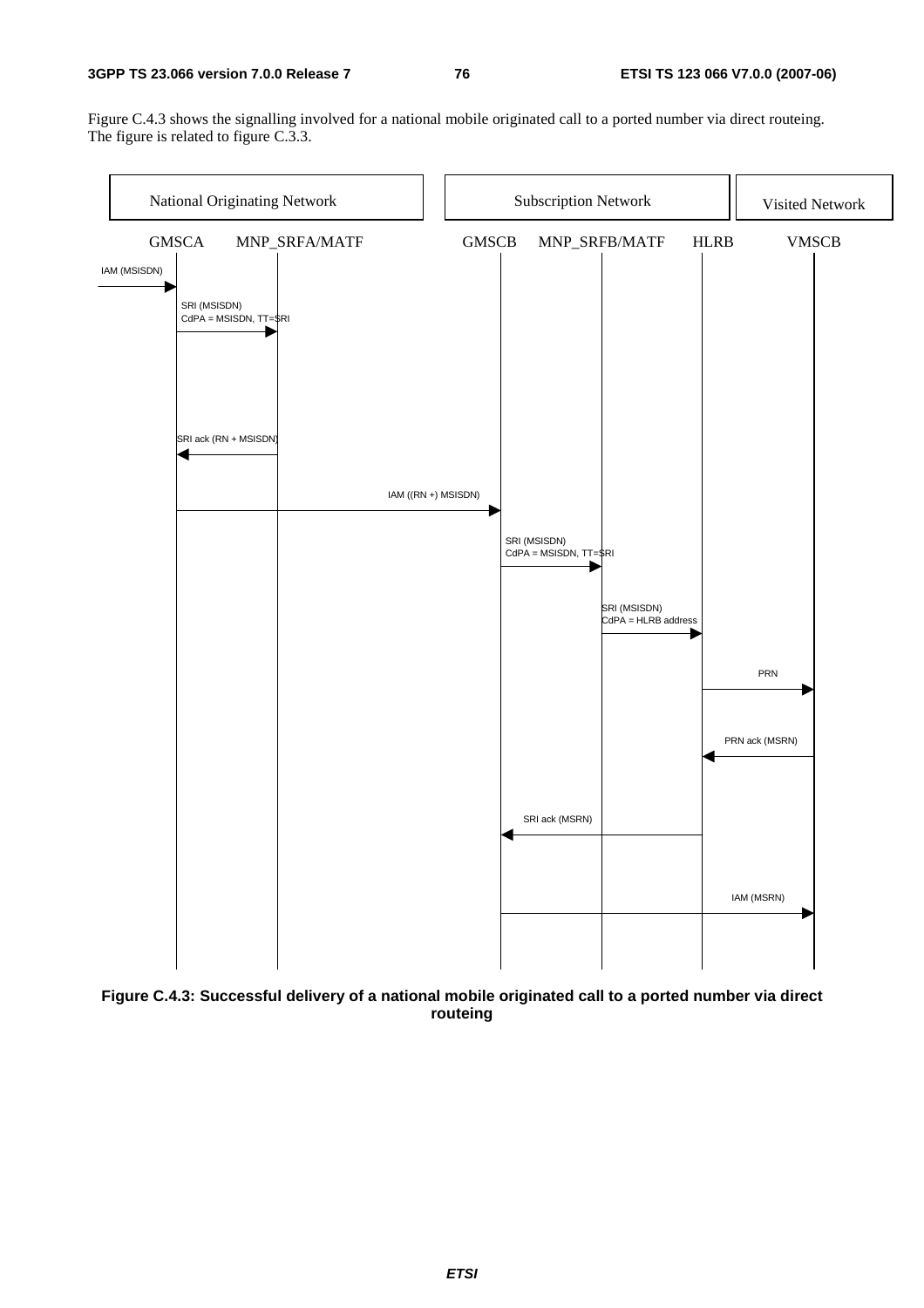#### **3GPP TS 23.066 version 7.0.0 Release 7 76 ETSI TS 123 066 V7.0.0 (2007-06)**

Figure C.4.3 shows the signalling involved for a national mobile originated call to a ported number via direct routeing. The figure is related to figure C.3.3.



**Figure C.4.3: Successful delivery of a national mobile originated call to a ported number via direct routeing**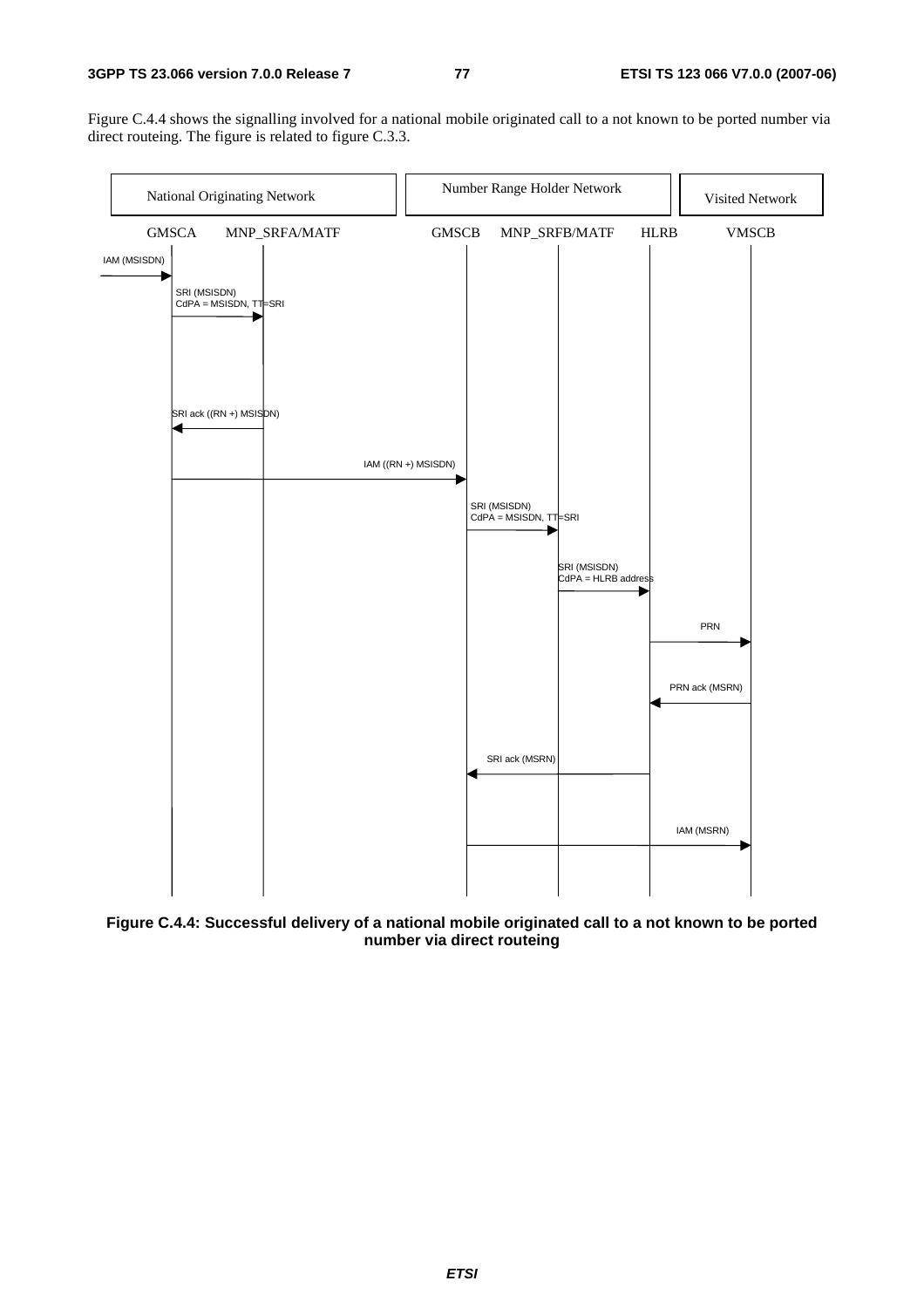Figure C.4.4 shows the signalling involved for a national mobile originated call to a not known to be ported number via direct routeing. The figure is related to figure C.3.3.



**Figure C.4.4: Successful delivery of a national mobile originated call to a not known to be ported number via direct routeing**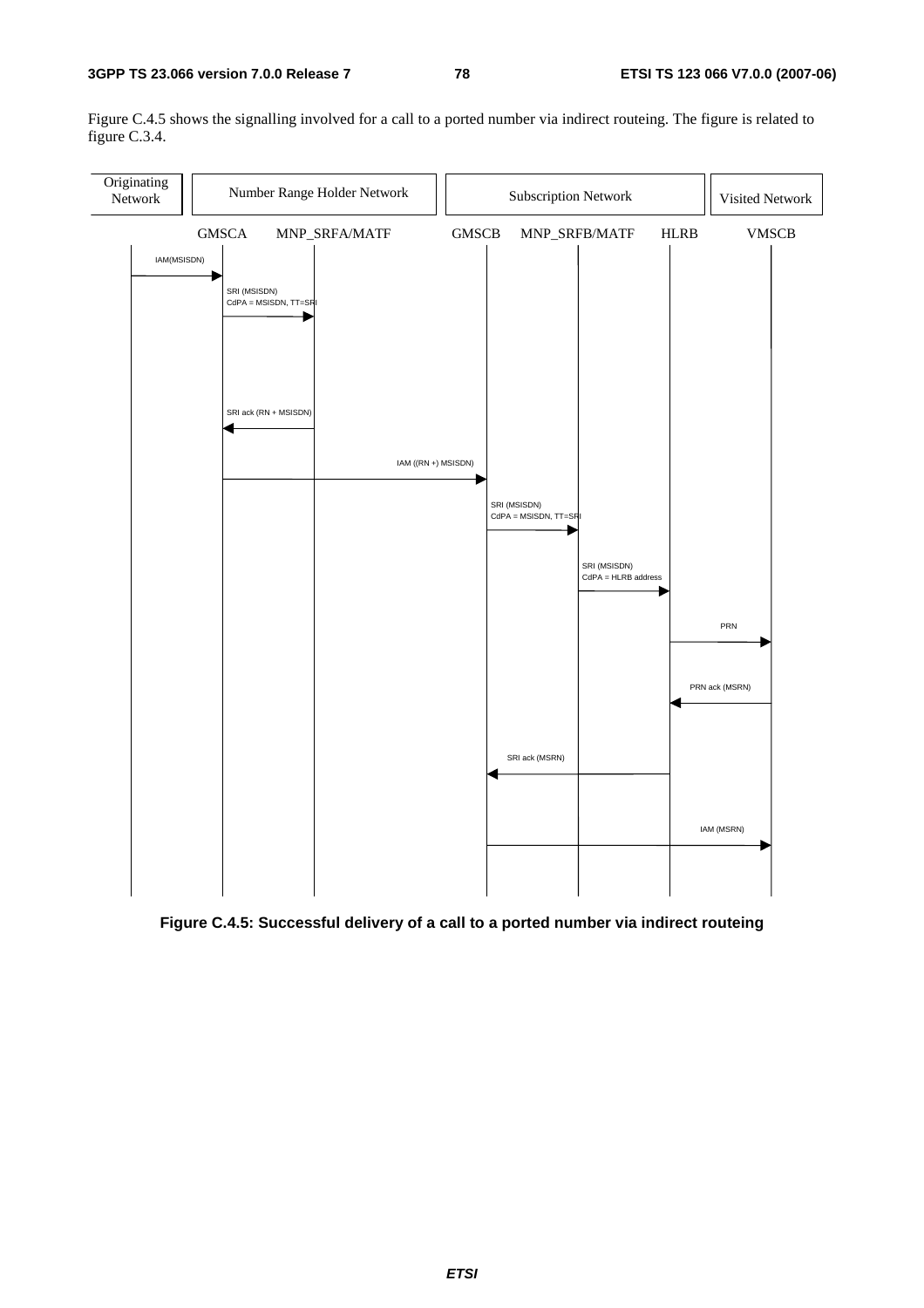Figure C.4.5 shows the signalling involved for a call to a ported number via indirect routeing. The figure is related to figure C.3.4.



**Figure C.4.5: Successful delivery of a call to a ported number via indirect routeing**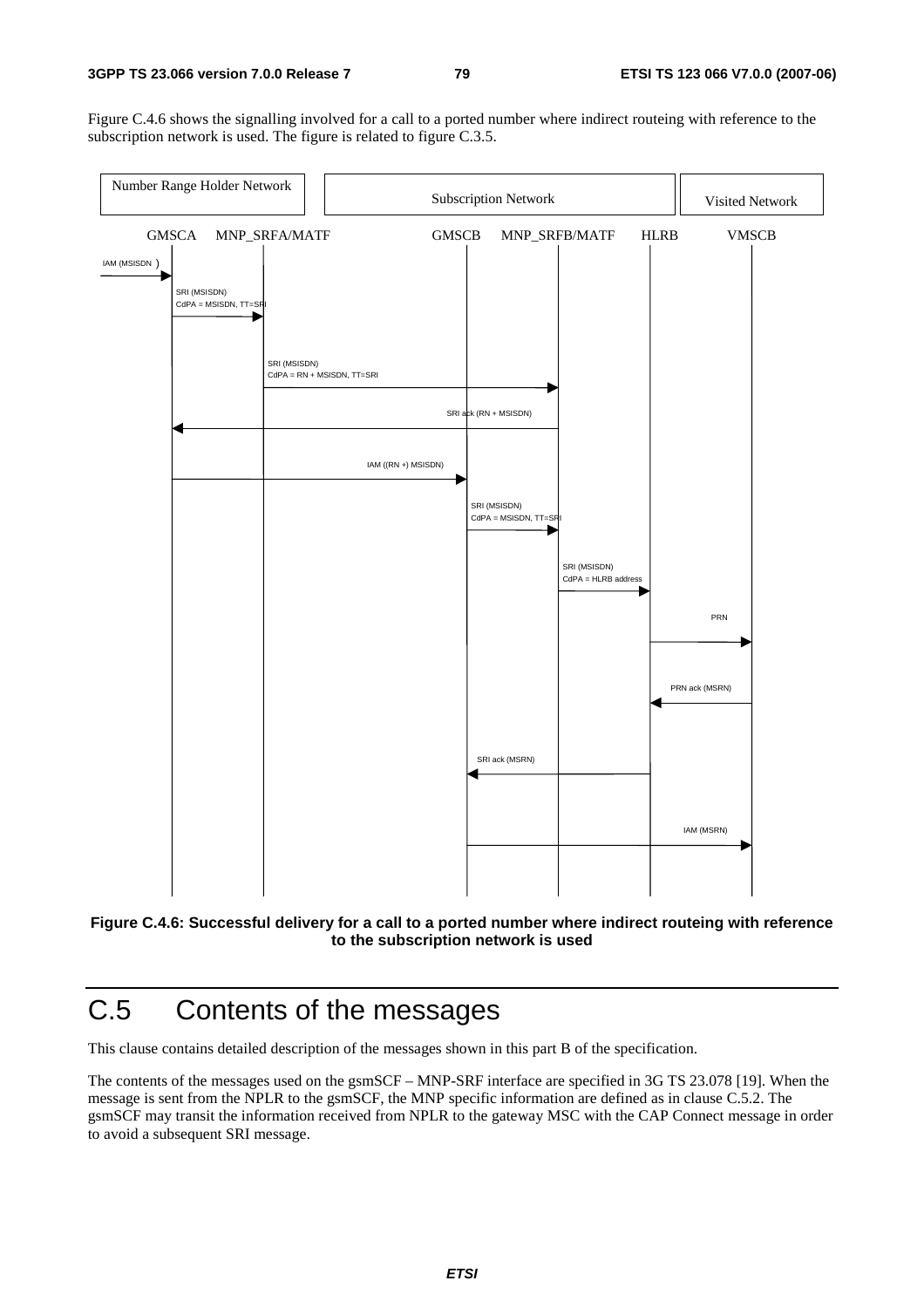Figure C.4.6 shows the signalling involved for a call to a ported number where indirect routeing with reference to the subscription network is used. The figure is related to figure C.3.5.





# C.5 Contents of the messages

This clause contains detailed description of the messages shown in this part B of the specification.

The contents of the messages used on the gsmSCF – MNP-SRF interface are specified in 3G TS 23.078 [19]. When the message is sent from the NPLR to the gsmSCF, the MNP specific information are defined as in clause C.5.2. The gsmSCF may transit the information received from NPLR to the gateway MSC with the CAP Connect message in order to avoid a subsequent SRI message.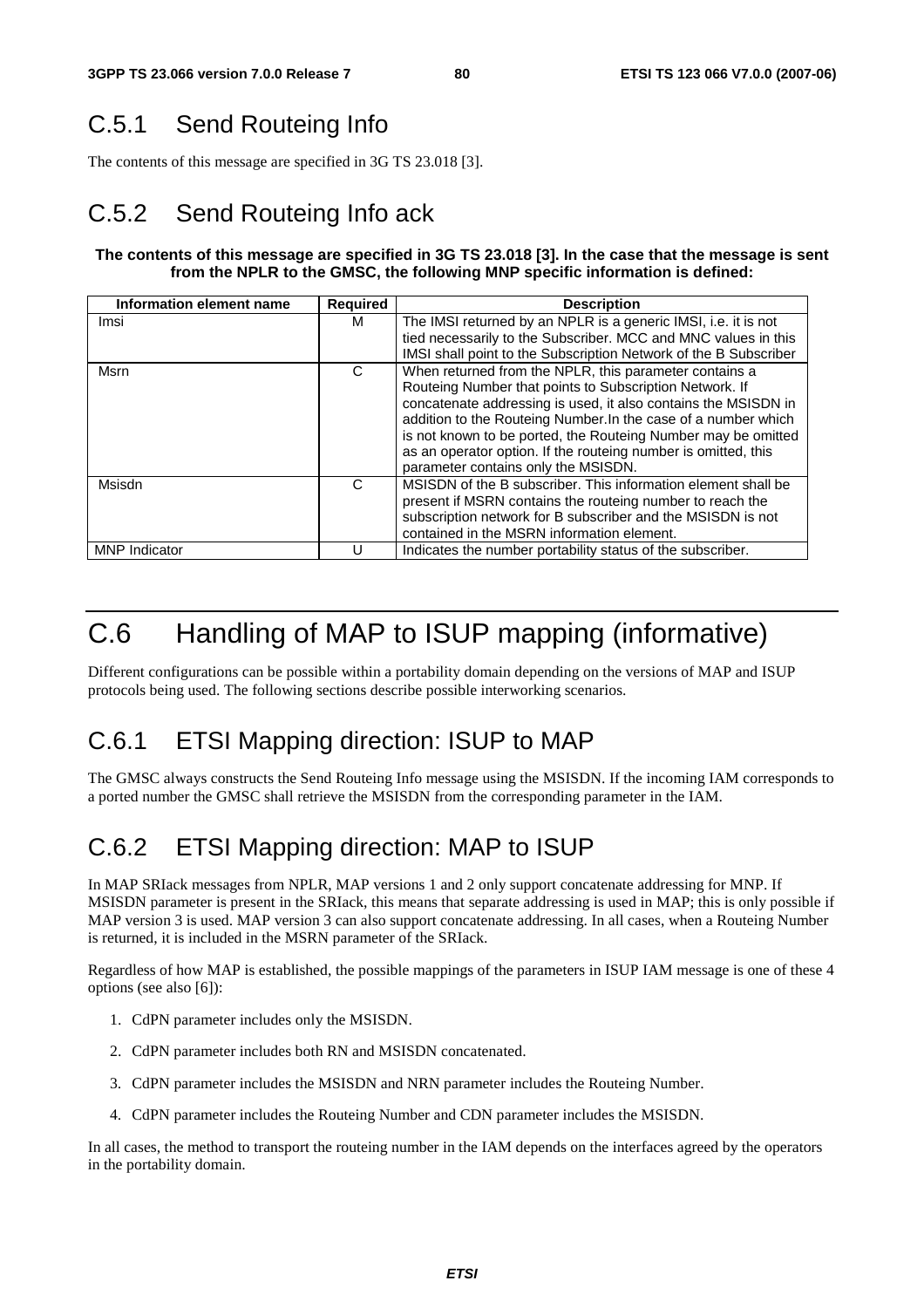# C.5.1 Send Routeing Info

The contents of this message are specified in 3G TS 23.018 [3].

# C.5.2 Send Routeing Info ack

### **The contents of this message are specified in 3G TS 23.018 [3]. In the case that the message is sent from the NPLR to the GMSC, the following MNP specific information is defined:**

| Information element name | <b>Required</b> | <b>Description</b>                                               |
|--------------------------|-----------------|------------------------------------------------------------------|
| Imsi                     | м               | The IMSI returned by an NPLR is a generic IMSI, i.e. it is not   |
|                          |                 | tied necessarily to the Subscriber. MCC and MNC values in this   |
|                          |                 | IMSI shall point to the Subscription Network of the B Subscriber |
| Msrn                     | C               | When returned from the NPLR, this parameter contains a           |
|                          |                 | Routeing Number that points to Subscription Network. If          |
|                          |                 | concatenate addressing is used, it also contains the MSISDN in   |
|                          |                 | addition to the Routeing Number. In the case of a number which   |
|                          |                 | is not known to be ported, the Routeing Number may be omitted    |
|                          |                 | as an operator option. If the routeing number is omitted, this   |
|                          |                 | parameter contains only the MSISDN.                              |
| Msisdn                   | C               | MSISDN of the B subscriber. This information element shall be    |
|                          |                 | present if MSRN contains the routeing number to reach the        |
|                          |                 | subscription network for B subscriber and the MSISDN is not      |
|                          |                 | contained in the MSRN information element.                       |
| <b>MNP</b> Indicator     | U               | Indicates the number portability status of the subscriber.       |

# C.6 Handling of MAP to ISUP mapping (informative)

Different configurations can be possible within a portability domain depending on the versions of MAP and ISUP protocols being used. The following sections describe possible interworking scenarios.

# C.6.1 ETSI Mapping direction: ISUP to MAP

The GMSC always constructs the Send Routeing Info message using the MSISDN. If the incoming IAM corresponds to a ported number the GMSC shall retrieve the MSISDN from the corresponding parameter in the IAM.

# C.6.2 ETSI Mapping direction: MAP to ISUP

In MAP SRIack messages from NPLR, MAP versions 1 and 2 only support concatenate addressing for MNP. If MSISDN parameter is present in the SRIack, this means that separate addressing is used in MAP; this is only possible if MAP version 3 is used. MAP version 3 can also support concatenate addressing. In all cases, when a Routeing Number is returned, it is included in the MSRN parameter of the SRIack.

Regardless of how MAP is established, the possible mappings of the parameters in ISUP IAM message is one of these 4 options (see also [6]):

- 1. CdPN parameter includes only the MSISDN.
- 2. CdPN parameter includes both RN and MSISDN concatenated.
- 3. CdPN parameter includes the MSISDN and NRN parameter includes the Routeing Number.
- 4. CdPN parameter includes the Routeing Number and CDN parameter includes the MSISDN.

In all cases, the method to transport the routeing number in the IAM depends on the interfaces agreed by the operators in the portability domain.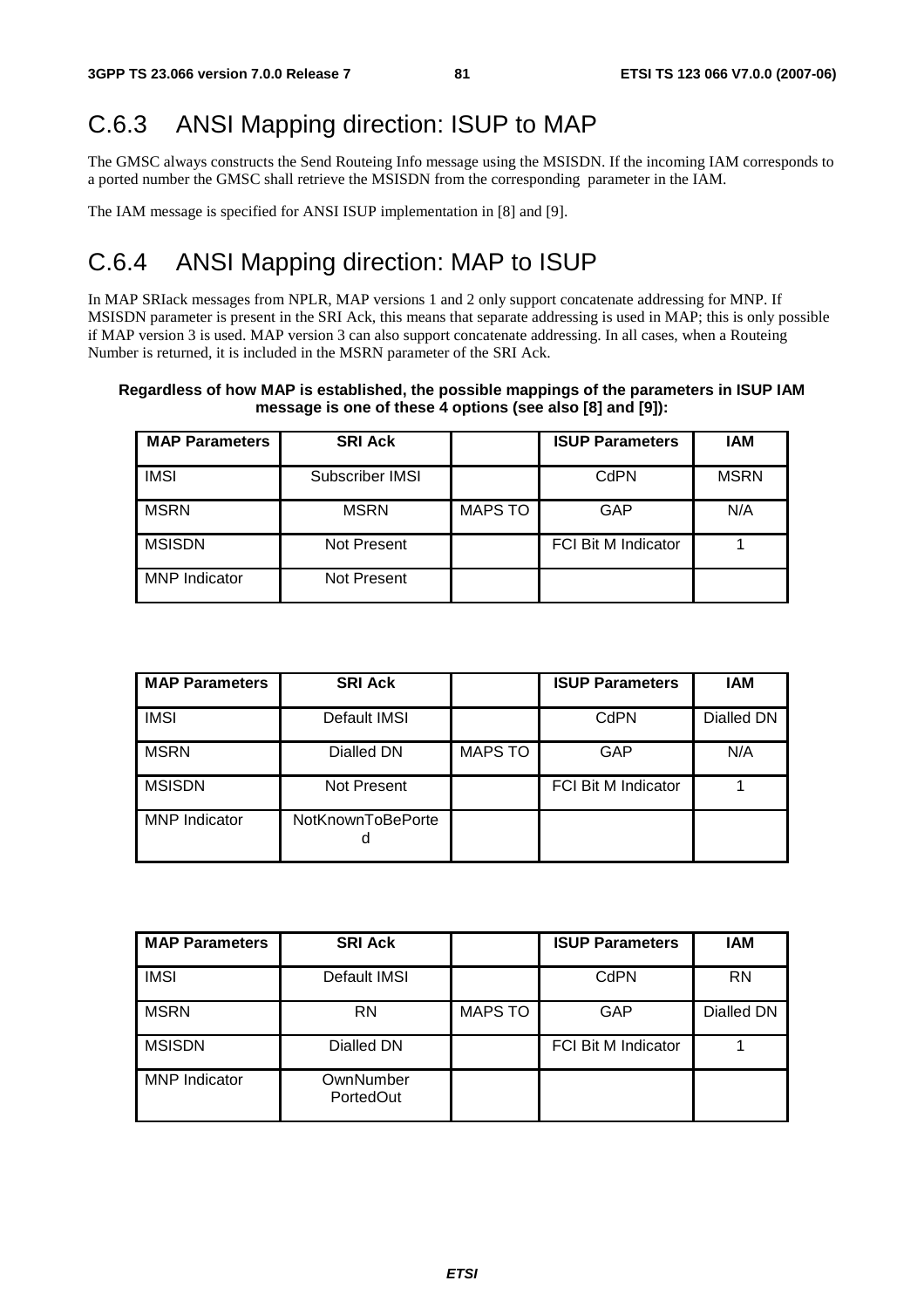# C.6.3 ANSI Mapping direction: ISUP to MAP

The GMSC always constructs the Send Routeing Info message using the MSISDN. If the incoming IAM corresponds to a ported number the GMSC shall retrieve the MSISDN from the corresponding parameter in the IAM.

The IAM message is specified for ANSI ISUP implementation in [8] and [9].

### C.6.4 ANSI Mapping direction: MAP to ISUP

In MAP SRIack messages from NPLR, MAP versions 1 and 2 only support concatenate addressing for MNP. If MSISDN parameter is present in the SRI Ack, this means that separate addressing is used in MAP; this is only possible if MAP version 3 is used. MAP version 3 can also support concatenate addressing. In all cases, when a Routeing Number is returned, it is included in the MSRN parameter of the SRI Ack.

### **Regardless of how MAP is established, the possible mappings of the parameters in ISUP IAM message is one of these 4 options (see also [8] and [9]):**

| <b>MAP Parameters</b> | <b>SRI Ack</b>  |                | <b>ISUP Parameters</b>     | IAM         |
|-----------------------|-----------------|----------------|----------------------------|-------------|
| <b>IMSI</b>           | Subscriber IMSI |                | CdPN                       | <b>MSRN</b> |
| <b>MSRN</b>           | <b>MSRN</b>     | <b>MAPS TO</b> | GAP                        | N/A         |
| <b>MSISDN</b>         | Not Present     |                | <b>FCI Bit M Indicator</b> |             |
| <b>MNP</b> Indicator  | Not Present     |                |                            |             |

| <b>MAP Parameters</b> | <b>SRI Ack</b>         |                | <b>ISUP Parameters</b>     | <b>IAM</b> |
|-----------------------|------------------------|----------------|----------------------------|------------|
| <b>IMSI</b>           | Default IMSI           |                | CdPN                       | Dialled DN |
| <b>MSRN</b>           | Dialled DN             | <b>MAPS TO</b> | <b>GAP</b>                 | N/A        |
| <b>MSISDN</b>         | Not Present            |                | <b>FCI Bit M Indicator</b> |            |
| <b>MNP</b> Indicator  | NotKnownToBePorte<br>a |                |                            |            |

| <b>MAP Parameters</b> | <b>SRI Ack</b>         |                | <b>ISUP Parameters</b>     | IAM        |
|-----------------------|------------------------|----------------|----------------------------|------------|
| <b>IMSI</b>           | Default IMSI           |                | <b>CdPN</b>                | <b>RN</b>  |
| <b>MSRN</b>           | RN                     | <b>MAPS TO</b> | <b>GAP</b>                 | Dialled DN |
| <b>MSISDN</b>         | Dialled DN             |                | <b>FCI Bit M Indicator</b> |            |
| <b>MNP</b> Indicator  | OwnNumber<br>PortedOut |                |                            |            |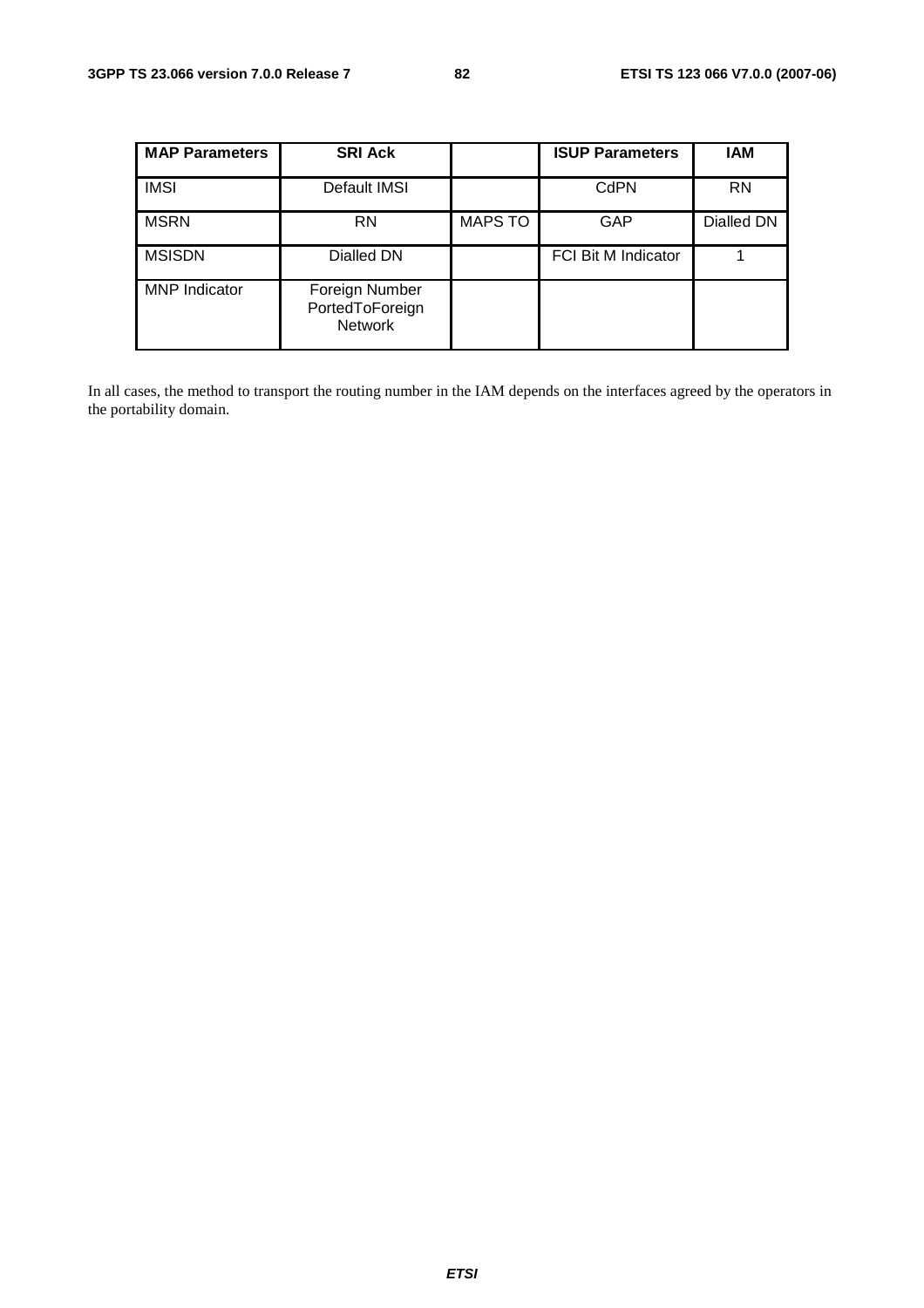| <b>MAP Parameters</b> | <b>SRI Ack</b>                                      |                | <b>ISUP Parameters</b>     | IAM        |
|-----------------------|-----------------------------------------------------|----------------|----------------------------|------------|
| <b>IMSI</b>           | Default IMSI                                        |                | CdPN                       | <b>RN</b>  |
| <b>MSRN</b>           | <b>RN</b>                                           | <b>MAPS TO</b> | GAP                        | Dialled DN |
| <b>MSISDN</b>         | Dialled DN                                          |                | <b>FCI Bit M Indicator</b> |            |
| <b>MNP</b> Indicator  | Foreign Number<br>PortedToForeign<br><b>Network</b> |                |                            |            |

In all cases, the method to transport the routing number in the IAM depends on the interfaces agreed by the operators in the portability domain.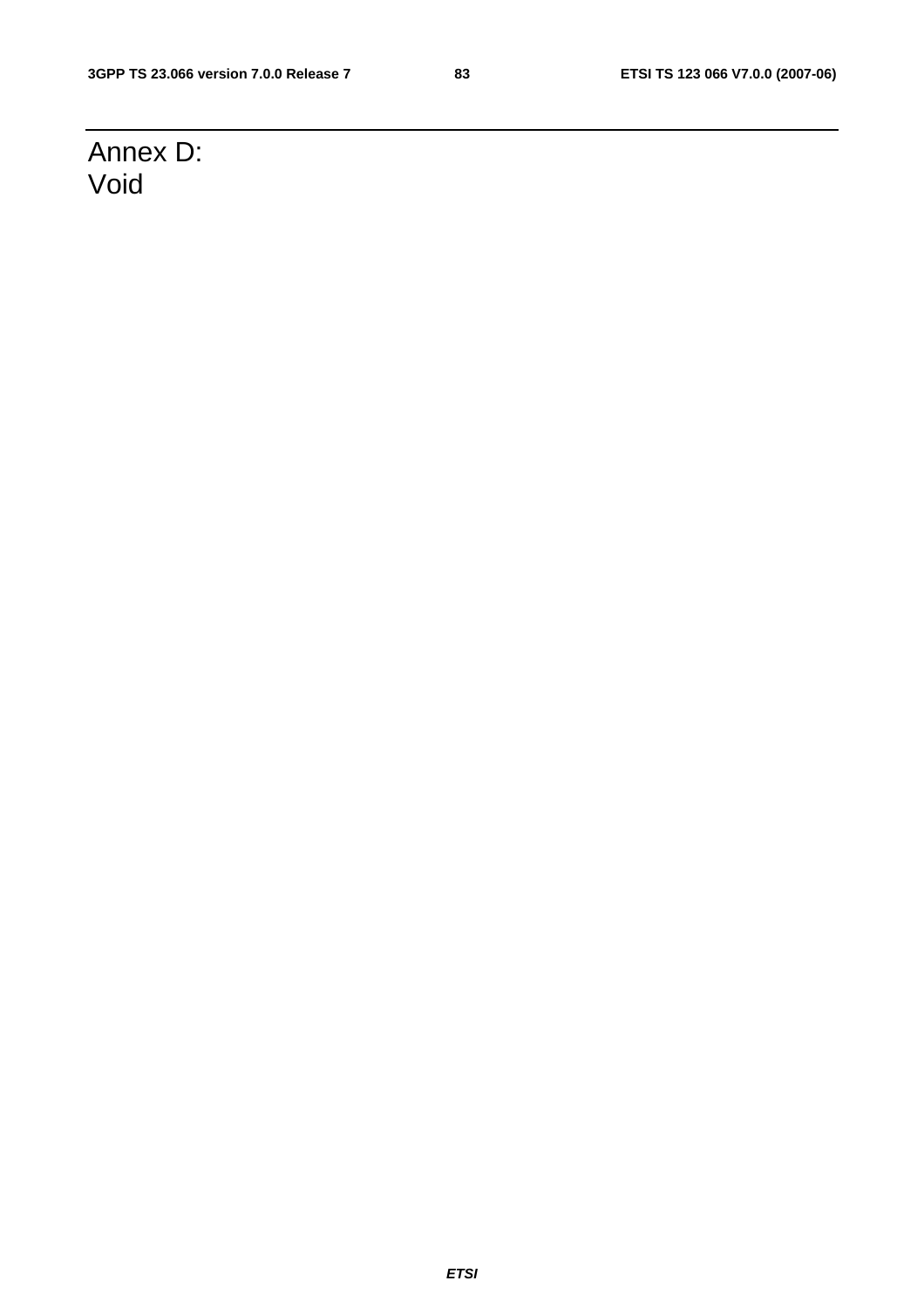# Annex D: Void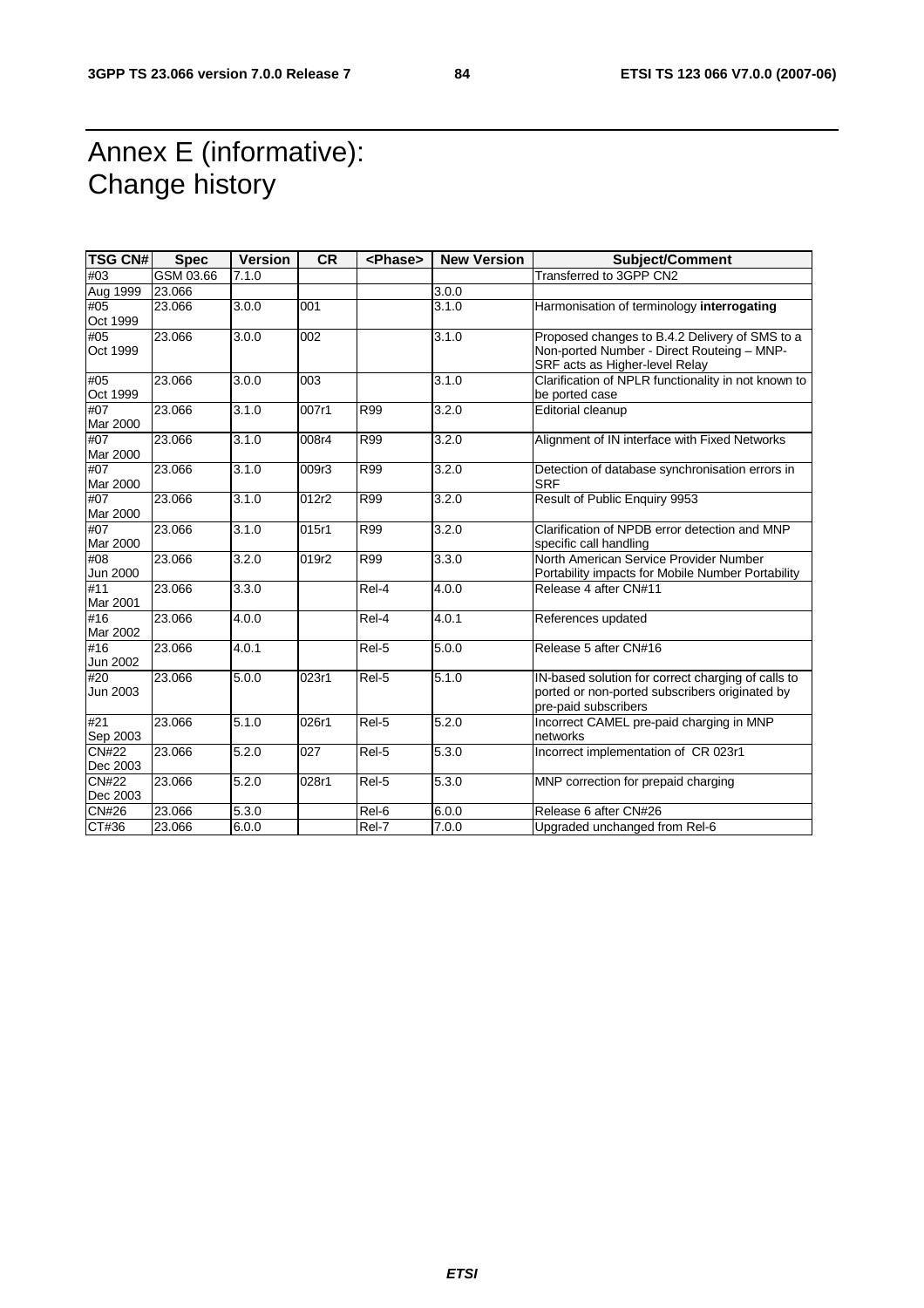# Annex E (informative): Change history

| <b>TSG CN#</b>           | <b>Spec</b> | <b>Version</b> | <b>CR</b> | <phase></phase>     | <b>New Version</b> | <b>Subject/Comment</b>                                                                                                         |
|--------------------------|-------------|----------------|-----------|---------------------|--------------------|--------------------------------------------------------------------------------------------------------------------------------|
| #03                      | GSM 03.66   | 7.1.0          |           |                     |                    | Transferred to 3GPP CN2                                                                                                        |
| Aug 1999                 | 23.066      |                |           |                     | 3.0.0              |                                                                                                                                |
| #05<br>Oct 1999          | 23.066      | 3.0.0          | 001       |                     | 3.1.0              | Harmonisation of terminology interrogating                                                                                     |
| #05<br>Oct 1999          | 23.066      | 3.0.0          | 002       |                     | 3.1.0              | Proposed changes to B.4.2 Delivery of SMS to a<br>Non-ported Number - Direct Routeing - MNP-<br>SRF acts as Higher-level Relay |
| #05<br>Oct 1999          | 23.066      | 3.0.0          | 003       |                     | 3.1.0              | Clarification of NPLR functionality in not known to<br>be ported case                                                          |
| #07<br>Mar 2000          | 23.066      | 3.1.0          | 007r1     | <b>R99</b>          | 3.2.0              | Editorial cleanup                                                                                                              |
| #07<br>Mar 2000          | 23.066      | 3.1.0          | 008r4     | R99                 | 3.2.0              | Alignment of IN interface with Fixed Networks                                                                                  |
| #07<br>Mar 2000          | 23.066      | 3.1.0          | 009r3     | R99                 | 3.2.0              | Detection of database synchronisation errors in<br><b>SRF</b>                                                                  |
| #07<br>Mar 2000          | 23.066      | 3.1.0          | 012r2     | R99                 | 3.2.0              | Result of Public Enquiry 9953                                                                                                  |
| #07<br>Mar 2000          | 23.066      | 3.1.0          | 015r1     | R99                 | 3.2.0              | Clarification of NPDB error detection and MNP<br>specific call handling                                                        |
| #08<br>Jun 2000          | 23.066      | 3.2.0          | 019r2     | <b>R99</b>          | 3.3.0              | North American Service Provider Number<br>Portability impacts for Mobile Number Portability                                    |
| #11<br>Mar 2001          | 23.066      | 3.3.0          |           | Rel-4               | 4.0.0              | Release 4 after CN#11                                                                                                          |
| #16<br>Mar 2002          | 23.066      | 4.0.0          |           | Rel-4               | 4.0.1              | References updated                                                                                                             |
| #16<br>Jun 2002          | 23.066      | 4.0.1          |           | Rel-5               | 5.0.0              | Release 5 after CN#16                                                                                                          |
| #20<br>Jun 2003          | 23.066      | 5.0.0          | 023r1     | Rel-5               | 5.1.0              | IN-based solution for correct charging of calls to<br>ported or non-ported subscribers originated by<br>pre-paid subscribers   |
| #21<br>Sep 2003          | 23.066      | 5.1.0          | 026r1     | Rel-5               | $\overline{5.2.0}$ | Incorrect CAMEL pre-paid charging in MNP<br>networks                                                                           |
| <b>CN#22</b><br>Dec 2003 | 23.066      | 5.2.0          | 027       | Rel-5               | 5.3.0              | Incorrect implementation of CR 023r1                                                                                           |
| <b>CN#22</b><br>Dec 2003 | 23.066      | 5.2.0          | 028r1     | Rel-5               | 5.3.0              | MNP correction for prepaid charging                                                                                            |
| <b>CN#26</b>             | 23.066      | 5.3.0          |           | Rel-6               | 6.0.0              | Release 6 after CN#26                                                                                                          |
| CT#36                    | 23.066      | 6.0.0          |           | $\overline{Rel}$ -7 | 7.0.0              | Upgraded unchanged from Rel-6                                                                                                  |